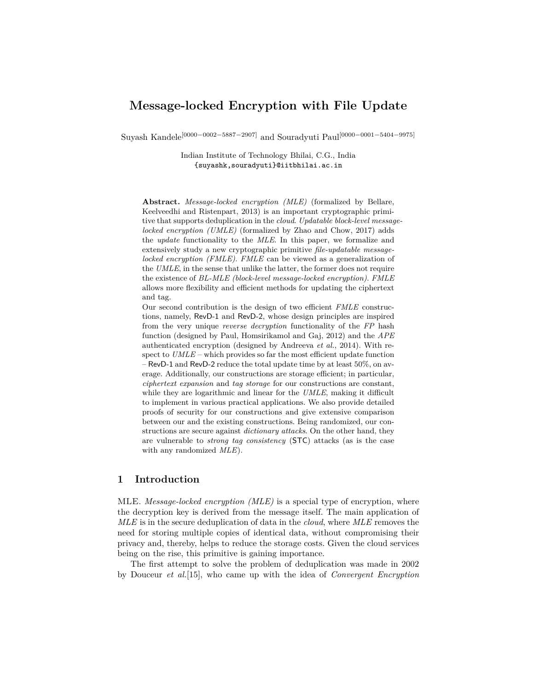# **Message-locked Encryption with File Update**

Suyash Kandele[0000−0002−5887−2907] and Souradyuti Paul[0000−0001−5404−9975]

Indian Institute of Technology Bhilai, C.G., India {suyashk,souradyuti}@iitbhilai.ac.in

**Abstract.** *Message-locked encryption (MLE)* (formalized by Bellare, Keelveedhi and Ristenpart, 2013) is an important cryptographic primitive that supports deduplication in the *cloud*. *Updatable block-level messagelocked encryption (UMLE)* (formalized by Zhao and Chow, 2017) adds the *update* functionality to the *MLE*. In this paper, we formalize and extensively study a new cryptographic primitive *file-updatable messagelocked encryption (FMLE)*. *FMLE* can be viewed as a generalization of the *UMLE*, in the sense that unlike the latter, the former does not require the existence of *BL-MLE (block-level message-locked encryption)*. *FMLE* allows more flexibility and efficient methods for updating the ciphertext and tag.

Our second contribution is the design of two efficient *FMLE* constructions, namely, RevD-1 and RevD-2, whose design principles are inspired from the very unique *reverse decryption* functionality of the *FP* hash function (designed by Paul, Homsirikamol and Gaj, 2012) and the *APE* authenticated encryption (designed by Andreeva *et al.*, 2014). With respect to *UMLE* – which provides so far the most efficient update function – RevD-1 and RevD-2 reduce the total update time by at least 50%, on average. Additionally, our constructions are storage efficient; in particular, *ciphertext expansion* and *tag storage* for our constructions are constant, while they are logarithmic and linear for the *UMLE*, making it difficult to implement in various practical applications. We also provide detailed proofs of security for our constructions and give extensive comparison between our and the existing constructions. Being randomized, our constructions are secure against *dictionary attacks*. On the other hand, they are vulnerable to *strong tag consistency* (STC) attacks (as is the case with any randomized *MLE*).

# **1 Introduction**

MLE. *Message-locked encryption (MLE)* is a special type of encryption, where the decryption key is derived from the message itself. The main application of *MLE* is in the secure deduplication of data in the *cloud*, where *MLE* removes the need for storing multiple copies of identical data, without compromising their privacy and, thereby, helps to reduce the storage costs. Given the cloud services being on the rise, this primitive is gaining importance.

The first attempt to solve the problem of deduplication was made in 2002 by Douceur *et al.*[15], who came up with the idea of *Convergent Encryption*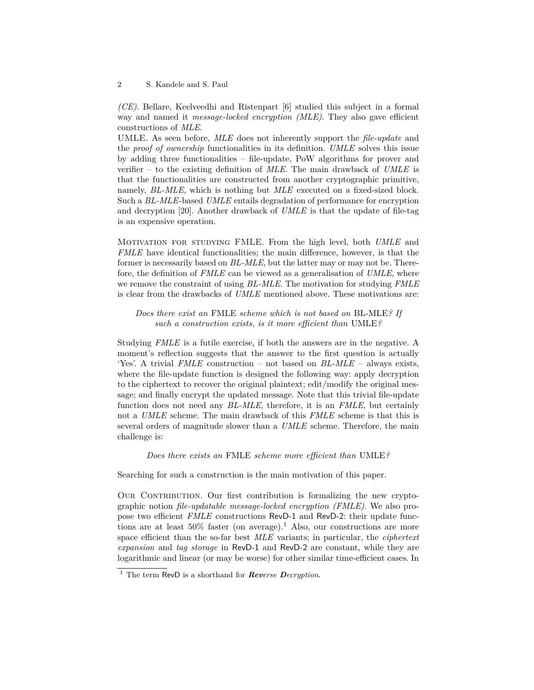*(CE)*. Bellare, Keelveedhi and Ristenpart [6] studied this subject in a formal way and named it *message-locked encryption (MLE)*. They also gave efficient constructions of *MLE*.

UMLE. As seen before, *MLE* does not inherently support the *file-update* and the *proof of ownership* functionalities in its definition. *UMLE* solves this issue by adding three functionalities – file-update, PoW algorithms for prover and verifier – to the existing definition of *MLE*. The main drawback of *UMLE* is that the functionalities are constructed from another cryptographic primitive, namely, *BL-MLE*, which is nothing but *MLE* executed on a fixed-sized block. Such a *BL-MLE*-based *UMLE* entails degradation of performance for encryption and decryption [20]. Another drawback of *UMLE* is that the update of file-tag is an expensive operation.

Motivation for studying FMLE. From the high level, both *UMLE* and *FMLE* have identical functionalities; the main difference, however, is that the former is necessarily based on *BL-MLE*, but the latter may or may not be. Therefore, the definition of *FMLE* can be viewed as a generalisation of *UMLE*, where we remove the constraint of using *BL-MLE*. The motivation for studying *FMLE* is clear from the drawbacks of *UMLE* mentioned above. These motivations are:

*Does there exist an* FMLE *scheme which is not based on* BL-MLE*? If such a construction exists, is it more efficient than* UMLE*?*

Studying *FMLE* is a futile exercise, if both the answers are in the negative. A moment's reflection suggests that the answer to the first question is actually 'Yes'. A trivial *FMLE* construction – not based on *BL-MLE* – always exists, where the file-update function is designed the following way: apply decryption to the ciphertext to recover the original plaintext; edit/modify the original message; and finally encrypt the updated message. Note that this trivial file-update function does not need any *BL-MLE*, therefore, it is an *FMLE*, but certainly not a *UMLE* scheme. The main drawback of this *FMLE* scheme is that this is several orders of magnitude slower than a *UMLE* scheme. Therefore, the main challenge is:

*Does there exists an* FMLE *scheme more efficient than* UMLE*?*

Searching for such a construction is the main motivation of this paper.

Our Contribution. Our first contribution is formalizing the new cryptographic notion *file-updatable message-locked encryption (FMLE)*. We also propose two efficient *FMLE* constructions RevD-1 and RevD-2: their update functions are at least  $50\%$  faster (on average).<sup>1</sup> Also, our constructions are more space efficient than the so-far best *MLE* variants; in particular, the *ciphertext expansion* and *tag storage* in RevD-1 and RevD-2 are constant, while they are logarithmic and linear (or may be worse) for other similar time-efficient cases. In

<sup>&</sup>lt;sup>1</sup> The term RevD is a shorthand for *Reverse Decryption*.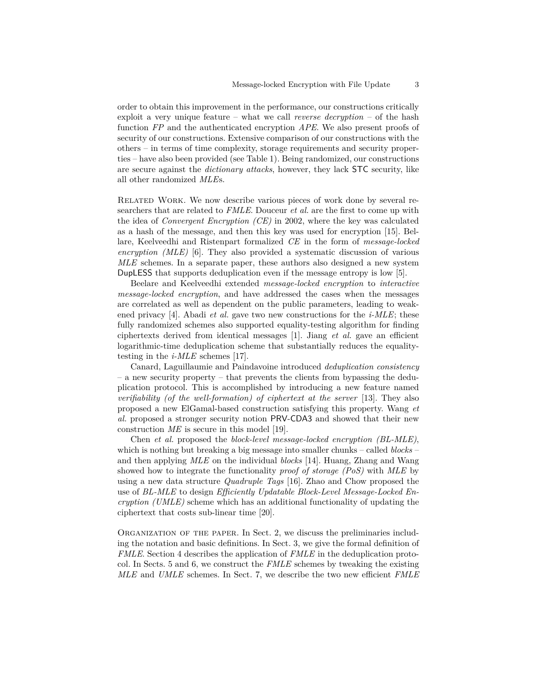order to obtain this improvement in the performance, our constructions critically exploit a very unique feature – what we call *reverse decryption* – of the hash function *FP* and the authenticated encryption *APE*. We also present proofs of security of our constructions. Extensive comparison of our constructions with the others – in terms of time complexity, storage requirements and security properties – have also been provided (see Table 1). Being randomized, our constructions are secure against the *dictionary attacks*, however, they lack STC security, like all other randomized *MLE*s.

RELATED WORK. We now describe various pieces of work done by several researchers that are related to *FMLE*. Douceur *et al.* are the first to come up with the idea of *Convergent Encryption (CE)* in 2002, where the key was calculated as a hash of the message, and then this key was used for encryption [15]. Bellare, Keelveedhi and Ristenpart formalized *CE* in the form of *message-locked encryption (MLE)* [6]. They also provided a systematic discussion of various *MLE* schemes. In a separate paper, these authors also designed a new system DupLESS that supports deduplication even if the message entropy is low [5].

Beelare and Keelveedhi extended *message-locked encryption* to *interactive message-locked encryption*, and have addressed the cases when the messages are correlated as well as dependent on the public parameters, leading to weakened privacy [4]. Abadi *et al.* gave two new constructions for the *i-MLE*; these fully randomized schemes also supported equality-testing algorithm for finding ciphertexts derived from identical messages [1]. Jiang *et al.* gave an efficient logarithmic-time deduplication scheme that substantially reduces the equalitytesting in the *i-MLE* schemes [17].

Canard, Laguillaumie and Paindavoine introduced *deduplication consistency* – a new security property – that prevents the clients from bypassing the deduplication protocol. This is accomplished by introducing a new feature named *verifiability (of the well-formation) of ciphertext at the server* [13]. They also proposed a new ElGamal-based construction satisfying this property. Wang *et al.* proposed a stronger security notion PRV-CDA3 and showed that their new construction *ME* is secure in this model [19].

Chen *et al.* proposed the *block-level message-locked encryption (BL-MLE)*, which is nothing but breaking a big message into smaller chunks – called *blocks* – and then applying *MLE* on the individual *blocks* [14]. Huang, Zhang and Wang showed how to integrate the functionality *proof of storage (PoS)* with *MLE* by using a new data structure *Quadruple Tags* [16]. Zhao and Chow proposed the use of *BL-MLE* to design *Efficiently Updatable Block-Level Message-Locked Encryption (UMLE)* scheme which has an additional functionality of updating the ciphertext that costs sub-linear time [20].

Organization of the paper. In Sect. 2, we discuss the preliminaries including the notation and basic definitions. In Sect. 3, we give the formal definition of *FMLE*. Section 4 describes the application of *FMLE* in the deduplication protocol. In Sects. 5 and 6, we construct the *FMLE* schemes by tweaking the existing *MLE* and *UMLE* schemes. In Sect. 7, we describe the two new efficient *FMLE*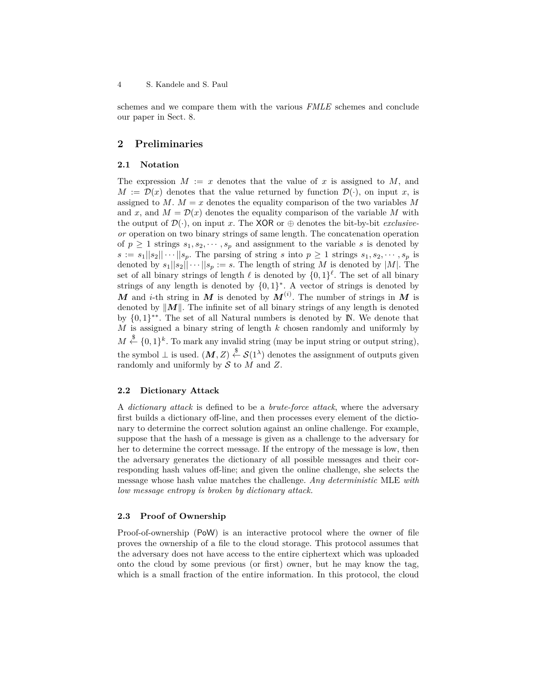schemes and we compare them with the various *FMLE* schemes and conclude our paper in Sect. 8.

# **2 Preliminaries**

#### **2.1 Notation**

The expression  $M := x$  denotes that the value of x is assigned to M, and  $M := \mathcal{D}(x)$  denotes that the value returned by function  $\mathcal{D}(\cdot)$ , on input *x*, is assigned to *M*.  $M = x$  denotes the equality comparison of the two variables M and x, and  $M = \mathcal{D}(x)$  denotes the equality comparison of the variable M with the output of  $\mathcal{D}(\cdot)$ , on input *x*. The XOR or  $\oplus$  denotes the bit-by-bit *exclusiveor* operation on two binary strings of same length. The concatenation operation of  $p \geq 1$  strings  $s_1, s_2, \dots, s_p$  and assignment to the variable *s* is denoted by  $s := s_1||s_2|| \cdots ||s_p$ . The parsing of string *s* into  $p \geq 1$  strings  $s_1, s_2, \cdots, s_p$  is denoted by  $s_1||s_2|| \cdots ||s_p := s$ . The length of string *M* is denoted by |*M*|. The set of all binary strings of length  $\ell$  is denoted by  $\{0,1\}^{\ell}$ . The set of all binary strings of any length is denoted by  $\{0,1\}^*$ . A vector of strings is denoted by *M* and *i*-th string in *M* is denoted by  $M^{(i)}$ . The number of strings in *M* is denoted by  $||M||$ . The infinite set of all binary strings of any length is denoted by  ${0,1}^*$ . The set of all Natural numbers is denoted by N. We denote that *M* is assigned a binary string of length *k* chosen randomly and uniformly by  $M \stackrel{\$}{\leftarrow} \{0,1\}^k$ . To mark any invalid string (may be input string or output string), the symbol  $\perp$  is used.  $(M, Z) \stackrel{\$}{\leftarrow} S(1^{\lambda})$  denotes the assignment of outputs given randomly and uniformly by S to *M* and *Z*.

### **2.2 Dictionary Attack**

A *dictionary attack* is defined to be a *brute-force attack*, where the adversary first builds a dictionary off-line, and then processes every element of the dictionary to determine the correct solution against an online challenge. For example, suppose that the hash of a message is given as a challenge to the adversary for her to determine the correct message. If the entropy of the message is low, then the adversary generates the dictionary of all possible messages and their corresponding hash values off-line; and given the online challenge, she selects the message whose hash value matches the challenge. *Any deterministic* MLE *with low message entropy is broken by dictionary attack.*

## **2.3 Proof of Ownership**

Proof-of-ownership (PoW) is an interactive protocol where the owner of file proves the ownership of a file to the cloud storage. This protocol assumes that the adversary does not have access to the entire ciphertext which was uploaded onto the cloud by some previous (or first) owner, but he may know the tag, which is a small fraction of the entire information. In this protocol, the cloud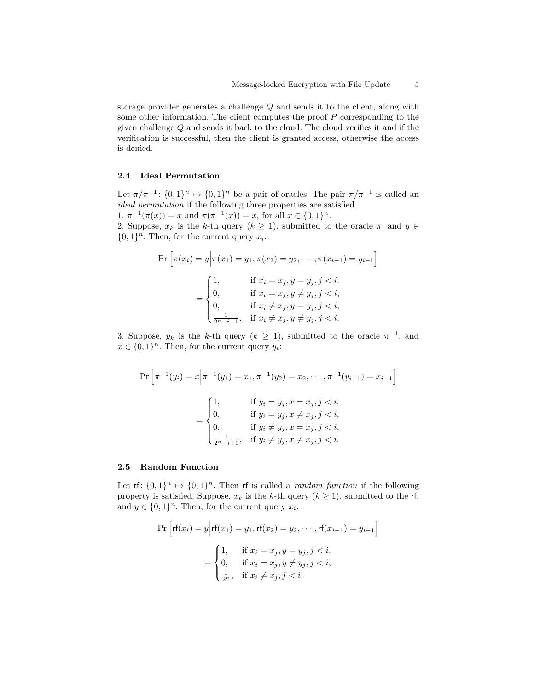storage provider generates a challenge *Q* and sends it to the client, along with some other information. The client computes the proof *P* corresponding to the given challenge *Q* and sends it back to the cloud. The cloud verifies it and if the verification is successful, then the client is granted access, otherwise the access is denied.

## **2.4 Ideal Permutation**

Let  $\pi/\pi^{-1}$ :  $\{0,1\}^n \mapsto \{0,1\}^n$  be a pair of oracles. The pair  $\pi/\pi^{-1}$  is called an *ideal permutation* if the following three properties are satisfied.

1.  $\pi^{-1}(\pi(x)) = x$  and  $\pi(\pi^{-1}(x)) = x$ , for all  $x \in \{0, 1\}^n$ . 2. Suppose,  $x_k$  is the *k*-th query  $(k \geq 1)$ , submitted to the oracle  $\pi$ , and  $y \in$  $\{0, 1\}^n$ . Then, for the current query  $x_i$ :

$$
\Pr\left[\pi(x_i) = y \middle| \pi(x_1) = y_1, \pi(x_2) = y_2, \cdots, \pi(x_{i-1}) = y_{i-1}\right]
$$
\n
$$
= \begin{cases}\n1, & \text{if } x_i = x_j, y = y_j, j < i, \\
0, & \text{if } x_i = x_j, y \neq y_j, j < i, \\
0, & \text{if } x_i \neq x_j, y = y_j, j < i, \\
\frac{1}{2^{n-i+1}}, & \text{if } x_i \neq x_j, y \neq y_j, j < i.\n\end{cases}
$$

3. Suppose,  $y_k$  is the *k*-th query  $(k \geq 1)$ , submitted to the oracle  $\pi^{-1}$ , and  $x \in \{0,1\}^n$ . Then, for the current query  $y_i$ :

$$
\Pr\left[\pi^{-1}(y_i) = x \middle| \pi^{-1}(y_1) = x_1, \pi^{-1}(y_2) = x_2, \cdots, \pi^{-1}(y_{i-1}) = x_{i-1}\right]
$$
\n
$$
= \begin{cases}\n1, & \text{if } y_i = y_j, x = x_j, j < i, \\
0, & \text{if } y_i = y_j, x \neq x_j, j < i, \\
0, & \text{if } y_i \neq y_j, x = x_j, j < i, \\
\frac{1}{2^{n-i+1}}, & \text{if } y_i \neq y_j, x \neq x_j, j < i.\n\end{cases}
$$

### **2.5 Random Function**

Let  $\mathsf{r} \mathsf{f} : \{0,1\}^n \mapsto \{0,1\}^n$ . Then  $\mathsf{r} \mathsf{f}$  is called a *random function* if the following property is satisfied. Suppose,  $x_k$  is the *k*-th query  $(k \ge 1)$ , submitted to the rf, and  $y \in \{0,1\}^n$ . Then, for the current query  $x_i$ :

$$
\Pr\left[rf(x_i) = y | r f(x_1) = y_1, r f(x_2) = y_2, \cdots, r f(x_{i-1}) = y_{i-1}\right]
$$
\n
$$
= \begin{cases} 1, & \text{if } x_i = x_j, y = y_j, j < i. \\ 0, & \text{if } x_i = x_j, y \neq y_j, j < i, \\ \frac{1}{2^n}, & \text{if } x_i \neq x_j, j < i. \end{cases}
$$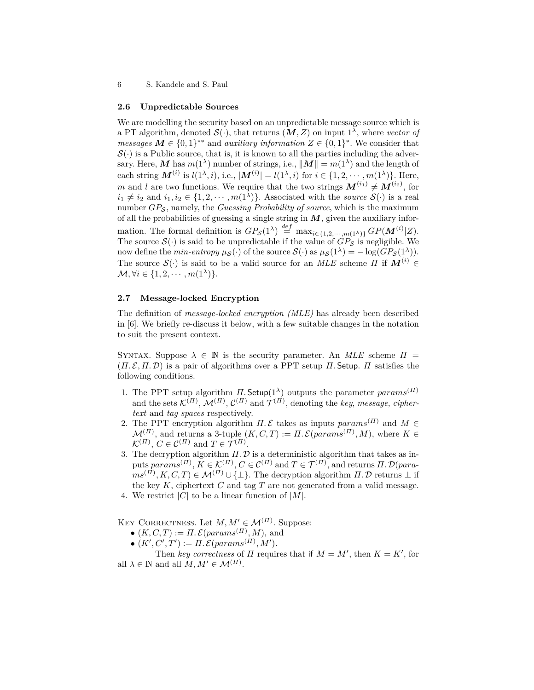#### **2.6 Unpredictable Sources**

We are modelling the security based on an unpredictable message source which is a PT algorithm, denoted  $\mathcal{S}(\cdot)$ , that returns  $(M, Z)$  on input  $1^{\lambda}$ , where *vector of messages*  $M \in \{0,1\}^{**}$  and *auxiliary information*  $Z \in \{0,1\}^{*}$ . We consider that  $\mathcal{S}(\cdot)$  is a Public source, that is, it is known to all the parties including the adversary. Here, M has  $m(1^{\lambda})$  number of strings, i.e.,  $||M|| = m(1^{\lambda})$  and the length of each string  $M^{(i)}$  is  $l(1^{\lambda}, i)$ , i.e.,  $|M^{(i)}| = l(1^{\lambda}, i)$  for  $i \in \{1, 2, \cdots, m(1^{\lambda})\}$ . Here, *m* and *l* are two functions. We require that the two strings  $M^{(i_1)} \neq M^{(i_2)}$ , for  $i_1 \neq i_2$  and  $i_1, i_2 \in \{1, 2, \cdots, m(1^{\lambda})\}$ . Associated with the *source*  $\mathcal{S}(\cdot)$  is a real number *GP<sub>S</sub>*, namely, the *Guessing Probability of source*, which is the maximum of all the probabilities of guessing a single string in  $M$ , given the auxiliary information. The formal definition is  $GP_{\mathcal{S}}(1^{\lambda}) \stackrel{def}{=} \max_{i \in \{1, 2, \cdots, m(1^{\lambda})\}} GP(M^{(i)}|Z)$ . The source  $\mathcal{S}(\cdot)$  is said to be unpredictable if the value of  $GP_{\mathcal{S}}$  is negligible. We now define the *min-entropy*  $\mu_{\mathcal{S}}(\cdot)$  of the source  $\mathcal{S}(\cdot)$  as  $\mu_{\mathcal{S}}(1^{\lambda}) = -\log(GP_{\mathcal{S}}(1^{\lambda}))$ *.* The source  $\mathcal{S}(\cdot)$  is said to be a valid source for an *MLE* scheme *Π* if  $M^{(i)} \in$  $\mathcal{M}, \forall i \in \{1, 2, \cdots, m(1^{\lambda})\}.$ 

### **2.7 Message-locked Encryption**

The definition of *message-locked encryption (MLE)* has already been described in [6]. We briefly re-discuss it below, with a few suitable changes in the notation to suit the present context.

SYNTAX. Suppose  $\lambda \in \mathbb{N}$  is the security parameter. An *MLE* scheme  $\Pi$  = (*Π.* E*, Π.* D) is a pair of algorithms over a PPT setup *Π.* Setup. *Π* satisfies the following conditions.

- 1. The PPT setup algorithm  $\Pi$ . Setup(1<sup> $\lambda$ </sup>) outputs the parameter *params*<sup>(*Π*)</sup> and the sets  $\mathcal{K}^{(II)}$ ,  $\mathcal{M}^{(II)}$ ,  $\mathcal{C}^{(II)}$  and  $\mathcal{T}^{(II)}$ , denoting the *key*, *message*, *ciphertext* and *tag spaces* respectively.
- 2. The PPT encryption algorithm  $\Pi$ . E takes as inputs  $params^{(\Pi)}$  and  $M \in$  $\mathcal{M}^{(II)}$ , and returns a 3-tuple  $(K, C, T) := \Pi$ .  $\mathcal{E}(params^{(II)}, M)$ , where  $K \in$  $\mathcal{K}^{(II)}$ ,  $C \in \mathcal{C}^{(II)}$  and  $T \in \mathcal{T}^{(II)}$ .
- 3. The decryption algorithm  $\Pi$ .  $D$  is a deterministic algorithm that takes as in $p$ uts  $params^{(II)}, K \in \mathcal{K}^{(II)}, C \in \mathcal{C}^{(II)}$  and  $T \in \mathcal{T}^{(II)},$  and returns  $II. \mathcal{D}(para-I)$  $ms^{(II)}, K, C, T$ )  $\in \mathcal{M}^{(II)} \cup \{\perp\}$ . The decryption algorithm *Π*. D returns  $\perp$  if the key  $K$ , ciphertext  $C$  and tag  $T$  are not generated from a valid message.
- 4. We restrict  $|C|$  to be a linear function of  $|M|$ .

KEY CORRECTNESS. Let  $M, M' \in \mathcal{M}^{(II)}$ . Suppose:

- $\bullet$   $(K, C, T) := \Pi \mathcal{L}(params^{(\Pi)}, M)$ , and
- $(K', C', T') := \Pi \, \mathcal{E}(params^{(\Pi)}, M').$

Then *key correctness* of *Π* requires that if  $M = M'$ , then  $K = K'$ , for all  $\lambda \in \mathbb{N}$  and all  $M, M' \in \mathcal{M}^{(II)}$ .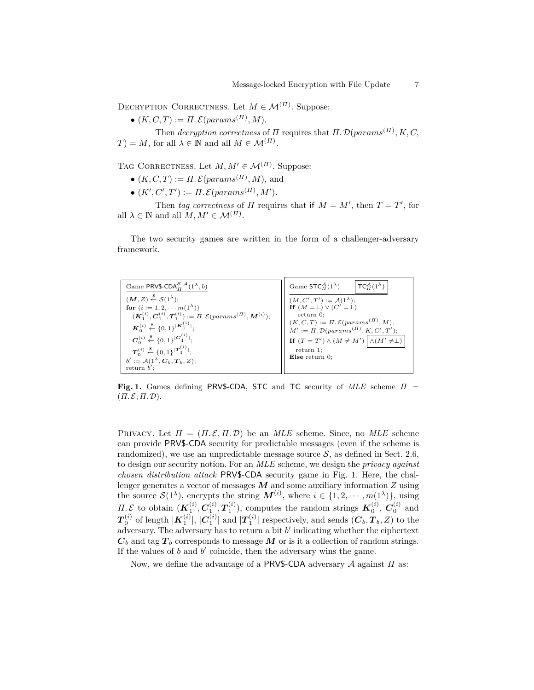DECRYPTION CORRECTNESS. Let  $M \in \mathcal{M}^{(II)}$ . Suppose:

 $\bullet$   $(K, C, T) := \Pi \mathcal{L}(params^{(H)}, M).$ 

Then *decryption correctness* of *Π* requires that *Π.* D(*params*(*Π*) *, K, C,*  $T) = M$ , for all  $\lambda \in \mathbb{N}$  and all  $M \in \mathcal{M}^{(H)}$ .

TAG CORRECTNESS. Let  $M, M' \in \mathcal{M}^{(II)}$ . Suppose:

- $\bullet$   $(K, C, T) := \Pi \mathcal{L}(params^{(\Pi)}, M)$ , and
- $(K', C', T') := \Pi \, \mathcal{E}(params^{(\Pi)}, M').$

Then *tag correctness* of *Π* requires that if  $M = M'$ , then  $T = T'$ , for all  $\lambda \in \mathbb{N}$  and all  $M, M' \in \mathcal{M}^{(II)}$ .

The two security games are written in the form of a challenger-adversary framework.

| Game PRV\$-CDA $_{\text{H}}^{S,\mathcal{A}}(1^{\lambda},b)$                           | Game $STC_{\Pi}^{\mathcal{A}}(1^{\lambda})$<br>$TC_{H}^{A}(1^{\lambda})$                                              |  |  |
|---------------------------------------------------------------------------------------|-----------------------------------------------------------------------------------------------------------------------|--|--|
| $(M, Z) \stackrel{\$}{\leftarrow} S(1^{\lambda});$                                    | $(M, C', T') := \mathcal{A}(1^{\lambda});$<br><b>If</b> $(M = \perp) \vee (C' = \perp)$                               |  |  |
| for $(i := 1, 2, \cdots m(1^{\lambda}))$                                              |                                                                                                                       |  |  |
| $(K_1^{(i)}, C_1^{(i)}, T_1^{(i)}) := \Pi$ . $\mathcal{E}(params^{(\Pi)}, M^{(i)})$ ; | return 0:                                                                                                             |  |  |
| $\mathbf{K}_0^{(i)} \stackrel{\$}{\leftarrow} \{0,1\}^{ \mathbf{K}_1^{(i)} };$        | $(K, C, T) := \Pi \cdot \mathcal{E}(params^{(\Pi)}, M);$<br>$M' := \Pi \cdot \mathcal{D}(params^{(\Pi)}, K, C', T');$ |  |  |
|                                                                                       |                                                                                                                       |  |  |
| $C_0^{(i)} \stackrel{\$}{\leftarrow} \{0,1\}^{ C_1^{(i)} };$                          | If $(T = T') \wedge (M \neq M') \wedge (M' \neq \perp)$                                                               |  |  |
| $\mathbf{T}_0^{(i)} \stackrel{\$}{\leftarrow} \{0,1\}^{ \mathbf{T}_1^{(i)} };$        | $return 1$ ;                                                                                                          |  |  |
| $b' := \mathcal{A}(1^{\lambda}, \mathbf{C}_b, \mathbf{T}_b, Z);$                      | Else return $0$ :                                                                                                     |  |  |
| return $b'$                                                                           |                                                                                                                       |  |  |

**Fig. 1.** Games defining PRV\$-CDA, STC and TC security of *MLE* scheme *Π* =  $(\Pi, \mathcal{E}, \Pi, \mathcal{D}).$ 

PRIVACY. Let  $\Pi = (\Pi, \mathcal{E}, \Pi, \mathcal{D})$  be an *MLE* scheme. Since, no *MLE* scheme can provide PRV\$-CDA security for predictable messages (even if the scheme is randomized), we use an unpredictable message source  $S$ , as defined in Sect. 2.6, to design our security notion. For an *MLE* scheme, we design the *privacy against chosen distribution attack* PRV\$-CDA security game in Fig. 1. Here, the challenger generates a vector of messages *M* and some auxiliary information *Z* using the source  $\mathcal{S}(1^{\lambda})$ , encrypts the string  $\mathbf{M}^{(i)}$ , where  $i \in \{1, 2, \cdots, m(1^{\lambda})\}$ , using *Π. ε* to obtain  $(K_1^{(i)}, C_1^{(i)}, T_1^{(i)})$ , computes the random strings  $K_0^{(i)}$ ,  $C_0^{(i)}$  and  $T_0^{(i)}$  of length  $|K_1^{(i)}|$ ,  $|C_1^{(i)}|$  and  $|T_1^{(i)}|$  respectively, and sends  $(C_b, T_b, Z)$  to the adversary. The adversary has to return a bit  $b'$  indicating whether the ciphertext  $C_b$  and tag  $T_b$  corresponds to message  $M$  or is it a collection of random strings. If the values of  $b$  and  $b'$  coincide, then the adversary wins the game.

Now, we define the advantage of a PRV\$-CDA adversary A against *Π* as: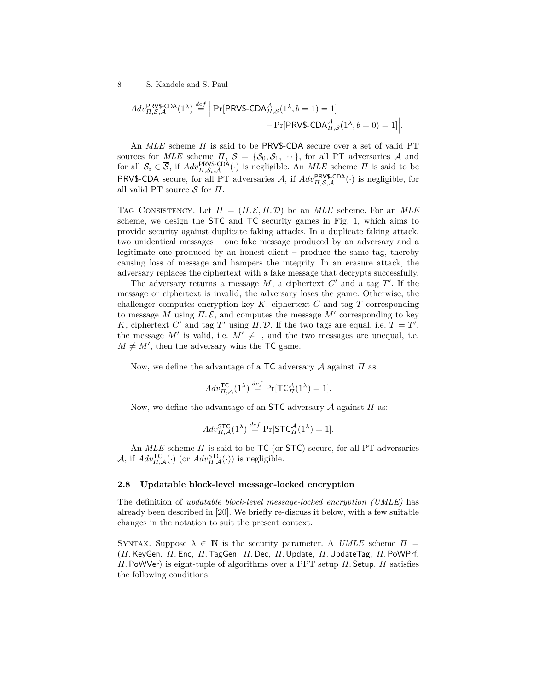$$
Adv_{II,S,A}^{\text{PRV\$-CDA}}(1^{\lambda}) \stackrel{def}{=} \Big|\Pr[\text{PRV\$-CDA}_{II,S}^{\mathcal{A}}(1^{\lambda}, b=1) = 1] - \Pr[\text{PRV\$-CDA}_{II,S}^{\mathcal{A}}(1^{\lambda}, b=0) = 1]\Big|.
$$

An *MLE* scheme *Π* is said to be PRV\$-CDA secure over a set of valid PT sources for  $MLE$  scheme  $\Pi$ ,  $S = \{S_0, S_1, \dots\}$ , for all PT adversaries A and for all  $S_i \in \overline{S}$ , if  $Adv_{\Pi,S_i,\mathcal{A}}^{\text{PPN}}(\cdot)$  is negligible. An  $MLE$  scheme  $\Pi$  is said to be PRV\$-CDA secure, for all PT adversaries  $A$ , if  $Adv_{II,S,A}^{\text{PRV$-CDA}}(\cdot)$  is negligible, for all valid PT source S for *Π*.

TAG CONSISTENCY. Let  $\Pi = (\Pi, \mathcal{E}, \Pi, \mathcal{D})$  be an *MLE* scheme. For an *MLE* scheme, we design the STC and TC security games in Fig. 1, which aims to provide security against duplicate faking attacks. In a duplicate faking attack, two unidentical messages – one fake message produced by an adversary and a legitimate one produced by an honest client – produce the same tag, thereby causing loss of message and hampers the integrity. In an erasure attack, the adversary replaces the ciphertext with a fake message that decrypts successfully.

The adversary returns a message  $M$ , a ciphertext  $C'$  and a tag  $T'$ . If the message or ciphertext is invalid, the adversary loses the game. Otherwise, the challenger computes encryption key *K*, ciphertext *C* and tag *T* corresponding to message *M* using  $\Pi$ .  $\mathcal{E}$ , and computes the message  $M'$  corresponding to key *K*, ciphertext *C*<sup> $\prime$ </sup> and tag *T*<sup> $\prime$ </sup> using *Π*. *D*. If the two tags are equal, i.e.  $T = T'$ , the message *M'* is valid, i.e.  $M' \neq \perp$ , and the two messages are unequal, i.e.  $M \neq M'$ , then the adversary wins the TC game.

Now, we define the advantage of a TC adversary A against *Π* as:

$$
Adv_{\Pi,\mathcal{A}}^{\mathsf{TC}}(1^{\lambda}) \stackrel{def}{=} \Pr[\mathsf{TC}_{\Pi}^{\mathcal{A}}(1^{\lambda}) = 1].
$$

Now, we define the advantage of an STC adversary A against *Π* as:

$$
Adv_{\Pi,\mathcal{A}}^{\mathsf{STC}}(1^{\lambda}) \stackrel{def}{=} \Pr[\mathsf{STC}_{\Pi}^{\mathcal{A}}(1^{\lambda}) = 1].
$$

An *MLE* scheme *Π* is said to be TC (or STC) secure, for all PT adversaries  $\mathcal{A}$ , if  $Adv_{\Pi,\mathcal{A}}^{\mathsf{TC}}(\cdot)$  (or  $Adv_{\Pi,\mathcal{A}}^{\mathsf{STC}}(\cdot)$ ) is negligible.

## **2.8 Updatable block-level message-locked encryption**

The definition of *updatable block-level message-locked encryption (UMLE)* has already been described in [20]. We briefly re-discuss it below, with a few suitable changes in the notation to suit the present context.

SYNTAX. Suppose  $\lambda \in \mathbb{N}$  is the security parameter. A *UMLE* scheme  $\Pi$  = (*Π.*KeyGen*, Π.* Enc*, Π.*TagGen*, Π.* Dec*, Π.*Update*, Π.*UpdateTag*, Π.* PoWPrf*, Π.* PoWVer) is eight-tuple of algorithms over a PPT setup *Π.* Setup. *Π* satisfies the following conditions.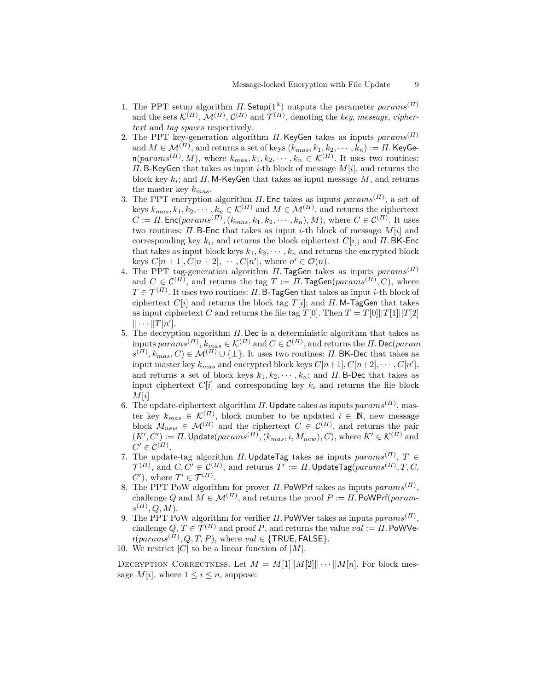- 1. The PPT setup algorithm  $\Pi$ . Setup(1<sup> $\lambda$ </sup>) outputs the parameter *params*<sup>(*Π*)</sup> and the sets  $\mathcal{K}^{(II)}$ ,  $\mathcal{M}^{(II)}$ ,  $\mathcal{C}^{(II)}$  and  $\mathcal{T}^{(II)}$ , denoting the *key*, *message*, *ciphertext* and *tag spaces* respectively.
- 2. The PPT key-generation algorithm *Π.*KeyGen takes as inputs *params*(*Π*) and  $M \in \mathcal{M}^{(II)},$  and returns a set of keys  $(k_{mas}, k_1, k_2, \cdots, k_n) := \Pi.$  KeyGe $n(params^{(II)}, M)$ , where  $k_{mas}, k_1, k_2, \cdots, k_n \in \mathcal{K}^{(II)}$ . It uses two routines: *Π.* B-KeyGen that takes as input *i*-th block of message *M*[*i*], and returns the block key *k<sup>i</sup>* ; and *Π.* M-KeyGen that takes as input message *M*, and returns the master key *kmas*.
- 3. The PPT encryption algorithm *Π.* Enc takes as inputs *params*(*Π*) , a set of keys  $k_{mas}, k_1, k_2, \cdots, k_n \in \mathcal{K}^{(H)}$  and  $M \in \mathcal{M}^{(H)}$ , and returns the ciphertext  $C := \Pi$ . Enc( $params^{(\Pi)}$ ,  $(k_{mas}, k_1, k_2, \cdots, k_n)$ , *M*), where  $C \in \mathcal{C}^{(H)}$ . It uses two routines: *Π.* B-Enc that takes as input *i*-th block of message *M*[*i*] and corresponding key *k<sup>i</sup>* , and returns the block ciphertext *C*[*i*]; and *Π.* BK-Enc that takes as input block keys  $k_1, k_2, \cdots, k_n$  and returns the encrypted block keys  $C[n+1], C[n+2], \cdots, C[n'],$  where  $n' \in \mathcal{O}(n)$ .
- 4. The PPT tag-generation algorithm *Π.*TagGen takes as inputs *params*(*Π*) and  $C \in \mathcal{C}^{(II)}$ , and returns the tag  $T := \Pi$ . TagGen( $params^{(II)}, C$ ), where  $T \in \mathcal{T}^{(II)}.$  It uses two routines: *Π.* B-TagGen that takes as input *i*-th block of ciphertext  $C[i]$  and returns the block tag  $T[i]$ ; and  $\Pi$ . M-TagGen that takes as input ciphertext *C* and returns the file tag *T*[0]. Then  $T = T[0]||T[1]||T[2]$  $|| \cdots ||T[n']$ .
- 5. The decryption algorithm *Π.* Dec is a deterministic algorithm that takes as  $\text{inputs}\text{ }params^{(II)}, \text{ } k_{mas} \in \mathcal{K}^{(II)} \text{ and } C \in \mathcal{C}^{(II)}, \text{ and returns the } II.$  Dec(*param*  $(s^{(II)}, k_{mas}, C) \in \mathcal{M}^{(II)} \cup \{\perp\}$ . It uses two routines: *Π*. BK-Dec that takes as input master key  $k_{mas}$  and encrypted block keys  $C[n+1], C[n+2], \cdots, C[n'],$ and returns a set of block keys  $k_1, k_2, \dots, k_n$ ; and *Π*. B-Dec that takes as input ciphertext  $C[i]$  and corresponding key  $k_i$  and returns the file block *M*[*i*]
- 6. The update-ciphertext algorithm  $\Pi$ . Update takes as inputs  $params^{(\Pi)}$ , master key  $k_{mas} \in \mathcal{K}^{(II)}$ , block number to be updated  $i \in \mathbb{N}$ , new message block  $M_{new} \in \mathcal{M}^{(II)}$  and the ciphertext  $C \in \mathcal{C}^{(II)}$ , and returns the pair  $(K', C') := \Pi$ . Update $(params^{(\Pi)}, (k_{mas}, i, M_{new}), C)$ , where  $K' \in \mathcal{K}^{(\Pi)}$  and  $C' \in \mathcal{C}^{(\Pi)}$ .
- 7. The update-tag algorithm *Π*. UpdateTag takes as inputs  $params^{(II)}$ ,  $T \in$  $\mathcal{T}^{(II)},$  and  $C, C' \in \mathcal{C}^{(II)},$  and returns  $T':= \varPi.$  <code>UpdateTag $(params^{(II)}, T, C,$ </code>  $C'$ ), where  $T' \in \mathcal{T}^{(II)}$ .
- 8. The PPT PoW algorithm for prover *Π.* PoWPrf takes as inputs *params*(*Π*) , challenge *Q* and  $M \in \mathcal{M}^{(II)}$ , and returns the proof  $P := \Pi$ . PoWPrf(*param* $s^{(II)}, Q, M$ ).
- 9. The PPT PoW algorithm for verifier *Π.* PoWVer takes as inputs *params*(*Π*) , challenge  $Q, T \in \mathcal{T}^{(II)}$  and proof *P*, and returns the value  $val := \Pi$ . PoWVe $r(params^{(II)}, Q, T, P)$ , where  $val \in \{\textsf{TRUE}, \textsf{FALSE}\}.$
- 10. We restrict  $|C|$  to be a linear function of  $|M|$ .

DECRYPTION CORRECTNESS. Let  $M = M[1] \mid |M[2] \mid | \cdots | |M[n]$ . For block message  $M[i]$ , where  $1 \leq i \leq n$ , suppose: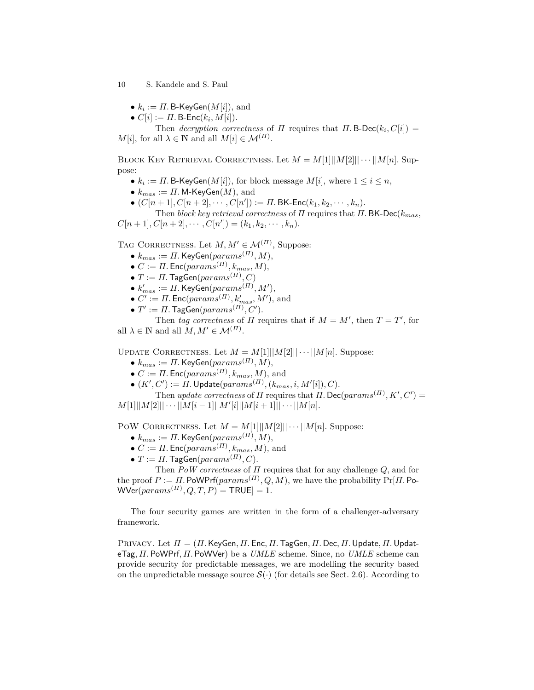- $\bullet$   $k_i := \Pi$ . B-KeyGen $(M[i]),$  and
- $\bullet$   $C[i] := \Pi$ . B-Enc $(k_i, M[i])$ .

Then *decryption correctness* of *Π* requires that *Π*. B-Dec( $k_i$ ,  $C[i]$ ) =  $M[i]$ , for all  $\lambda \in \mathbb{N}$  and all  $M[i] \in \mathcal{M}^{(II)}$ .

BLOCK KEY RETRIEVAL CORRECTNESS. Let  $M = M[1] \mid |M[2] \mid | \cdots | |M[n]$ . Suppose:

- $k_i := \Pi$ . B-KeyGen $(M[i])$ , for block message  $M[i]$ , where  $1 \leq i \leq n$ ,
- $k_{mas} := \Pi$ . M-KeyGen( $M$ ), and
- $\bullet$   $(C[n+1], C[n+2], \cdots, C[n']) := \Pi$ . BK-Enc $(k_1, k_2, \cdots, k_n)$ .

Then *block key retrieval correctness* of *Π* requires that *Π.* BK-Dec(*kmas,*  $C[n+1], C[n+2], \cdots, C[n']) = (k_1, k_2, \cdots, k_n).$ 

TAG CORRECTNESS. Let  $M, M' \in \mathcal{M}^{(II)}$ , Suppose:

- $\bullet$   $k_{mas} := \Pi$ . KeyGen $(params^{(\Pi)}, M),$
- $\bullet$   $C := \Pi$ . Enc $(params^{(\Pi)}, k_{mas}, M),$
- $\bullet$   $T := \Pi$ . TagGen $(params^{(\Pi)}, C)$
- $\bullet$   $k'_{mas} := \Pi$ . KeyGen $(params^{(\Pi)}, M'),$
- $\bullet$  *C'* := *Π*. Enc(*params*<sup>(*Π*)</sup>,  $k'_{mas}$ , *M'*), and
- $\bullet$   $T':=$   $\Pi.$  TagGen $(params^{(II)}, C').$

Then *tag correctness* of *Π* requires that if  $M = M'$ , then  $T = T'$ , for all  $\lambda \in \mathbb{N}$  and all  $M, M' \in \mathcal{M}^{(H)}$ .

UPDATE CORRECTNESS. Let  $M = M[1] \mid |M[2] \mid | \cdots | |M[n]$ . Suppose:

- $\bullet$   $k_{mas} := \Pi$ . KeyGen $(params^{(\Pi)}, M),$
- $\bullet$  *C* := *Π*. Enc( $params$ <sup>(*Π*)</sup>,  $k_{mas}$ , *M*), and
- $\bullet$   $(K', C') := \Pi$ . Update $(params^{(\Pi)}, (k_{mas}, i, M'[i]), C)$ .

Then *update correctness* of *Π* requires that *Π*. Dec( $params^{(II)}, K', C'$ ) =  $M[1] \cup M[2] \cup \cdots \cup M[i-1] \cup M'[i] \cup M[i+1] \cup \cdots \cup M[n].$ 

POW CORRECTNESS. Let  $M = M[1] \mid \mid \mid M[2] \mid \mid \cdots \mid \mid M[n]$ . Suppose:

- $\bullet$   $k_{mas} := \Pi$ . KeyGen $(params^{(\Pi)}, M),$
- $\bullet$  *C* := *Π*. Enc( $params^{(II)}, k_{mas}, M$ ), and
- $\bullet$   $T := \Pi$ . TagGen $(params^{(\Pi)}, C)$ .

Then *PoW correctness* of *Π* requires that for any challenge *Q*, and for the proof  $P := \Pi$ . PoWPrf( $params^{(\Pi)}, Q, M$ ), we have the probability  $Pr[\Pi]$ . Po- $\mathsf{WVer}(params^{(\varPi)}, Q, T, P) = \mathsf{TRUE} ] = 1.$ 

The four security games are written in the form of a challenger-adversary framework.

Privacy. Let *Π* = (*Π.*KeyGen*, Π.* Enc*, Π.*TagGen*, Π.* Dec*, Π.*Update*, Π.*UpdateTag*, Π.* PoWPrf*, Π.* PoWVer) be a *UMLE* scheme. Since, no *UMLE* scheme can provide security for predictable messages, we are modelling the security based on the unpredictable message source  $\mathcal{S}(\cdot)$  (for details see Sect. 2.6). According to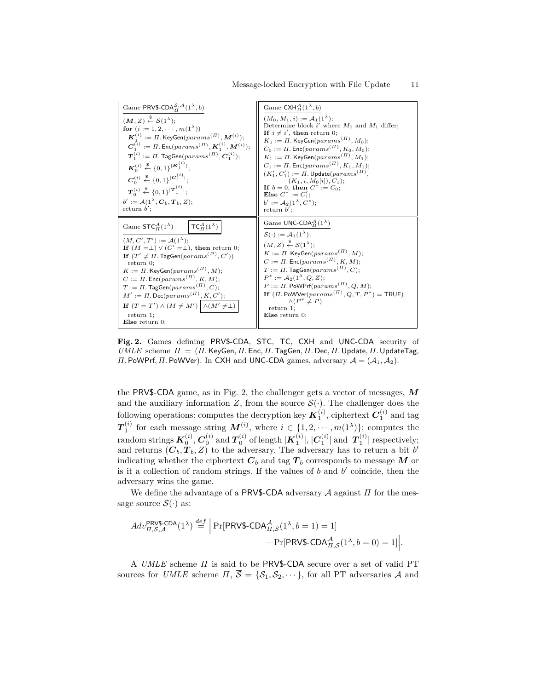| Game PRV\$-CDA $_{\Pi}^{S,A}(1^{\lambda},b)$                                                                                                                                                                                                                                                                                                                                                                                                                                                                                                                                                                                                                                        | Game CXH $_{H}^{A}(1^{\lambda},b)$                                                                                                                                                                                                                                                                                                                                                                                                                                                                                                                                                                                |
|-------------------------------------------------------------------------------------------------------------------------------------------------------------------------------------------------------------------------------------------------------------------------------------------------------------------------------------------------------------------------------------------------------------------------------------------------------------------------------------------------------------------------------------------------------------------------------------------------------------------------------------------------------------------------------------|-------------------------------------------------------------------------------------------------------------------------------------------------------------------------------------------------------------------------------------------------------------------------------------------------------------------------------------------------------------------------------------------------------------------------------------------------------------------------------------------------------------------------------------------------------------------------------------------------------------------|
| $(M, Z) \stackrel{\$}{\leftarrow} S(1^{\lambda});$<br>for $(i := 1, 2, \cdots, m(1^{\lambda}))$<br>$\boldsymbol{K}_1^{(i)} := \Pi$ . KeyGen $(params^{(\Pi)}, \boldsymbol{M}^{(i)})$ ;<br>$C_1^{(i)} := \Pi$ . Enc(params <sup>(<math>\Pi</math>)</sup> , $K_1^{(i)}$ , $M^{(i)}$ );<br>$T_1^{(i)} := \Pi$ . TagGen $(params^{(\Pi)}, C_1^{(i)})$ ;<br>$\mathbf{K}_0^{(i)} \stackrel{\$}{\leftarrow} \{0,1\}^{ \mathbf{K}_1^{(i)} };$<br>$C_0^{(i)} \stackrel{\$}{\leftarrow} \{0,1\}^{ C_1^{(i)} }$<br>$\boldsymbol{T}_0^{(i)} \stackrel{\$}{\leftarrow} \{0,1\}^{ \boldsymbol{T}_1^{(i)} };$<br>$b' := \mathcal{A}(1^{\lambda}, \mathbf{C}_b, \mathbf{T}_b, Z);$<br>return $b'$ : | $(M_0, M_1, i) := A_1(1^{\lambda})$<br>Determine block i' where $M_0$ and $M_1$ differ;<br>If $i \neq i'$ , then return 0;<br>$K_0 := \Pi$ . KeyGen( $params^{(II)}, M_0$ );<br>$C_0 := \Pi$ . Enc(params <sup>(<math>\Pi</math>)</sup> , $K_0$ , $M_0$ );<br>$K_1 := \Pi$ . KeyGen $(params^{(\Pi)}, M_1);$<br>$C_1 := \Pi$ . Enc(params <sup>(<math>\Pi</math>)</sup> , $K_1, M_1$ );<br>$(K_1', C_1') := \Pi$ . Update $(\text{params}^{(\Pi)},$<br>$(K_1, i, M_0[i]), C_1$ ;<br>If $b = 0$ , then $C^* := C_0$ ;<br><b>Else</b> $C^* := C'_1$ ;<br>$b' := \mathcal{A}_2(1^{\lambda}, C^*)$ ;<br>return $b'$ : |
| Game $STC_{\Pi}^{\mathcal{A}}(1^{\lambda})$<br>$TC_{\Pi}^{\mathcal{A}}(1^{\lambda})$<br>$(M, C', T') := A(1^{\lambda})$<br>If $(M = \perp) \vee (C' = \perp)$ , then return 0;<br>If $(T' \neq \Pi$ . TagGen $(params^{(\Pi)}, C'))$<br>$return 0$ ;<br>$K := \Pi$ . KeyGen $(params^{(\Pi)}, M);$<br>$C := \Pi$ . Enc(params <sup>(<math>\Pi</math>)</sup> , $K, M$ );<br>$T := \Pi$ . TagGen( $params^{(\Pi)}$ , C);<br>$M' := \Pi$ . Dec( $params^{(\Pi)}, K, C'$ );<br>If $(T = T') \wedge (M \neq M') \wedge (M' \neq \perp)$<br>$return 1$ ;<br>Else return $0$ :                                                                                                             | Game UNC-CDA $_{\pi}^{\mathcal{A}}(1^{\lambda})$<br>$\mathcal{S}(\cdot) := \mathcal{A}_1(1^{\lambda});$<br>$(M, Z) \overset{\$}{\leftarrow} S(1^{\lambda})$ :<br>$K := \Pi$ . KeyGen $(params^{(\Pi)}, M);$<br>$C := \Pi$ . Enc $(params^{(\Pi)}, K, M);$<br>$T := \Pi$ . TagGen( $params^{(\Pi)}$ , C);<br>$P^* := \mathcal{A}_2(1^{\lambda}, Q, Z);$<br>$P := \Pi$ . PoWPrf $(params^{(\Pi)}, Q, M);$<br>If $(\Pi$ . PoWVer $(params^{(\Pi)}, Q, T, P^*)$ = TRUE)<br>$\wedge (P^* \neq P)$<br>$return 1$ ;<br>Else return $0$ :                                                                                 |

**Fig. 2.** Games defining PRV\$-CDA, STC, TC, CXH and UNC-CDA security of *UMLE* scheme *Π* = (*Π.* KeyGen*, Π.* Enc*, Π.* TagGen*, Π.* Dec*, Π.* Update*, Π.* UpdateTag*, Π.* PoWPrf*, Π.* PoWVer). In CXH and UNC-CDA games, adversary A = (A1*,* A2).

the PRV\$-CDA game, as in Fig. 2, the challenger gets a vector of messages, *M* and the auxiliary information *Z*, from the source  $\mathcal{S}(\cdot)$ . The challenger does the following operations: computes the decryption key  $K_1^{(i)}$ , ciphertext  $C_1^{(i)}$  and tag  $T_1^{(i)}$  for each message string  $M^{(i)}$ , where  $i \in \{1, 2, \cdots, m(1^{\lambda})\}$ ; computes the  $\pi$  random strings  $\pmb{K}^{(i)}_0, \pmb{C}^{(i)}_0 \text{ and } \pmb{T}^{(i)}_0$  of length  $|\pmb{K}^{(i)}_1|, |\pmb{C}^{(i)}_1|$  and  $|\pmb{T}^{(i)}_1|$  respectively; and returns  $(C_b, T_b, Z)$  to the adversary. The adversary has to return a bit  $b'$ indicating whether the ciphertext  $C_b$  and tag  $T_b$  corresponds to message  $M$  or is it a collection of random strings. If the values of  $b$  and  $b'$  coincide, then the adversary wins the game.

We define the advantage of a PRV\$-CDA adversary A against *Π* for the message source  $\mathcal{S}(\cdot)$  as:

$$
Adv_{II,S,A}^{\text{PRV\$-CDA}}(1^{\lambda}) \stackrel{def}{=} \left| \Pr[\text{PRV\$-CDA}_{II,S}^{\mathcal{A}}(1^{\lambda}, b=1) = 1] - \Pr[\text{PRV\$-CDA}_{II,S}^{\mathcal{A}}(1^{\lambda}, b=0) = 1] \right|.
$$

A *UMLE* scheme *Π* is said to be PRV\$-CDA secure over a set of valid PT sources for *UMLE* scheme  $\Pi$ ,  $\overline{S} = \{S_1, S_2, \dots\}$ , for all PT adversaries A and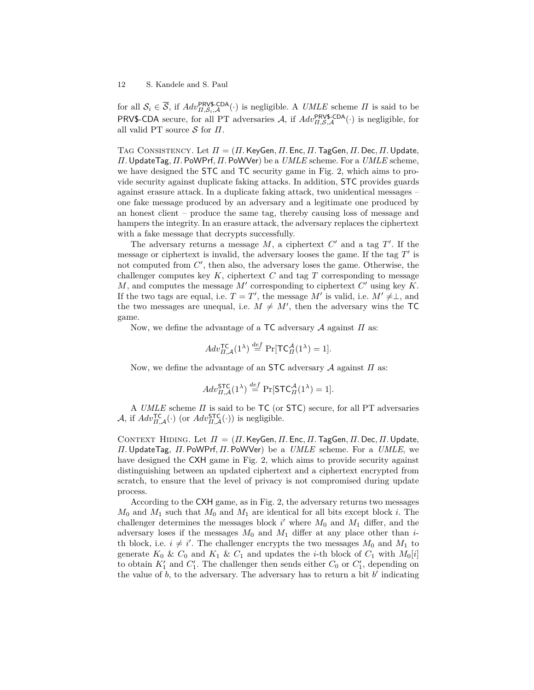for all  $S_i \in \overline{S}$ , if  $Adv_{\Pi,S_i,\mathcal{A}}^{\text{PRV$-CDA}}(\cdot)$  is negligible. A *UMLE* scheme  $\Pi$  is said to be PRV\$-CDA secure, for all PT adversaries  $A$ , if  $Adv_{II,S,A}^{\text{PRV$-CDA}}(\cdot)$  is negligible, for all valid PT source S for *Π*.

Tag Consistency. Let *Π* = (*Π.*KeyGen*, Π.* Enc*, Π.*TagGen*, Π.* Dec*, Π.*Update*, Π.*UpdateTag*, Π.* PoWPrf*, Π.* PoWVer) be a *UMLE* scheme. For a *UMLE* scheme, we have designed the STC and TC security game in Fig. 2, which aims to provide security against duplicate faking attacks. In addition, STC provides guards against erasure attack. In a duplicate faking attack, two unidentical messages – one fake message produced by an adversary and a legitimate one produced by an honest client – produce the same tag, thereby causing loss of message and hampers the integrity. In an erasure attack, the adversary replaces the ciphertext with a fake message that decrypts successfully.

The adversary returns a message  $M$ , a ciphertext  $C'$  and a tag  $T'$ . If the message or ciphertext is invalid, the adversary looses the game. If the tag  $T'$  is not computed from  $C'$ , then also, the adversary loses the game. Otherwise, the challenger computes key *K*, ciphertext *C* and tag *T* corresponding to message  $M$ , and computes the message  $M'$  corresponding to ciphertext  $C'$  using key  $K$ . If the two tags are equal, i.e.  $T = T'$ , the message M' is valid, i.e.  $M' \neq \perp$ , and the two messages are unequal, i.e.  $M \neq M'$ , then the adversary wins the TC game.

Now, we define the advantage of a TC adversary A against *Π* as:

$$
Adv_{\Pi,\mathcal{A}}^{\mathsf{TC}}(1^{\lambda}) \stackrel{def}{=} \Pr[\mathsf{TC}_{\Pi}^{\mathcal{A}}(1^{\lambda}) = 1].
$$

Now, we define the advantage of an STC adversary A against *Π* as:

$$
Adv_{\Pi,\mathcal{A}}^{\mathsf{STC}}(1^{\lambda}) \stackrel{def}{=} \Pr[\mathsf{STC}_{\Pi}^{\mathcal{A}}(1^{\lambda}) = 1].
$$

A *UMLE* scheme *Π* is said to be TC (or STC) secure, for all PT adversaries A, if  $Adv_{\Pi,\mathcal{A}}^{\mathsf{TC}}(\cdot)$  (or  $Adv_{\Pi,\mathcal{A}}^{\mathsf{STC}}(\cdot)$ ) is negligible.

Context Hiding. Let *Π* = (*Π.*KeyGen*, Π.* Enc*, Π.*TagGen*, Π.* Dec*, Π.*Update*, Π.*UpdateTag*, Π.* PoWPrf*, Π.* PoWVer) be a *UMLE* scheme. For a *UMLE*, we have designed the CXH game in Fig. 2, which aims to provide security against distinguishing between an updated ciphertext and a ciphertext encrypted from scratch, to ensure that the level of privacy is not compromised during update process.

According to the CXH game, as in Fig. 2, the adversary returns two messages *M*<sup>0</sup> and *M*<sup>1</sup> such that *M*<sup>0</sup> and *M*<sup>1</sup> are identical for all bits except block *i*. The challenger determines the messages block  $i'$  where  $M_0$  and  $M_1$  differ, and the adversary loses if the messages  $M_0$  and  $M_1$  differ at any place other than *i*th block, i.e.  $i \neq i'$ . The challenger encrypts the two messages  $M_0$  and  $M_1$  to generate  $K_0 \& C_0$  and  $K_1 \& C_1$  and updates the *i*-th block of  $C_1$  with  $M_0[i]$ to obtain  $K_1'$  and  $C_1'$ . The challenger then sends either  $C_0$  or  $C_1'$ , depending on the value of  $b$ , to the adversary. The adversary has to return a bit  $b'$  indicating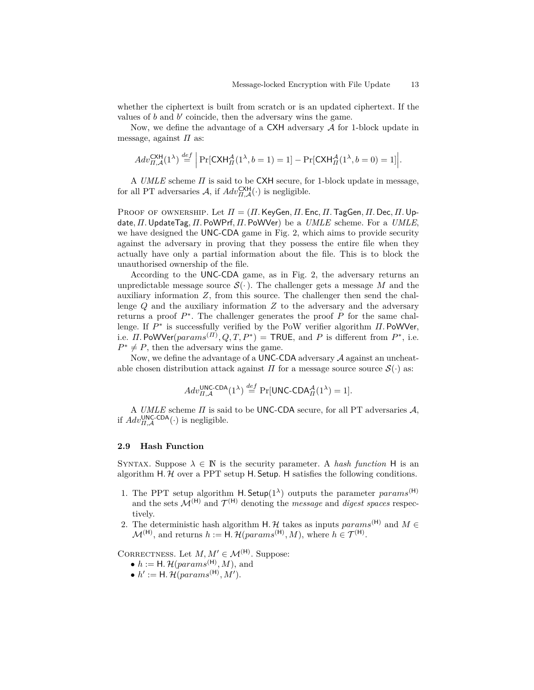whether the ciphertext is built from scratch or is an updated ciphertext. If the values of  $b$  and  $b'$  coincide, then the adversary wins the game.

Now, we define the advantage of a  $C XH$  adversary  $A$  for 1-block update in message, against *Π* as:

$$
Adv_{\Pi,\mathcal{A}}^{\mathsf{CKH}}(1^{\lambda}) \stackrel{def}{=} \Big|\Pr[\mathsf{CKH}_{\Pi}^{\mathcal{A}}(1^{\lambda}, b=1)=1] - \Pr[\mathsf{CKH}_{\Pi}^{\mathcal{A}}(1^{\lambda}, b=0)=1]\Big|.
$$

A *UMLE* scheme *Π* is said to be CXH secure, for 1-block update in message, for all PT adversaries  $A$ , if  $Adv_{\Pi,\mathcal{A}}^{\mathsf{CXH}}(\cdot)$  is negligible.

Proof of ownership. Let *Π* = (*Π.*KeyGen*, Π.* Enc*, Π.*TagGen*, Π.* Dec*, Π.*Update*, Π.*UpdateTag*, Π.* PoWPrf*, Π.* PoWVer) be a *UMLE* scheme. For a *UMLE*, we have designed the UNC-CDA game in Fig. 2, which aims to provide security against the adversary in proving that they possess the entire file when they actually have only a partial information about the file. This is to block the unauthorised ownership of the file.

According to the UNC-CDA game, as in Fig. 2, the adversary returns an unpredictable message source  $\mathcal{S}(\cdot)$ . The challenger gets a message M and the auxiliary information *Z*, from this source. The challenger then send the challenge *Q* and the auxiliary information *Z* to the adversary and the adversary returns a proof  $P^*$ . The challenger generates the proof  $P$  for the same challenge. If *P* ∗ is successfully verified by the PoW verifier algorithm *Π.* PoWVer, i.e. *Π*. PoWVer( $params^{(II)}, Q, T, P^*$ ) = TRUE, and *P* is different from  $P^*$ , i.e.  $P^* \neq P$ , then the adversary wins the game.

Now, we define the advantage of a UNC-CDA adversary  $A$  against an uncheatable chosen distribution attack against  $\Pi$  for a message source source  $\mathcal{S}(\cdot)$  as:

$$
Adv_{\Pi,\mathcal{A}}^{\mathsf{UNC-CDA}}(1^{\lambda}) \stackrel{def}{=} \Pr[\mathsf{UNC-CDA}_{\Pi}^{\mathcal{A}}(1^{\lambda}) = 1].
$$

A *UMLE* scheme *Π* is said to be UNC-CDA secure, for all PT adversaries A, if  $Adv_{\Pi,\mathcal{A}}^{\text{UNC-CDA}}(\cdot)$  is negligible.

## **2.9 Hash Function**

SYNTAX. Suppose  $\lambda \in \mathbb{N}$  is the security parameter. A *hash function* H is an algorithm  $H$ .  $H$  over a PPT setup  $H$ . Setup.  $H$  satisfies the following conditions.

- 1. The PPT setup algorithm H. Setup( $1^{\lambda}$ ) outputs the parameter *params*<sup>(H)</sup> and the sets  $\mathcal{M}^{(H)}$  and  $\mathcal{T}^{(H)}$  denoting the *message* and *digest spaces* respectively.
- 2. The deterministic hash algorithm H. H takes as inputs  $params^{(H)}$  and  $M \in$  $\mathcal{M}^{(\mathsf{H})}$ , and returns  $h := \mathsf{H}.\,\mathcal{H}(params^{(\mathsf{H})}, M)$ , where  $h \in \mathcal{T}^{(\mathsf{H})}$ .

CORRECTNESS. Let  $M, M' \in \mathcal{M}^{(H)}$ . Suppose:

- $h := \mathsf{H}.\,\mathcal{H}(params^{(\mathsf{H})}, M), \text{ and}$
- $h' := H$ *.*  $\mathcal{H}(params^{(H)}, M')$ *.*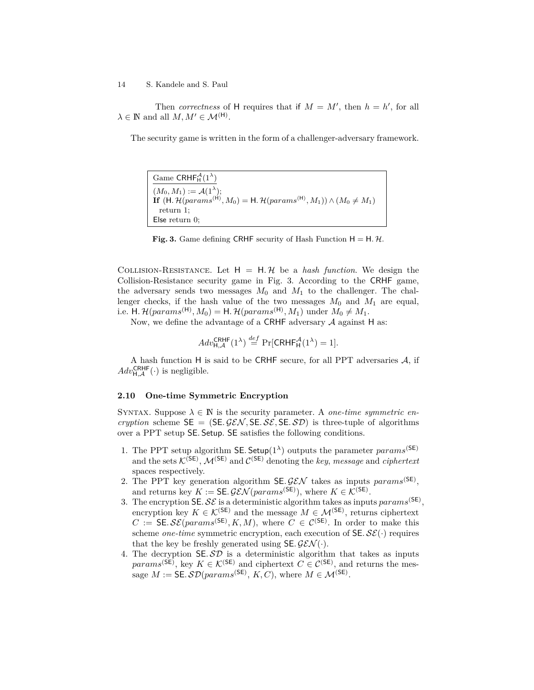Then *correctness* of H requires that if  $M = M'$ , then  $h = h'$ , for all  $\lambda \in \mathbb{N}$  and all  $M, M' \in \mathcal{M}^{(\mathsf{H})}$ .

The security game is written in the form of a challenger-adversary framework.

 $\text{Game CRHF}_{\text{H}}^{\mathcal{A}}(1^{\lambda})$  $(M_0, M_1) := \mathcal{A}(1^{\lambda});$ **If**  $(H. \mathcal{H}(params^{(H)}, M_0) = H. \mathcal{H}(params^{(H)}, M_1)) \land (M_0 \neq M_1)$ return 1; Else return 0;

**Fig. 3.** Game defining CRHF security of Hash Function  $H = H \mathcal{H}$ .

COLLISION-RESISTANCE. Let  $H = H \mathcal{H}$  be a *hash function*. We design the Collision-Resistance security game in Fig. 3. According to the CRHF game, the adversary sends two messages  $M_0$  and  $M_1$  to the challenger. The challenger checks, if the hash value of the two messages  $M_0$  and  $M_1$  are equal, i.e. H.  $\mathcal{H}(params^{(\mathsf{H})}, M_0) = \mathsf{H} \cdot \mathcal{H}(params^{(\mathsf{H})}, M_1)$  under  $M_0 \neq M_1$ .

Now, we define the advantage of a CRHF adversary A against H as:

$$
Adv_{\mathsf{H},\mathcal{A}}^{\mathsf{CRHF}}(1^{\lambda}) \stackrel{def}{=} \Pr[\mathsf{CRHF}_{\mathsf{H}}^{\mathcal{A}}(1^{\lambda}) = 1].
$$

A hash function H is said to be CRHF secure, for all PPT adversaries A, if  $Adv_{H,\mathcal{A}}^{\text{CRHF}}(\cdot)$  is negligible.

# **2.10 One-time Symmetric Encryption**

SYNTAX. Suppose  $\lambda \in \mathbb{N}$  is the security parameter. A *one-time symmetric encryption* scheme  $SE = (SE \mathcal{GEN}, SE \mathcal{SE}, SE \mathcal{SD})$  is three-tuple of algorithms over a PPT setup SE*.* Setup. SE satisfies the following conditions.

- 1. The PPT setup algorithm **SE**. Setup( $1^{\lambda}$ ) outputs the parameter *params*<sup>(SE)</sup> and the sets  $\mathcal{K}^{(\mathsf{SE})}$ ,  $\mathcal{M}^{(\mathsf{SE})}$  and  $\mathcal{C}^{(\mathsf{SE})}$  denoting the *key*, *message* and *ciphertext* spaces respectively.
- 2. The PPT key generation algorithm  $SE.GEN$  takes as inputs  $params^{(SE)}$ , and returns key  $K := \mathsf{SE.GEN}(params^{(\mathsf{SE})}),$  where  $K \in \mathcal{K}^{(\mathsf{SE})}.$
- 3. The encryption  $\mathsf{SE}.\mathcal{SE}$  is a deterministic algorithm takes as inputs  $params^{(\mathsf{SE})}$ , encryption key  $K \in \mathcal{K}^{(\mathsf{SE})}$  and the message  $M \in \mathcal{M}^{(\mathsf{SE})}$ , returns ciphertext  $C := \mathsf{SE}.\mathcal{SE}(params^{(\mathsf{SE})}, K, M),$  where  $C \in \mathcal{C}^{(\mathsf{SE})}$ . In order to make this scheme *one-time* symmetric encryption, each execution of  $SE \mathcal{E}(\cdot)$  requires that the key be freshly generated using  $SE.GEN(\cdot)$ .
- 4. The decryption  $SE.SD$  is a deterministic algorithm that takes as inputs *params*<sup>(SE)</sup>, key  $K \in \mathcal{K}^{(SE)}$  and ciphertext  $C \in \mathcal{C}^{(SE)}$ , and returns the message  $M := \mathsf{SE}.\mathcal{SD}(params^{(\mathsf{SE})}, K, C),$  where  $M \in \mathcal{M}^{(\mathsf{SE})}.$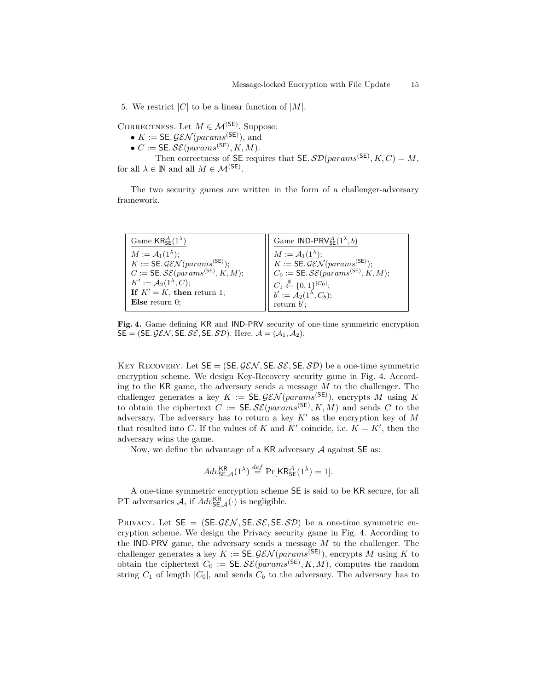5. We restrict |C| to be a linear function of  $|M|$ .

CORRECTNESS. Let  $M \in \mathcal{M}^{(\mathsf{SE})}$ . Suppose:

- $K := \mathsf{SE}.\mathcal{GEN}(params^{(\mathsf{SE})}),$  and
- $\bullet$  *C* := SE. *SE*( $params$ <sup>(SE)</sup>, *K*, *M*).

Then correctness of SE requires that SE.  $\mathcal{SD}(params^{(\text{SE})}, K, C) = M$ , for all  $\lambda \in \mathbb{N}$  and all  $M \in \mathcal{M}^{(\mathsf{SE})}$ .

The two security games are written in the form of a challenger-adversary framework.

| Game $\mathsf{KR}_{\mathsf{SE}}^{\mathcal{A}}(1^{\lambda})$    | Game IND-PRV ${}_{\mathsf{SE}}^{\mathcal{A}}(1^{\lambda},b)$                                                                                                                                                                                                                   |
|----------------------------------------------------------------|--------------------------------------------------------------------------------------------------------------------------------------------------------------------------------------------------------------------------------------------------------------------------------|
| $M := \mathcal{A}_1(1^{\lambda});$                             | $\begin{array}{lll} & M := \mathcal{A}_1(1^\lambda); & \overbrace{K := \mathsf{SE}.\mathcal{GEN}(params^{(\mathsf{SE})})}; \\ & K := \mathsf{SE}.\mathcal{GEN}(params^{(\mathsf{SE})}); & \ \\ & C_0 := \mathsf{SE}.\mathcal{SE}(params^{(\mathsf{SE})}, K, M); & \end{array}$ |
| $K := \mathsf{SE}.\mathcal{GEN}(params^{(\mathsf{SE})});$      |                                                                                                                                                                                                                                                                                |
| $C := \mathsf{SE}.\mathcal{SE}(params^{(\mathsf{SE})}, K, M);$ |                                                                                                                                                                                                                                                                                |
| $K' := \mathcal{A}_2(1^\lambda, C);$                           |                                                                                                                                                                                                                                                                                |
| If $K' = K$ , then return 1;                                   |                                                                                                                                                                                                                                                                                |
| Else return $0$ ;                                              | $\left\{ \begin{array}{ll} C_1 \stackrel{\$}{\leftarrow} \{0,1\}^{ C_0 }; \ b':= {\mathcal A}_2(1^\lambda,C_b); \ {\rm return}\ b'; \end{array} \right.$                                                                                                                       |

**Fig. 4.** Game defining KR and IND-PRV security of one-time symmetric encryption  $SE = (SE. \mathcal{GEN}, SE. \mathcal{SE}, SE. \mathcal{SD})$ . Here,  $\mathcal{A} = (\mathcal{A}_1, \mathcal{A}_2)$ .

KEY RECOVERY. Let  $SE = (SE, \mathcal{GEN}, SE, SE, \mathcal{SD})$  be a one-time symmetric encryption scheme. We design Key-Recovery security game in Fig. 4. According to the KR game, the adversary sends a message *M* to the challenger. The challenger generates a key  $K := \mathsf{SE.GEN}(params^{(\mathsf{SE})})$ , encrypts M using K to obtain the ciphertext  $C := \mathsf{SE}.\mathcal{SE}(params^{(\mathsf{SE})}, K, M)$  and sends  $C$  to the adversary. The adversary has to return a key  $K'$  as the encryption key of  $M$ that resulted into *C*. If the values of *K* and  $K'$  coincide, i.e.  $K = K'$ , then the adversary wins the game.

Now, we define the advantage of a KR adversary  $A$  against  $SE$  as:

$$
Adv_{\mathsf{SE},\mathcal{A}}^{\mathsf{KR}}(1^{\lambda}) \stackrel{def}{=} \Pr[\mathsf{KR}_{\mathsf{SE}}^{\mathcal{A}}(1^{\lambda}) = 1].
$$

A one-time symmetric encryption scheme SE is said to be KR secure, for all PT adversaries  $A$ , if  $Adv_{SE,A}^{KR}(\cdot)$  is negligible.

PRIVACY. Let  $SE = (SE \mathcal{GEN}, SE \mathcal{SE}, SE \mathcal{SD})$  be a one-time symmetric encryption scheme. We design the Privacy security game in Fig. 4. According to the IND-PRV game, the adversary sends a message *M* to the challenger. The challenger generates a key  $K := \mathsf{SE.GEN}(params^{(\mathsf{SE})})$ , encrypts M using K to obtain the ciphertext  $C_0 := \mathsf{SE} \mathcal{SE}(params^{(\mathsf{SE})}, K, M)$ , computes the random string  $C_1$  of length  $|C_0|$ , and sends  $C_b$  to the adversary. The adversary has to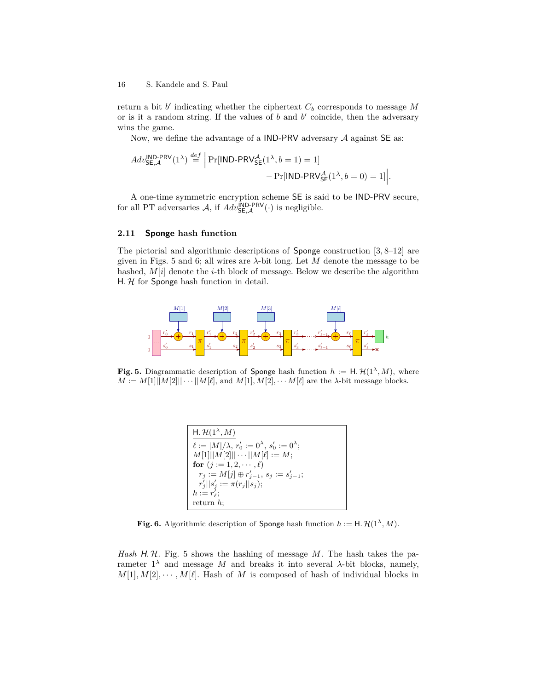return a bit  $b'$  indicating whether the ciphertext  $C_b$  corresponds to message  $M$ or is it a random string. If the values of  $b$  and  $b'$  coincide, then the adversary wins the game.

Now, we define the advantage of a IND-PRV adversary  $A$  against  $SE$  as:

$$
Adv_{\mathsf{SE}, \mathcal{A}}^{\mathsf{IND-PRV}}(1^{\lambda}) \stackrel{\text{def}}{=} \left| \Pr[\mathsf{IND-PRV}_{\mathsf{SE}}^{\mathcal{A}}(1^{\lambda}, b=1)=1] - \Pr[\mathsf{IND-PRV}_{\mathsf{SE}}^{\mathcal{A}}(1^{\lambda}, b=0)=1] \right|.
$$

A one-time symmetric encryption scheme SE is said to be IND-PRV secure, for all PT adversaries  $A$ , if  $Adv_{\mathsf{SE},\mathcal{A}}^{\mathsf{IND-PRV}}(\cdot)$  is negligible.

#### **2.11 Sponge hash function**

The pictorial and algorithmic descriptions of Sponge construction  $[3, 8-12]$  are given in Figs. 5 and 6; all wires are *λ*-bit long. Let *M* denote the message to be hashed, *M*[*i*] denote the *i*-th block of message. Below we describe the algorithm  $H. H$  for Sponge hash function in detail.



**Fig. 5.** Diagrammatic description of Sponge hash function  $h := H \cdot \mathcal{H}(1^{\lambda}, M)$ , where  $M := M[1] |M[2]| \cdots |M[\ell],$  and  $M[1], M[2], \cdots M[\ell]$  are the *λ*-bit message blocks.

$$
\begin{cases}\n\frac{\mathsf{H. H}(1^{\lambda}, M)}{\ell := |M| / \lambda, r'_0 := 0^{\lambda}, s'_0 := 0^{\lambda}; \\
M[1] ||M[2] || \cdots ||M[\ell] := M; \\
\text{for } (j := 1, 2, \cdots, \ell) \\
r_j := M[j] \oplus r'_{j-1}, s_j := s'_{j-1}; \\
r'_j ||s'_j := \pi(r_j ||s_j); \\
h := r'_{\ell}; \\
\text{return } h;\n\end{cases}
$$

**Fig. 6.** Algorithmic description of Sponge hash function  $h := H \cdot \mathcal{H}(1^{\lambda}, M)$ .

*Hash* H. H. Fig. 5 shows the hashing of message M. The hash takes the parameter  $1^{\lambda}$  and message *M* and breaks it into several *λ*-bit blocks, namely,  $M[1], M[2], \cdots, M[\ell]$ . Hash of *M* is composed of hash of individual blocks in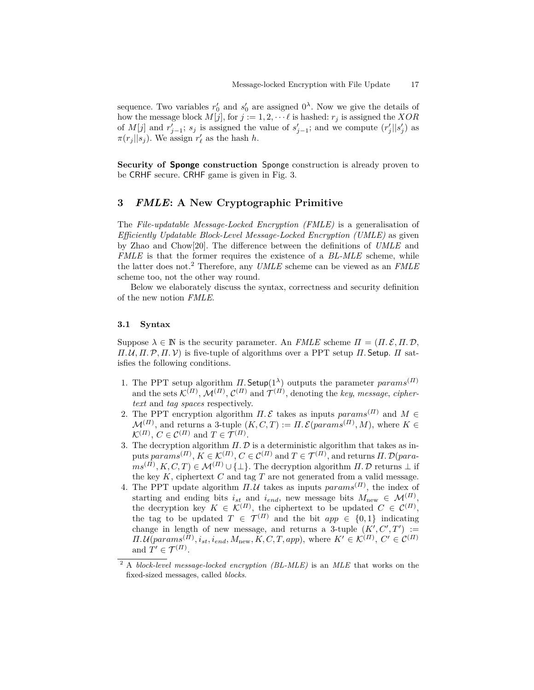sequence. Two variables  $r'_0$  and  $s'_0$  are assigned  $0^{\lambda}$ . Now we give the details of how the message block  $M[j]$ , for  $j := 1, 2, \dots \ell$  is hashed:  $r_j$  is assigned the *XOR* of  $M[j]$  and  $r'_{j-1}$ ;  $s_j$  is assigned the value of  $s'_{j-1}$ ; and we compute  $(r'_j||s'_j)$  as  $\pi(r_j||s_j)$ . We assign  $r'_\ell$  as the hash *h*.

**Security of Sponge construction** Sponge construction is already proven to be CRHF secure. CRHF game is given in Fig. 3.

# **3** *FMLE***: A New Cryptographic Primitive**

The *File-updatable Message-Locked Encryption (FMLE)* is a generalisation of *Efficiently Updatable Block-Level Message-Locked Encryption (UMLE)* as given by Zhao and Chow[20]. The difference between the definitions of *UMLE* and *FMLE* is that the former requires the existence of a *BL-MLE* scheme, while the latter does not.<sup>2</sup> Therefore, any *UMLE* scheme can be viewed as an *FMLE* scheme too, not the other way round.

Below we elaborately discuss the syntax, correctness and security definition of the new notion *FMLE*.

## **3.1 Syntax**

Suppose  $\lambda \in \mathbb{N}$  is the security parameter. An *FMLE* scheme  $\Pi = (\Pi, \mathcal{E}, \Pi, \mathcal{D}, \mathcal{E})$ *Π.*  $U$ ,  $\Pi$ ,  $P$ ,  $\Pi$ ,  $V$ ) is five-tuple of algorithms over a PPT setup  $\Pi$ . Setup.  $\Pi$  satisfies the following conditions.

- 1. The PPT setup algorithm *Π*. Setup(1<sup> $\lambda$ </sup>) outputs the parameter *params*<sup>(*Π*)</sup> and the sets  $\mathcal{K}^{(II)}$ ,  $\mathcal{M}^{(II)}$ ,  $\mathcal{C}^{(II)}$  and  $\mathcal{T}^{(II)}$ , denoting the *key*, *message*, *ciphertext* and *tag spaces* respectively.
- 2. The PPT encryption algorithm  $\Pi$ . E takes as inputs  $params^{(II)}$  and  $M \in$  $\mathcal{M}^{(II)}$ , and returns a 3-tuple  $(K, C, T) := \Pi$ .  $\mathcal{E}(params^{(II)}, M)$ , where  $K \in$  $\mathcal{K}^{(II)}$ ,  $C \in \mathcal{C}^{(II)}$  and  $T \in \mathcal{T}^{(II)}$ .
- 3. The decryption algorithm  $\Pi$ .  $D$  is a deterministic algorithm that takes as in $p$ uts  $params^{(II)}, K \in \mathcal{K}^{(II)}, C \in \mathcal{C}^{(II)}$  and  $T \in \mathcal{T}^{(II)},$  and returns  $II. \mathcal{D}(para-I)$  $ms^{(II)}, K, C, T$ )  $\in \mathcal{M}^{(II)} \cup \{\perp\}$ . The decryption algorithm *Π*. D returns  $\perp$  if the key  $K$ , ciphertext  $C$  and tag  $T$  are not generated from a valid message.
- 4. The PPT update algorithm  $\Pi.\mathcal{U}$  takes as inputs  $params^{(II)}$ , the index of starting and ending bits  $i_{st}$  and  $i_{end}$ , new message bits  $M_{\text{new}} \in \mathcal{M}^{(II)}$ , the decryption key  $K \in \mathcal{K}^{(H)}$ , the ciphertext to be updated  $C \in \mathcal{C}^{(H)}$ , the tag to be updated  $T \in \mathcal{T}^{(II)}$  and the bit  $app \in \{0,1\}$  indicating change in length of new message, and returns a 3-tuple  $(K', C', T') :=$  $\Pi.\mathcal{U}(params^{(II)}, i_{st}, i_{end}, M_{new}, K, C, T, app)$ , where  $K' \in \mathcal{K}^{(II)}, C' \in \mathcal{C}^{(II)}$ and  $T' \in \mathcal{T}^{(II)}$ .

<sup>2</sup> A *block-level message-locked encryption (BL-MLE)* is an *MLE* that works on the fixed-sized messages, called *blocks*.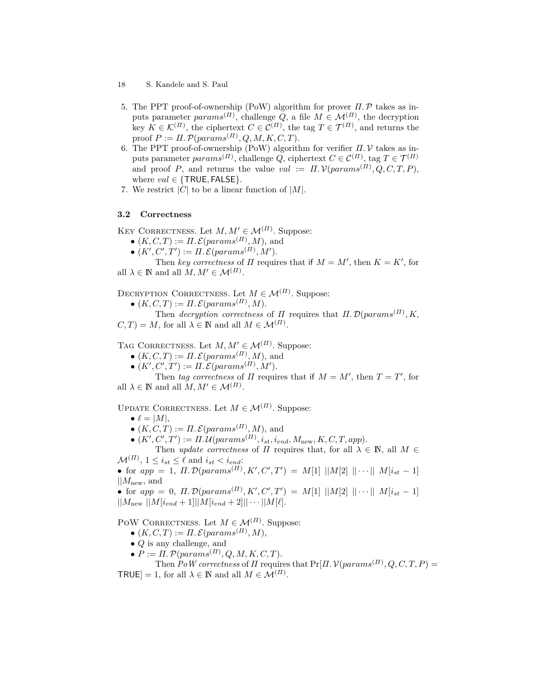- 18 S. Kandele and S. Paul
- 5. The PPT proof-of-ownership (PoW) algorithm for prover *Π.*P takes as inputs parameter  $params^{(II)}$ , challenge *Q*, a file  $M \in \mathcal{M}^{(II)}$ , the decryption key  $K \in \mathcal{K}^{(H)}$ , the ciphertext  $C \in \mathcal{C}^{(H)}$ , the tag  $T \in \mathcal{T}^{(H)}$ , and returns the proof  $P := \Pi$ .  $\mathcal{P}(params^{(\Pi)}, Q, M, K, C, T)$ .
- 6. The PPT proof-of-ownership (PoW) algorithm for verifier *Π.* V takes as inputs parameter  $params^{(II)}$ , challenge *Q*, ciphertext  $C \in \mathcal{C}^{(II)}$ , tag  $T \in \mathcal{T}^{(II)}$ and proof *P*, and returns the value  $val := \Pi \mathcal{N}(params^{(\Pi)}, Q, C, T, P)$ , where  $val \in \{TRUE, FALSE\}$ .
- 7. We restrict  $|C|$  to be a linear function of  $|M|$ .

# **3.2 Correctness**

KEY CORRECTNESS. Let  $M, M' \in \mathcal{M}^{(II)}$ . Suppose:

- $\bullet$   $(K, C, T) := \Pi \mathcal{L}(params^{(\Pi)}, M)$ , and
- $(K', C', T') := \Pi \, \mathcal{E}(params^{(\Pi)}, M').$

Then *key correctness* of *Π* requires that if  $M = M'$ , then  $K = K'$ , for all  $\lambda \in \mathbb{N}$  and all  $M, M' \in \mathcal{M}^{(II)}$ .

DECRYPTION CORRECTNESS. Let  $M \in \mathcal{M}^{(II)}$ . Suppose:

 $\bullet$   $(K, C, T) := \Pi \mathcal{L}(params^{(H)}, M).$ 

Then *decryption correctness* of  $\Pi$  requires that  $\Pi$ .  $\mathcal{D}(params^{(\Pi)}, K,$  $C, T$  = *M*, for all  $\lambda \in \mathbb{N}$  and all  $M \in \mathcal{M}^{(II)}$ .

TAG CORRECTNESS. Let  $M, M' \in \mathcal{M}^{(II)}$ . Suppose:

- $\bullet$   $(K, C, T) := \Pi \mathcal{L}(params^{(\Pi)}, M)$ , and
- $(K', C', T') := \Pi \, \mathcal{E}(params^{(\Pi)}, M').$

Then *tag correctness* of *Π* requires that if  $M = M'$ , then  $T = T'$ , for all  $\lambda \in \mathbb{N}$  and all  $M, M' \in \mathcal{M}^{(II)}$ .

UPDATE CORRECTNESS. Let  $M \in \mathcal{M}^{(II)}$ . Suppose:

- $\ell = |M|$ ,
- $\bullet$   $(K, C, T) := \Pi \mathcal{L}(params^{(\Pi)}, M)$ , and
- $(K', C', T') := \Pi \mathcal{M}(params^{(\Pi)}, i_{st}, i_{end}, M_{new}, K, C, T, app).$

Then *update correctness* of *Π* requires that, for all  $\lambda \in \mathbb{N}$ , all  $M \in$  $\mathcal{M}^{(II)}$ ,  $1 \leq i_{st} \leq \ell$  and  $i_{st} < i_{end}$ :

• for  $app = 1$ ,  $\Pi$ .  $\mathcal{D}(params^{(\Pi)}, K', C', T') = M[1] ||M[2] || \cdots || M[i_{st}-1]$ ||*M*new, and

• for  $app = 0$ ,  $\Pi$ .  $\mathcal{D}(params^{(\Pi)}, K', C', T') = M[1] ||M[2] || \cdots || M[i_{st}-1]$  $||M_{\text{new}}||M[i_{end} + 1]||M[i_{end} + 2]|| \cdots ||M[\ell].$ 

POW CORRECTNESS. Let  $M \in \mathcal{M}^{(II)}$ . Suppose:

- $\bullet$   $(K, C, T) := \Pi \mathcal{L}(params^{(\Pi)}, M),$
- *Q* is any challenge, and
- $\bullet$   $P := \Pi \cdot \mathcal{P}(params^{(\Pi)}, Q, M, K, C, T).$

Then  $PoW$  correctness of  $\Pi$  requires that  $Pr[\Pi, \mathcal{V}(params^{(\Pi)}, Q, C, T, P)]$  $TRUE] = 1$ , for all  $\lambda \in \mathbb{N}$  and all  $M \in \mathcal{M}^{(II)}$ .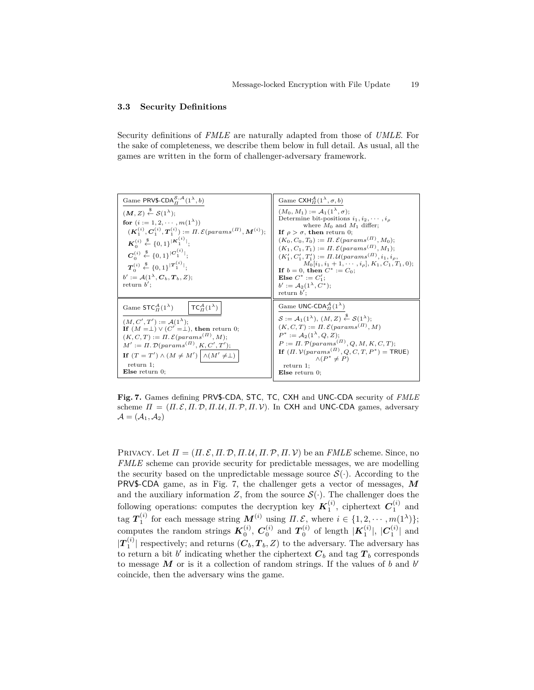### **3.3 Security Definitions**

Security definitions of *FMLE* are naturally adapted from those of *UMLE*. For the sake of completeness, we describe them below in full detail. As usual, all the games are written in the form of challenger-adversary framework.

| Game PRV\$-CDA $_{\mathcal{H}}^{S,\mathcal{A}}(1^{\lambda},b)$                                                                                                                                                                                                                                                                                                                                                                                                                                                                  | Game CXH $^A_H(1^{\lambda}, \sigma, b)$                                                                                                                                                                                                                                                                                                                                                                                                                                                                                                                             |
|---------------------------------------------------------------------------------------------------------------------------------------------------------------------------------------------------------------------------------------------------------------------------------------------------------------------------------------------------------------------------------------------------------------------------------------------------------------------------------------------------------------------------------|---------------------------------------------------------------------------------------------------------------------------------------------------------------------------------------------------------------------------------------------------------------------------------------------------------------------------------------------------------------------------------------------------------------------------------------------------------------------------------------------------------------------------------------------------------------------|
| $(M, Z) \stackrel{\$}{\leftarrow} S(1^{\lambda});$<br>for $(i := 1, 2, \cdots, m(1^{\lambda}))$<br>$(\mathbf{K}_1^{(i)}, \mathbf{C}_1^{(i)}, \mathbf{T}_1^{(i)}) := \Pi. \mathcal{E}(params^{(\Pi)}, \mathbf{M}^{(i)})$ ;<br>$\mathbf{K}_0^{(i)} \stackrel{\$}{\leftarrow} \{0,1\}^{ \mathbf{K}_1^{(i)} };$<br>$C_0^{(i)} \stackrel{\$}{\leftarrow} \{0,1\}^{ C_1^{(i)} }$<br>$T_c^{(i)} \stackrel{\$}{\leftarrow} \{0,1\}^{ T_1^{(i)} };$<br>$b' := \mathcal{A}(1^{\lambda}, \mathbf{C}_h, \mathbf{T}_h, Z);$<br>return $b'$ ; | $(M_0, M_1) := A_1(1^{\lambda}, \sigma)$ :<br>Determine bit-positions $i_1, i_2, \cdots, i_a$<br>where $M_0$ and $M_1$ differ;<br>If $\rho > \sigma$ , then return 0;<br>$(K_0, C_0, T_0) := \Pi$ . $\mathcal{E}(params^{(II)}, M_0);$<br>$(K_1, C_1, T_1) := \Pi. \mathcal{E}(params^{(\Pi)}, M_1);$<br>$(K_1', C_1', T_1') := \Pi \mathcal{U}(params^{(II)}, i_1, i_2)$<br>$M_0[i_1, i_1+1, \cdots, i_\rho], K_1, C_1, T_1, 0);$<br>If $b = 0$ , then $C^* := C_0$ ;<br><b>Else</b> $C^* := C'_1$ ;<br>$b' := \mathcal{A}_2(1^{\lambda}, C^*)$ ;<br>return $b'$ : |
| $\mathsf{TCA}_{H}^{A}(1^{\lambda})$<br>Game $STC_{\Pi}^{\mathcal{A}}(1^{\lambda})$<br>$(M, C', T') := \mathcal{A}(1^{\lambda})$ :<br>If $(M = \perp) \vee (C' = \perp)$ , then return 0;<br>$(K, C, T) := \Pi$ . $\mathcal{E}(params^{(H)}, M)$ ;<br>$M' := \Pi$ . $\mathcal{D}(params^{(\Pi)}, K, C', T')$ ;<br>If $(T = T') \wedge (M \neq M') \wedge (M' \neq \perp)$<br>return 1;<br>Else return $0$ ;                                                                                                                      | Game UNC-CDA $_{H}^{\mathcal{A}}(1^{\lambda})$<br>$S := \mathcal{A}_1(1^{\lambda}), (M, Z) \stackrel{\$}{\leftarrow} \mathcal{S}(1^{\lambda});$<br>$(K, C, T) := \Pi$ . $\mathcal{E}(params^{(H)}, M)$<br>$P^* := \mathcal{A}_2(1^{\lambda}, Q, Z)$ :<br>$P := \Pi$ . $\mathcal{P}(params^{(II)}, Q, M, K, C, T)$ ;<br>If $(\Pi, \mathcal{V}(params^{(\Pi)}, Q, C, T, P^*)$ = TRUE)<br>$\wedge (P^* \neq P)$<br>return 1<br>$E$ lse return 0;                                                                                                                       |

**Fig. 7.** Games defining PRV\$-CDA, STC, TC, CXH and UNC-CDA security of *FMLE* scheme  $\Pi = (\Pi, \mathcal{E}, \Pi, \mathcal{D}, \Pi, \mathcal{U}, \Pi, \mathcal{P}, \Pi, \mathcal{V})$ . In CXH and UNC-CDA games, adversary  $\mathcal{A} = (\mathcal{A}_1, \mathcal{A}_2)$ 

PRIVACY. Let  $\Pi = (\Pi, \mathcal{E}, \Pi, \mathcal{D}, \Pi, \mathcal{U}, \Pi, \mathcal{P}, \Pi, \mathcal{V})$  be an *FMLE* scheme. Since, no *FMLE* scheme can provide security for predictable messages, we are modelling the security based on the unpredictable message source  $\mathcal{S}(\cdot)$ . According to the PRV\$-CDA game, as in Fig. 7, the challenger gets a vector of messages, *M* and the auxiliary information *Z*, from the source  $S(\cdot)$ . The challenger does the following operations: computes the decryption key  $K_1^{(i)}$ , ciphertext  $C_1^{(i)}$  and  $\text{tag } \mathcal{T}_1^{(i)} \text{ for each message string } \mathcal{M}^{(i)} \text{ using } \Pi, \mathcal{E}, \text{ where } i \in \{1, 2, \cdots, m(1^{\lambda})\};$ computes the random strings  $K_0^{(i)}$ ,  $C_0^{(i)}$  and  $T_0^{(i)}$  of length  $|K_1^{(i)}|$ ,  $|C_1^{(i)}|$  and  $|T_1^{(i)}|$  respectively; and returns  $(C_b, T_b, Z)$  to the adversary. The adversary has to return a bit  $b'$  indicating whether the ciphertext  $C_b$  and tag  $T_b$  corresponds to message  $M$  or is it a collection of random strings. If the values of  $b$  and  $b'$ coincide, then the adversary wins the game.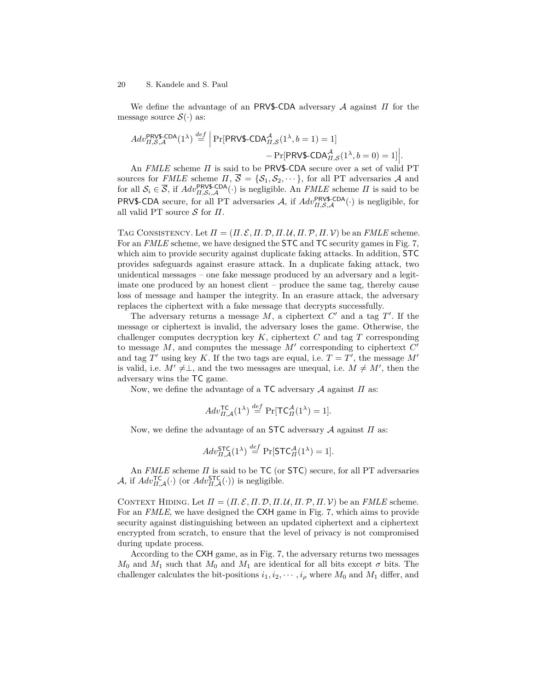We define the advantage of an PRV\$-CDA adversary A against *Π* for the message source  $\mathcal{S}(\cdot)$  as:

$$
Adv_{II,S,A}^{\text{PRV\$-CDA}}(1^{\lambda}) \stackrel{def}{=} \left| \Pr[\text{PRV\$-CDA}_{II,S}^{\mathcal{A}}(1^{\lambda}, b=1) = 1] - \Pr[\text{PRV\$-CDA}_{II,S}^{\mathcal{A}}(1^{\lambda}, b=0) = 1] \right|.
$$
  
An *FMLE* scheme *II* is said to be *PRV\\$-CDA* secure over a set of valid PT

sources for *FMLE* scheme  $\Pi$ ,  $\overline{S} = \{S_1, S_2, \dots\}$ , for all PT adversaries A and for all  $S_i \in \overline{S}$ , if  $Adv_{\Pi,S_i,A}^{\text{PRVS-CDA}}(\cdot)$  is negligible. An *FMLE* scheme  $\Pi$  is said to be PRV\$-CDA secure, for all PT adversaries  $A$ , if  $Adv_{II,S,A}^{\text{PRV$-CDA}}(\cdot)$  is negligible, for all valid PT source S for *Π*.

TAG CONSISTENCY. Let  $\Pi = (\Pi, \mathcal{E}, \Pi, \mathcal{D}, \Pi, \mathcal{U}, \Pi, \mathcal{P}, \Pi, \mathcal{V})$  be an *FMLE* scheme. For an *FMLE* scheme, we have designed the **STC** and **TC** security games in Fig. 7, which aim to provide security against duplicate faking attacks. In addition, STC provides safeguards against erasure attack. In a duplicate faking attack, two unidentical messages – one fake message produced by an adversary and a legitimate one produced by an honest client – produce the same tag, thereby cause loss of message and hamper the integrity. In an erasure attack, the adversary replaces the ciphertext with a fake message that decrypts successfully.

The adversary returns a message  $M$ , a ciphertext  $C'$  and a tag  $T'$ . If the message or ciphertext is invalid, the adversary loses the game. Otherwise, the challenger computes decryption key *K*, ciphertext *C* and tag *T* corresponding to message  $M$ , and computes the message  $M'$  corresponding to ciphertext  $C'$ and tag  $T'$  using key K. If the two tags are equal, i.e.  $T = T'$ , the message  $M'$ is valid, i.e.  $M' \neq \perp$ , and the two messages are unequal, i.e.  $M \neq M'$ , then the adversary wins the TC game.

Now, we define the advantage of a TC adversary A against *Π* as:

$$
Adv_{\Pi,\mathcal{A}}^{\mathsf{TC}}(1^{\lambda}) \stackrel{def}{=} \Pr[\mathsf{TC}_{\Pi}^{\mathcal{A}}(1^{\lambda}) = 1].
$$

Now, we define the advantage of an STC adversary A against *Π* as:

$$
Adv_{\Pi,\mathcal{A}}^{\mathsf{STC}}(1^{\lambda}) \stackrel{def}{=} \Pr[\mathsf{STC}_{\Pi}^{\mathcal{A}}(1^{\lambda}) = 1].
$$

An *FMLE* scheme *Π* is said to be TC (or STC) secure, for all PT adversaries  $\mathcal{A}$ , if  $Adv_{\Pi,\mathcal{A}}^{\mathsf{TC}}(\cdot)$  (or  $Adv_{\Pi,\mathcal{A}}^{\mathsf{STC}}(\cdot)$ ) is negligible.

CONTEXT HIDING. Let  $\Pi = (\Pi, \mathcal{E}, \Pi, \mathcal{D}, \Pi, \mathcal{U}, \Pi, \mathcal{P}, \Pi, \mathcal{V})$  be an *FMLE* scheme. For an *FMLE*, we have designed the CXH game in Fig. 7, which aims to provide security against distinguishing between an updated ciphertext and a ciphertext encrypted from scratch, to ensure that the level of privacy is not compromised during update process.

According to the CXH game, as in Fig. 7, the adversary returns two messages  $M_0$  and  $M_1$  such that  $M_0$  and  $M_1$  are identical for all bits except  $\sigma$  bits. The challenger calculates the bit-positions  $i_1, i_2, \dots, i_\rho$  where  $M_0$  and  $M_1$  differ, and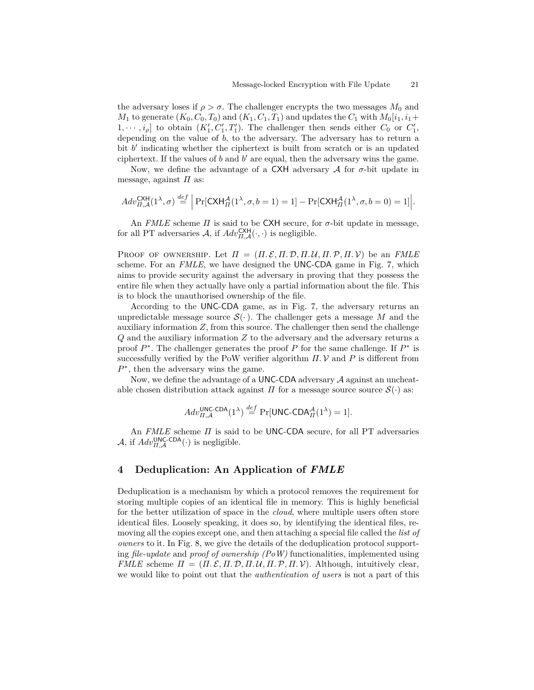the adversary loses if  $\rho > \sigma$ . The challenger encrypts the two messages  $M_0$  and  $M_1$  to generate  $(K_0, C_0, T_0)$  and  $(K_1, C_1, T_1)$  and updates the  $C_1$  with  $M_0[i_1, i_1+$  $1, \dots, i_{\rho}$  to obtain  $(K'_1, C'_1, T'_1)$ . The challenger then sends either  $C_0$  or  $C'_1$ , depending on the value of *b*, to the adversary. The adversary has to return a bit  $b'$  indicating whether the ciphertext is built from scratch or is an updated ciphertext. If the values of  $b$  and  $b'$  are equal, then the adversary wins the game.

Now, we define the advantage of a CXH adversary  $A$  for  $\sigma$ -bit update in message, against *Π* as:

$$
Adv_{\Pi,\mathcal{A}}^{\mathsf{CKH}}(1^{\lambda},\sigma) \stackrel{def}{=} \Big|\Pr[\mathsf{CKH}_{\Pi}^{\mathcal{A}}(1^{\lambda},\sigma,b=1)=1] - \Pr[\mathsf{CKH}_{\Pi}^{\mathcal{A}}(1^{\lambda},\sigma,b=0)=1]\Big|.
$$

An *FMLE* scheme  $\Pi$  is said to be CXH secure, for  $\sigma$ -bit update in message, for all PT adversaries  $A$ , if  $Adv_{\Pi,\mathcal{A}}^{\mathsf{CXH}}(\cdot,\cdot)$  is negligible.

PROOF OF OWNERSHIP. Let  $\Pi = (\Pi, \mathcal{E}, \Pi, \mathcal{D}, \Pi, \mathcal{U}, \Pi, \mathcal{P}, \Pi, \mathcal{V})$  be an *FMLE* scheme. For an *FMLE*, we have designed the UNC-CDA game in Fig. 7, which aims to provide security against the adversary in proving that they possess the entire file when they actually have only a partial information about the file. This is to block the unauthorised ownership of the file.

According to the UNC-CDA game, as in Fig. 7, the adversary returns an unpredictable message source  $\mathcal{S}(\cdot)$ . The challenger gets a message M and the auxiliary information *Z*, from this source. The challenger then send the challenge *Q* and the auxiliary information *Z* to the adversary and the adversary returns a proof  $P^*$ . The challenger generates the proof  $P$  for the same challenge. If  $P^*$  is successfully verified by the PoW verifier algorithm  $\Pi$ . V and P is different from *P*<sup>∗</sup>, then the adversary wins the game.

Now, we define the advantage of a UNC-CDA adversary  $A$  against an uncheatable chosen distribution attack against *Π* for a message source source  $S(\cdot)$  as:

$$
Adv_{\Pi,\mathcal{A}}^{\mathsf{UNC-CDA}}(1^{\lambda}) \stackrel{def}{=} \Pr[\mathsf{UNC-CDA}_{\Pi}^{\mathcal{A}}(1^{\lambda}) = 1].
$$

An *FMLE* scheme *Π* is said to be UNC-CDA secure, for all PT adversaries  $\mathcal{A}$ , if  $Adv_{\Pi,\mathcal{A}}^{\text{UNC-CDA}}(\cdot)$  is negligible.

# **4 Deduplication: An Application of** *FMLE*

Deduplication is a mechanism by which a protocol removes the requirement for storing multiple copies of an identical file in memory. This is highly beneficial for the better utilization of space in the *cloud*, where multiple users often store identical files. Loosely speaking, it does so, by identifying the identical files, removing all the copies except one, and then attaching a special file called the *list of owners* to it. In Fig. 8, we give the details of the deduplication protocol supporting *file-update* and *proof of ownership (PoW)* functionalities, implemented using *FMLE* scheme  $\Pi = (\Pi, \mathcal{E}, \Pi, \mathcal{D}, \Pi, \mathcal{U}, \Pi, \mathcal{P}, \Pi, \mathcal{V})$ . Although, intuitively clear, we would like to point out that the *authentication of users* is not a part of this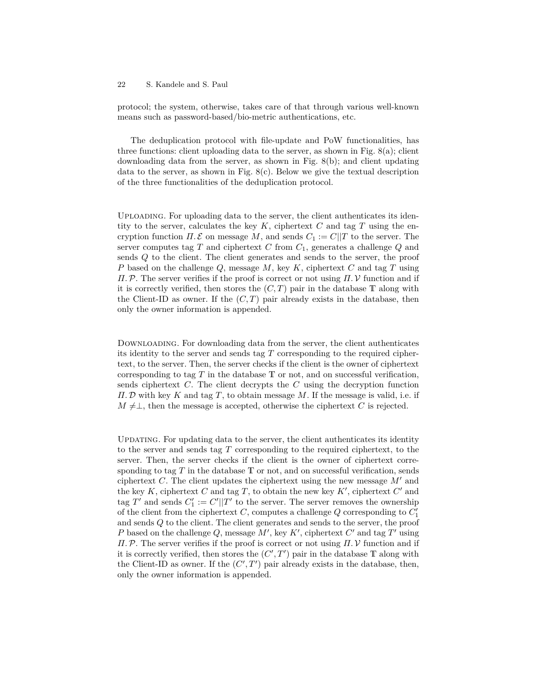protocol; the system, otherwise, takes care of that through various well-known means such as password-based/bio-metric authentications, etc.

The deduplication protocol with file-update and PoW functionalities, has three functions: client uploading data to the server, as shown in Fig.  $8(a)$ ; client downloading data from the server, as shown in Fig. 8(b); and client updating data to the server, as shown in Fig.  $8(c)$ . Below we give the textual description of the three functionalities of the deduplication protocol.

Uploading. For uploading data to the server, the client authenticates its identity to the server, calculates the key  $K$ , ciphertext  $C$  and tag  $T$  using the encryption function  $\Pi$ . E on message M, and sends  $C_1 := C||T$  to the server. The server computes tag *T* and ciphertext *C* from *C*1, generates a challenge *Q* and sends *Q* to the client. The client generates and sends to the server, the proof *P* based on the challenge *Q*, message *M*, key *K*, ciphertext *C* and tag *T* using *Π.*P. The server verifies if the proof is correct or not using *Π.* V function and if it is correctly verified, then stores the  $(C, T)$  pair in the database  $T$  along with the Client-ID as owner. If the  $(C, T)$  pair already exists in the database, then only the owner information is appended.

Downloading. For downloading data from the server, the client authenticates its identity to the server and sends tag *T* corresponding to the required ciphertext, to the server. Then, the server checks if the client is the owner of ciphertext corresponding to tag *T* in the database T or not, and on successful verification, sends ciphertext *C*. The client decrypts the *C* using the decryption function *Π.* D with key *K* and tag *T*, to obtain message *M*. If the message is valid, i.e. if  $M \neq \perp$ , then the message is accepted, otherwise the ciphertext *C* is rejected.

Updating. For updating data to the server, the client authenticates its identity to the server and sends tag *T* corresponding to the required ciphertext, to the server. Then, the server checks if the client is the owner of ciphertext corresponding to tag  $T$  in the database  $T$  or not, and on successful verification, sends ciphertext *C*. The client updates the ciphertext using the new message  $M'$  and the key  $K$ , ciphertext  $C$  and tag  $T$ , to obtain the new key  $K'$ , ciphertext  $C'$  and tag  $T'$  and sends  $C'_{1} := C' || T'$  to the server. The server removes the ownership of the client from the ciphertext  $C$ , computes a challenge  $Q$  corresponding to  $C_1'$ and sends *Q* to the client. The client generates and sends to the server, the proof *P* based on the challenge  $Q$ , message  $M'$ , key  $K'$ , ciphertext  $C'$  and tag  $T'$  using *Π.*P. The server verifies if the proof is correct or not using *Π.* V function and if it is correctly verified, then stores the  $(C', T')$  pair in the database T along with the Client-ID as owner. If the  $(C', T')$  pair already exists in the database, then, only the owner information is appended.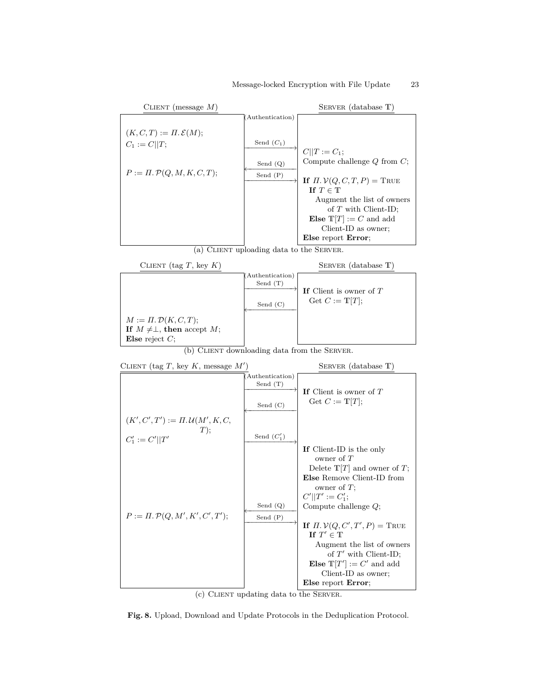#### Message-locked Encryption with File Update 23





(b) CLIENT downloading data from the SERVER.



(c) Client updating data to the Server.

**Fig. 8.** Upload, Download and Update Protocols in the Deduplication Protocol.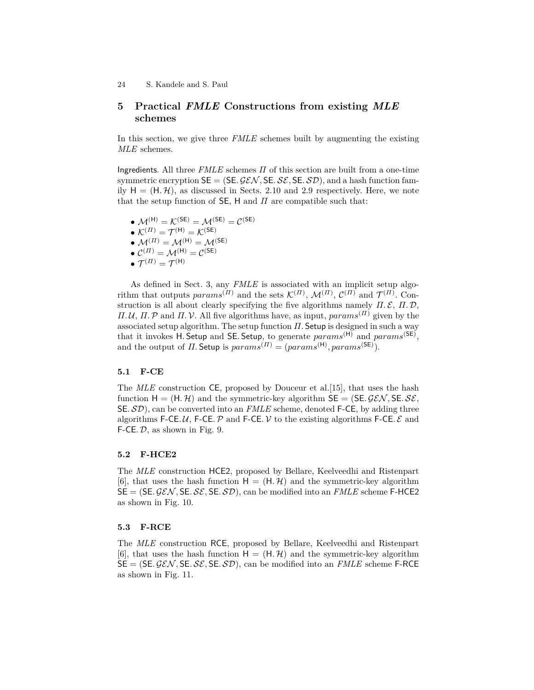# **5 Practical** *FMLE* **Constructions from existing** *MLE* **schemes**

In this section, we give three *FMLE* schemes built by augmenting the existing *MLE* schemes.

Ingredients. All three *FMLE* schemes *Π* of this section are built from a one-time symmetric encryption  $SE = (SE, \mathcal{GEN}, SE, SE, SD)$ , and a hash function family  $H = (H, \mathcal{H})$ , as discussed in Sects. 2.10 and 2.9 respectively. Here, we note that the setup function of SE, H and *Π* are compatible such that:

 $\bullet$   $\mathcal{M}^{(\mathsf{H})} = \mathcal{K}^{(\mathsf{SE})} = \mathcal{M}^{(\mathsf{SE})} = \mathcal{C}^{(\mathsf{SE})}$  $\bullet$   $\mathcal{K}^{(\varPi)} = \mathcal{T}^{(\mathsf{H})} = \mathcal{K}^{(\mathsf{SE})}$ •  $\mathcal{M}^{(\Pi)} = \mathcal{M}^{(\mathsf{H})} = \mathcal{M}^{(\mathsf{SE})}$  $\bullet \ \mathcal{C}^{(\varPi)} = \mathcal{M}^{(\mathsf{H})} = \mathcal{C}^{(\mathsf{SE})}$  $\bullet$   ${\mathcal T}^{(\varPi)} = {\mathcal T}^{(\mathsf{H})}$ 

As defined in Sect. 3, any *FMLE* is associated with an implicit setup algorithm that outputs  $params^{(II)}$  and the sets  $\mathcal{K}^{(II)}$ ,  $\mathcal{M}^{(II)}$ ,  $\mathcal{C}^{(II)}$  and  $\mathcal{T}^{(II)}$ . Construction is all about clearly specifying the five algorithms namely  $\Pi$ .  $\mathcal{E}$ ,  $\Pi$ .  $\mathcal{D}$ , *Π.U, Π.* P and *Π.V.* All five algorithms have, as input,  $params<sup>(II)</sup>$  given by the associated setup algorithm. The setup function  $\Pi$ . Setup is designed in such a way that it invokes H*.* Setup and SE*.* Setup, to generate *params*(H) and *params*(SE) , and the output of *Π*. Setup is  $params^{(II)} = (params^{(H)},params^{(SE)})$ .

## **5.1 F-CE**

The *MLE* construction CE, proposed by Douceur et al. [15], that uses the hash function  $H = (H, H)$  and the symmetric-key algorithm  $SE = (SE \mathcal{GEN}, SE \mathcal{SE},$ SE*.* SD), can be converted into an *FMLE* scheme, denoted F-CE, by adding three algorithms F-CE*.U*, F-CE*.P* and F-CE*.V* to the existing algorithms F-CE*.E* and F-CE*.* D, as shown in Fig. 9.

## **5.2 F-HCE2**

The *MLE* construction HCE2, proposed by Bellare, Keelveedhi and Ristenpart [6], that uses the hash function  $H = (H, \mathcal{H})$  and the symmetric-key algorithm  $SE = (SE. \mathcal{GEN}, SE. \mathcal{SE}, SE. \mathcal{SD})$ , can be modified into an *FMLE* scheme F-HCE2 as shown in Fig. 10.

#### **5.3 F-RCE**

The *MLE* construction RCE, proposed by Bellare, Keelveedhi and Ristenpart [6], that uses the hash function  $H = (H, \mathcal{H})$  and the symmetric-key algorithm  $SE = (SE. \mathcal{GEN}, SE. \mathcal{SE}, SE. \mathcal{SD})$ , can be modified into an *FMLE* scheme F-RCE as shown in Fig. 11.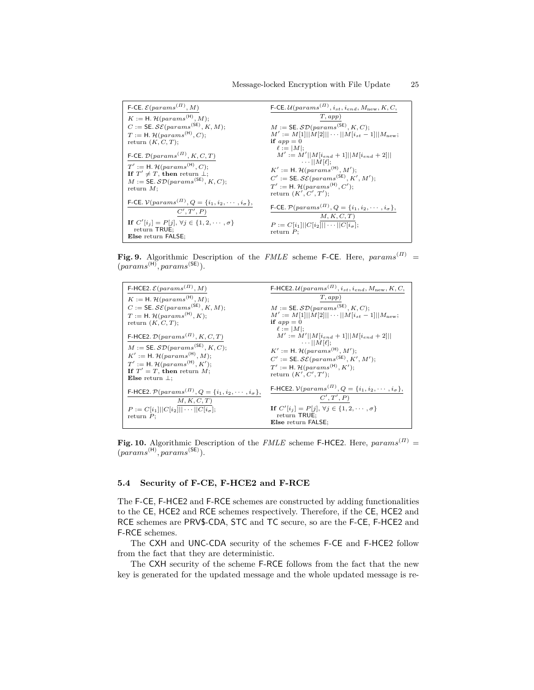| F-CE. $\mathcal{E}(params^{(II)}, M)$                                          | F-CE. $\mathcal{U}(params^{(II)}, i_{st}, i_{end}, M_{new}, K, C,$                        |
|--------------------------------------------------------------------------------|-------------------------------------------------------------------------------------------|
| $K := H$ . $\mathcal{H}(params^{(H)}, M);$                                     | T, app)                                                                                   |
| $C := \mathsf{SE}.\mathcal{SE}(params^{(\mathsf{SE})}, K, M);$                 | $M := \mathsf{SE}.\mathcal{SD}(params^{(\mathsf{SE})}, K, C);$                            |
| $T := H$ . $\mathcal{H}(params^{(H)}, C)$ ;                                    | $M' := M[1]  M[2]   \cdots   M[i_{st}-1]  M_{\text{new}};$                                |
| return $(K, C, T)$ ;                                                           | if $app = 0$                                                                              |
| F-CE. $\mathcal{D}(params^{(II)}, K, C, T)$                                    | $\ell :=  M $ ;<br>$M' := M'  M[i_{end} + 1]  M[i_{end} + 2]  $<br>$\cdots$ $  M \ell $ : |
| $T' := H$ . $\mathcal{H}(params^{(H)}, C)$ .                                   | $K' := H$ . $\mathcal{H}(params^{(H)}, M')$ ;                                             |
| If $T' \neq T$ , then return $\perp$ ;                                         | $C' := \mathsf{SE}.\mathcal{SE}(params^{(\mathsf{SE})}, K', M')$ ;                        |
| $M := \mathsf{SE}.\mathcal{SD}(params^{(\mathsf{SE})}, K, C);$<br>return $M$ ; | $T' := H$ . $\mathcal{H}(params^{(H)}, C')$ .                                             |
|                                                                                | return $(K', C', T')$ ;                                                                   |
| F-CE. $V(params^{(II)}, Q = \{i_1, i_2, \cdots, i_{\sigma}\},$<br>C', T', P    | F-CE. $\mathcal{P}(params^{(II)}, Q = \{i_1, i_2, \cdots, i_{\sigma}\},$<br>M, K, C, T    |
| If $C'[i_j] = P[j], \forall j \in \{1, 2, \cdots, \sigma\}$                    | $P := C[i_1]   C[i_2]   \cdots   C[i_\sigma];$                                            |
| return TRUE;                                                                   | return $P$ ;                                                                              |
| <b>Else</b> return <b>FALSE</b> ;                                              |                                                                                           |

**Fig. 9.** Algorithmic Description of the *FMLE* scheme F-CE. Here, *params*(*Π*) = (*params*(H) *, params*(SE) ).

| F-HCE2. $\mathcal{E}(params^{(II)}, M)$                                                                                                                                                                                                                                   | F-HCE2. $\mathcal{U}(params^{(II)}, i_{st}, i_{end}, M_{new}, K, C,$                                                                                                                                                                                                                         |
|---------------------------------------------------------------------------------------------------------------------------------------------------------------------------------------------------------------------------------------------------------------------------|----------------------------------------------------------------------------------------------------------------------------------------------------------------------------------------------------------------------------------------------------------------------------------------------|
| $K := H$ . $\mathcal{H}(params^{(H)}, M);$                                                                                                                                                                                                                                | T, app)                                                                                                                                                                                                                                                                                      |
| $C := \mathsf{SE}.\mathcal{SE}(params^{(\mathsf{SE})}, K, M);$                                                                                                                                                                                                            | $M := \mathsf{SE}.\mathcal{SD}(params^{(\mathsf{SE})}, K, C);$                                                                                                                                                                                                                               |
| $T := H$ . $\mathcal{H}(params^{(H)}, K)$ ;                                                                                                                                                                                                                               | $M' := M[1]  M[2]   \cdots   M[i_{st}-1]  M_{\text{new}};$                                                                                                                                                                                                                                   |
| return $(K, C, T)$ ;                                                                                                                                                                                                                                                      | if $app = 0$                                                                                                                                                                                                                                                                                 |
| F-HCE2. $\mathcal{D}(params^{(II)}, K, C, T)$<br>$M := \mathsf{SE}.\mathcal{SD}(params^{(\mathsf{SE})}, K, C);$<br>$K' := H$ . $\mathcal{H}(params^{(H)}, M)$ ;<br>$T' := H$ . $\mathcal{H}(params^{(H)}, K')$ ;<br>If $T' = T$ , then return M;<br>Else return $\perp$ ; | $\ell :=  M $ ;<br>$M' := M'  M[i_{end} + 1   M[i_{end} + 2   $<br>$\cdots$ $  M \ell $ :<br>$K' := H$ . $\mathcal{H}(params^{(H)}, M')$ ;<br>$C' := \mathsf{SE}.\mathcal{SE}(params^{(\mathsf{SE})}, K', M')$ ;<br>$T' := H$ . $\mathcal{H}(params^{(H)}, K')$ ;<br>return $(K', C', T')$ ; |
| <b>F-HCE2.</b> $\mathcal{P}(params^{(II)}, Q = \{i_1, i_2, \cdots, i_{\sigma}\},$<br>M, K, C, T                                                                                                                                                                           | <b>F-HCE2.</b> $V(params^{(II)}, Q = \{i_1, i_2, \cdots, i_{\sigma}\},$<br>C', T', P                                                                                                                                                                                                         |
| $P := C[i_1]   C[i_2]   \cdots   C[i_{\sigma}];$                                                                                                                                                                                                                          | If $C'[i_j] = P[j], \forall j \in \{1, 2, \cdots, \sigma\}$                                                                                                                                                                                                                                  |
| return $P$ ;                                                                                                                                                                                                                                                              | return TRUE;<br>Else return FALSE;                                                                                                                                                                                                                                                           |
|                                                                                                                                                                                                                                                                           |                                                                                                                                                                                                                                                                                              |

**Fig. 10.** Algorithmic Description of the *FMLE* scheme F-HCE2. Here, *params*(*Π*) = (*params*(H) *, params*(SE) ).

# **5.4 Security of F-CE, F-HCE2 and F-RCE**

The F-CE, F-HCE2 and F-RCE schemes are constructed by adding functionalities to the CE, HCE2 and RCE schemes respectively. Therefore, if the CE, HCE2 and RCE schemes are PRV\$-CDA, STC and TC secure, so are the F-CE, F-HCE2 and F-RCE schemes.

The CXH and UNC-CDA security of the schemes F-CE and F-HCE2 follow from the fact that they are deterministic.

The CXH security of the scheme F-RCE follows from the fact that the new key is generated for the updated message and the whole updated message is re-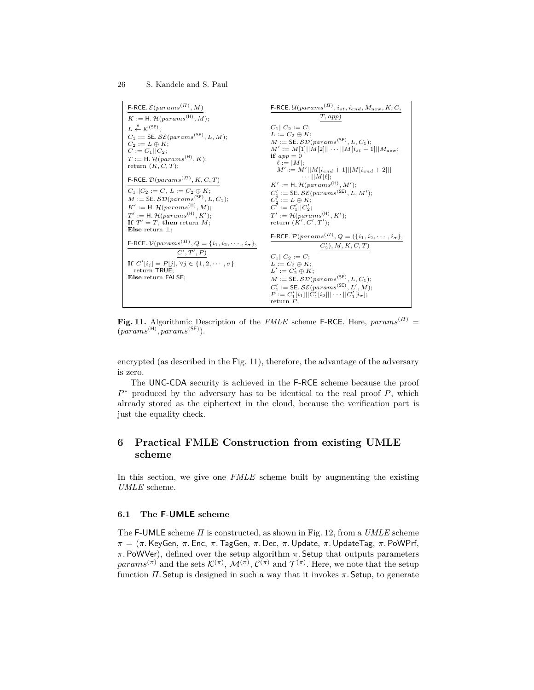$\mathsf{F}\text{-}\mathsf{RCE}. \mathcal{E}(params^{(II)}, M)$  $K := \mathsf{H}.\, \mathcal{H}(params^{(\mathsf{H})}, M);$  $L \overset{\$}{\leftarrow} \mathcal{K}^{\text{(SE)}}$ ;  $C_1 := \mathsf{SE}.\,\mathcal{SE}(params^{\mathsf{(SE)}}, L, M);$  $C_2 := L \oplus K;$  $C := C_1 || C_2;$  $T := H$ *.*  $\mathcal{H}(params^{(H)}, K);$ return  $(K, C, T)$ ;  $\mathsf{F}\text{-}\mathsf{RCE}.~\mathcal{D}(\mathit{params}^{(\varPi)}, K, C, T)$  $C_1||C_2 := C, L := C_2 \oplus K;$  $M := \mathsf{SE}.\mathcal{SD}(params^{(\mathsf{SE})}, L, C_1);$  $K' := H$ *.*  $\mathcal{H}(params^{(H)}, M);$  $T' := H$ *. H*( $params$ <sup>(H)</sup>, *K'*); **If**  $T' = T$ , **then** return  $M$ ; **Else** return ⊥;  $\mathsf{F}\text{-}\mathsf{RCE}$ *.*  $\mathcal{V}(params^{(II)}, Q = \{i_1, i_2, \cdots, i_{\sigma}\},$  $C', T', P$ **If**  $C'[i_j] = P[j], \forall j \in \{1, 2, \dots, \sigma\}$ return TRUE; **Else** return FALSE;  $\mathsf{F}\text{-}\mathsf{RCE}.\,\mathcal{U}(params^{(\varPi)}, i_{st}, i_{end}, M_\mathrm{new}, K, C,$ *T , app*)  $C_1||C_2 := C;$  $L := C_2 \oplus K;$  $M := \mathsf{SE}.\,\mathcal{SD}(params^{(\mathsf{SE})}, L, C_1);$  $M' := M[1] || \tilde{M}[2] || \cdots || M[i_{st}-1] || M_{\text{new}};$ **if**  $app = 0$  $\ell := |M|;$ <br>  $M' := M' ||M[i_{end} + 1] ||M[i_{end} + 2]||$  $\cdots$ ||*M*[ $\ell$ ];  $K' := H$ *.*  $\mathcal{H}(params^{(H)}, M')$ ;  $C'_{1} := \mathsf{SE}.\,\mathcal{SE}(params^{(\mathsf{SE})}, L, M');$  $C_2^{\dagger} := L \oplus K$ ;<br>  $C^{\dagger} := C_1' || C_2';$  $T' := \mathcal{H}(params^{(\mathsf{H})}, K')$ ;  $return (K', C', T');$  $\mathsf{F}\text{-}\mathsf{RCE}.~\mathcal{P}(params^{(\varPi)}, Q = (\{i_1, i_2, \cdots, i_{\sigma}\},$  $C'_{2}$ )*, M, K, C, T*)  $C_1||C_2 := C;$  $L := C_2 \oplus K;$  $L' := \overline{C'_2} \oplus K;$  $M := \mathsf{SE}.\,\mathcal{SD}(params^{(\mathsf{SE})}, L, C_1);$  $C'_{1} := \mathsf{SE} \mathcal{SE}(params^{(\mathsf{SE})}, L', M);$  $P := C'_1[i_1] || C'_1[i_2] || \cdots || C'_1[i_{\sigma}];$ <br>return *P*;

**Fig. 11.** Algorithmic Description of the *FMLE* scheme F-RCE. Here, *params*(*Π*) = (*params*(H) *, params*(SE) ).

encrypted (as described in the Fig. 11), therefore, the advantage of the adversary is zero.

The UNC-CDA security is achieved in the F-RCE scheme because the proof *P* <sup>∗</sup> produced by the adversary has to be identical to the real proof *P*, which already stored as the ciphertext in the cloud, because the verification part is just the equality check.

# **6 Practical FMLE Construction from existing UMLE scheme**

In this section, we give one *FMLE* scheme built by augmenting the existing *UMLE* scheme.

#### **6.1 The F-UMLE scheme**

The F-UMLE scheme *Π* is constructed, as shown in Fig. 12, from a *UMLE* scheme *π* = (*π.*KeyGen*, π.* Enc*, π.*TagGen*, π.* Dec*, π.*Update*, π.*UpdateTag*, π.* PoWPrf*, π.* PoWVer), defined over the setup algorithm *π.* Setup that outputs parameters  $params^{(\pi)}$  and the sets  $\mathcal{K}^{(\pi)}$ ,  $\mathcal{M}^{(\pi)}$ ,  $\mathcal{C}^{(\pi)}$  and  $\mathcal{T}^{(\pi)}$ . Here, we note that the setup function  $\Pi$ . Setup is designed in such a way that it invokes  $\pi$ . Setup, to generate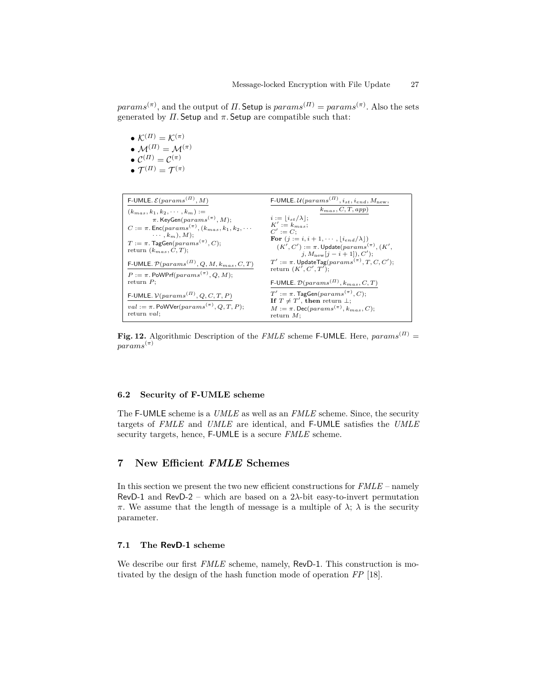$params^{(\pi)}$ , and the output of *Π*. Setup is  $params^{(\Pi)} = params^{(\pi)}$ . Also the sets generated by  $\Pi$ . Setup and  $\pi$ . Setup are compatible such that:

- $\mathcal{K}^{(\Pi)} = \mathcal{K}^{(\pi)}$ •  $\mathcal{M}^{(\Pi)} = \mathcal{M}^{(\pi)}$  $\bullet \ \mathcal{C}^{(\Pi)} = \mathcal{C}^{(\pi)}$
- $\bullet$   ${\mathcal T}^{(\varPi)} = {\mathcal T}^{(\pi)}$

| F-UMLE. $\mathcal{E}(params^{(II)}, M)$                                               | F-UMLE. $\mathcal{U}(params^{(II)}, i_{st}, i_{end}, M_{new},$                                                    |
|---------------------------------------------------------------------------------------|-------------------------------------------------------------------------------------------------------------------|
| $(k_{mas}, k_1, k_2, \cdots, k_m) :=$                                                 | $k_{mas}, C, T, app)$                                                                                             |
| $\pi$ . KeyGen( $params^{(\pi)}$ , M);                                                | $i :=  i_{st}/\lambda ;$                                                                                          |
| $C := \pi$ . Enc(params <sup>(<math>\pi</math>)</sup> , ( $k_{mas}, k_1, k_2, \cdots$ | $K' := k_{\text{max}}$<br>$C' := C$ :                                                                             |
| $\cdots$ , $k_m$ ), M);                                                               | For $(j := i, i + 1, \cdots,  i_{end}/\lambda)$                                                                   |
| $T := \pi$ . TagGen $(params^{(\pi)}, C);$                                            | $(K', C') := \pi$ . Update $(params^{(\pi)}, (K',$                                                                |
| return $(k_{mas}, C, T)$ ;                                                            | $j, M_{\text{new}}[j-i+1], C';$                                                                                   |
| F-UMLE. $\mathcal{P}(params^{(II)}, Q, M, k_{mas}, C, T)$                             | $T' := \pi$ . UpdateTag(params <sup>(<math>\pi</math>)</sup> , T, C, C');<br>return $(K', C', T')$ ;              |
| $P := \pi$ . PoWPrf(params <sup>(<math>\pi</math>)</sup> , Q, M);                     |                                                                                                                   |
| return $P$ ;                                                                          | F-UMLE. $\mathcal{D}(params^{(II)}, k_{mas}, C, T)$                                                               |
| F-UMLE. $V(params(II), Q, C, T, P)$                                                   | $T' := \pi$ . TagGen $(params^{(\pi)}, C);$                                                                       |
| $val := \pi$ . PoWVer( $params^{(\pi)}$ , Q, T, P);                                   | If $T \neq T'$ , then return $\perp$ ;<br>$M := \pi$ . Dec(params <sup>(<math>\pi</math>)</sup> , $k_{mas}$ , C); |
| return $val$ :                                                                        | return $M$ ;                                                                                                      |

**Fig. 12.** Algorithmic Description of the *FMLE* scheme F-UMLE. Here,  $params^{(II)} =$ *params*(*π*)

# **6.2 Security of F-UMLE scheme**

The F-UMLE scheme is a *UMLE* as well as an *FMLE* scheme. Since, the security targets of *FMLE* and *UMLE* are identical, and F-UMLE satisfies the *UMLE* security targets, hence, F-UMLE is a secure *FMLE* scheme.

# **7 New Efficient** *FMLE* **Schemes**

In this section we present the two new efficient constructions for *FMLE* – namely RevD-1 and RevD-2 – which are based on a 2*λ*-bit easy-to-invert permutation *π*. We assume that the length of message is a multiple of  $\lambda$ ;  $\lambda$  is the security parameter.

# **7.1 The RevD-1 scheme**

We describe our first *FMLE* scheme, namely, RevD-1. This construction is motivated by the design of the hash function mode of operation *FP* [18].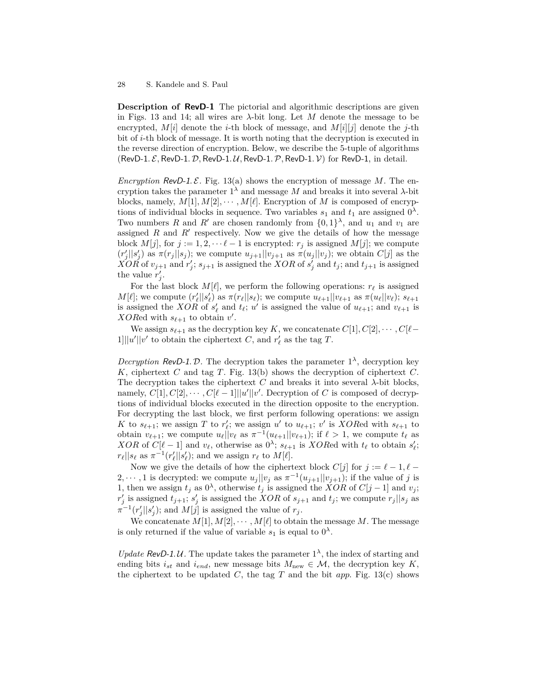**Description of RevD-1** The pictorial and algorithmic descriptions are given in Figs. 13 and 14; all wires are  $\lambda$ -bit long. Let M denote the message to be encrypted,  $M[i]$  denote the *i*-th block of message, and  $M[i][j]$  denote the *j*-th bit of *i*-th block of message. It is worth noting that the decryption is executed in the reverse direction of encryption. Below, we describe the 5-tuple of algorithms (RevD-1*.* E*,* RevD-1*.* D*,* RevD-1*.* U*,* RevD-1*.*P*,* RevD-1*.* V) for RevD-1, in detail.

*Encryption* RevD-1. E. Fig. 13(a) shows the encryption of message M. The encryption takes the parameter  $1^{\lambda}$  and message *M* and breaks it into several  $\lambda$ -bit blocks, namely,  $M[1], M[2], \cdots, M[\ell]$ . Encryption of *M* is composed of encryptions of individual blocks in sequence. Two variables  $s_1$  and  $t_1$  are assigned  $0^{\lambda}$ . Two numbers *R* and *R'* are chosen randomly from  $\{0,1\}^{\lambda}$ , and  $u_1$  and  $v_1$  are assigned  $R$  and  $R'$  respectively. Now we give the details of how the message block  $M[j]$ , for  $j := 1, 2, \dots \ell - 1$  is encrypted:  $r_j$  is assigned  $M[j]$ ; we compute  $(r'_j||s'_j)$  as  $\pi(r_j||s_j)$ ; we compute  $u_{j+1}||v_{j+1}$  as  $\pi(u_j||v_j)$ ; we obtain  $C[j]$  as the  $XOR$  of  $v_{j+1}$  and  $r'_{j}$ ;  $s_{j+1}$  is assigned the *XOR* of  $s'_{j}$  and  $t_{j}$ ; and  $t_{j+1}$  is assigned the value  $r'_j$ .

For the last block  $M[\ell]$ , we perform the following operations:  $r_{\ell}$  is assigned  $M[\ell];$  we compute  $(r'_\ell||s'_\ell)$  as  $\pi(r_\ell||s_\ell);$  we compute  $u_{\ell+1}||v_{\ell+1}$  as  $\pi(u_\ell||v_\ell); s_{\ell+1}$ is assigned the *XOR* of  $s'_\ell$  and  $t_\ell$ ;  $u'$  is assigned the value of  $u_{\ell+1}$ ; and  $v_{\ell+1}$  is *XORed* with  $s_{\ell+1}$  to obtain  $v'$ .

We assign  $s_{\ell+1}$  as the decryption key *K*, we concatenate  $C[1], C[2], \cdots, C[\ell-1]$ 1] $||u'||v'$  to obtain the ciphertext *C*, and  $r'_{\ell}$  as the tag *T*.

*Decryption* RevD-1. D. The decryption takes the parameter  $1^{\lambda}$ , decryption key *K*, ciphertext *C* and tag *T*. Fig. 13(b) shows the decryption of ciphertext *C*. The decryption takes the ciphertext  $C$  and breaks it into several  $\lambda$ -bit blocks, namely,  $C[1], C[2], \cdots, C[\ell-1] \mid |u'||v'$ . Decryption of *C* is composed of decryptions of individual blocks executed in the direction opposite to the encryption. For decrypting the last block, we first perform following operations: we assign *K* to  $s_{\ell+1}$ ; we assign *T* to  $r'_{\ell}$ ; we assign *u*<sup>'</sup> to  $u_{\ell+1}$ ; *v*<sup>'</sup> is *XORed* with  $s_{\ell+1}$  to obtain  $v_{\ell+1}$ ; we compute  $u_{\ell}$ || $v_{\ell}$  as  $\pi^{-1}(u_{\ell+1}||v_{\ell+1})$ ; if  $\ell > 1$ , we compute  $t_{\ell}$  as *XOR* of  $C[\ell-1]$  and  $v_{\ell}$ , otherwise as  $0^{\lambda}$ ;  $s_{\ell+1}$  is *XORed with*  $t_{\ell}$  *to obtain*  $s'_{\ell}$ ;  $r_{\ell}$ || $s_{\ell}$  as  $\pi^{-1}(r'_{\ell}||s'_{\ell})$ ; and we assign  $r_{\ell}$  to  $M[\ell]$ .

Now we give the details of how the ciphertext block  $C[j]$  for  $j := \ell - 1, \ell - 1$ 2,  $\dots$ , 1 is decrypted: we compute  $u_j||v_j$  as  $\pi^{-1}(u_{j+1}||v_{j+1})$ ; if the value of *j* is 1, then we assign  $t_j$  as  $0^{\lambda}$ , otherwise  $t_j$  is assigned the *XOR* of  $C[j-1]$  and  $v_j$ ;  $r'_j$  is assigned  $t_{j+1}$ ;  $s'_j$  is assigned the *XOR* of  $s_{j+1}$  and  $t_j$ ; we compute  $r_j||s_j$  as  $\pi^{-1}(r'_{j}||s'_{j});$  and  $M[j]$  is assigned the value of  $r_{j}$ .

We concatenate  $M[1], M[2], \cdots, M[\ell]$  to obtain the message M. The message is only returned if the value of variable  $s_1$  is equal to  $0^{\lambda}$ .

*Update* RevD-1.U. The update takes the parameter  $1^{\lambda}$ , the index of starting and ending bits  $i_{st}$  and  $i_{end}$ , new message bits  $M_{new} \in \mathcal{M}$ , the decryption key  $K$ , the ciphertext to be updated  $C$ , the tag  $T$  and the bit *app*. Fig. 13(c) shows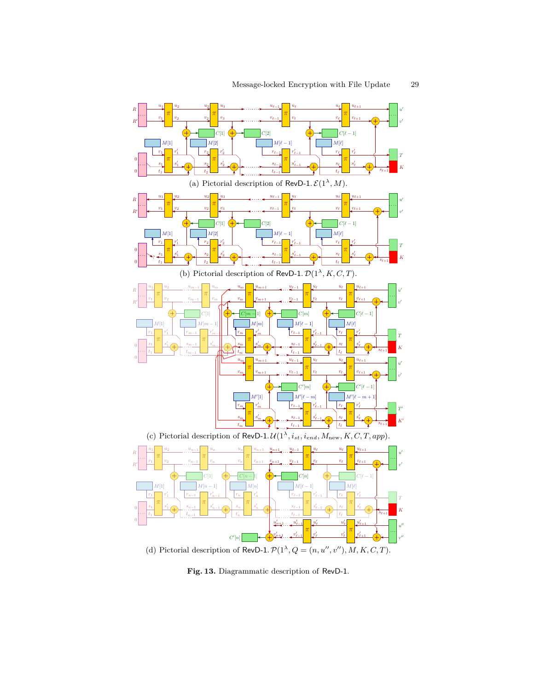

**Fig. 13.** Diagrammatic description of RevD-1.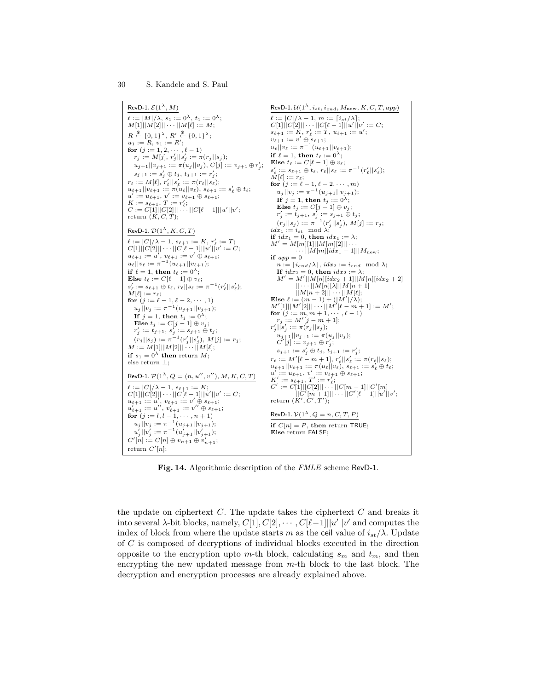

**Fig. 14.** Algorithmic description of the *FMLE* scheme RevD-1.

the update on ciphertext *C*. The update takes the ciphertext *C* and breaks it into several *λ*-bit blocks, namely,  $C[1], C[2], \cdots, C[*l*-1]$ || $u'$ || $v'$  and computes the index of block from where the update starts *m* as the ceil value of  $i_{st}/\lambda$ . Update of *C* is composed of decryptions of individual blocks executed in the direction opposite to the encryption upto *m*-th block, calculating  $s_m$  and  $t_m$ , and then encrypting the new updated message from *m*-th block to the last block. The decryption and encryption processes are already explained above.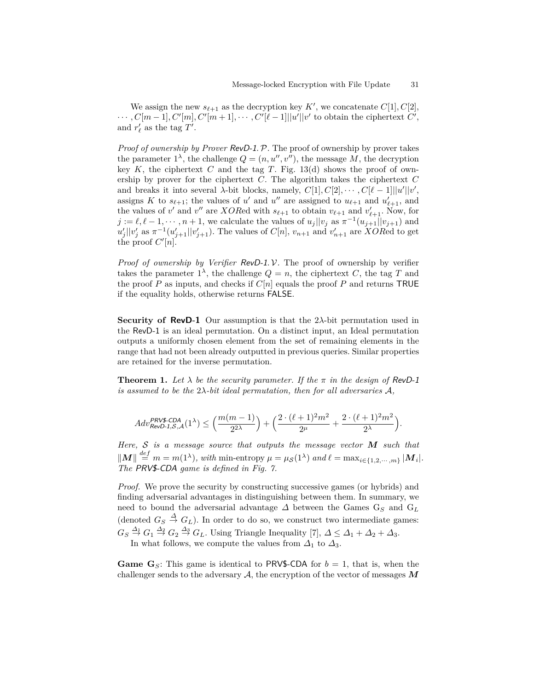We assign the new  $s_{\ell+1}$  as the decryption key  $K'$ , we concatenate  $C[1], C[2]$ ,  $\cdots$ ,  $C[m-1], C'[m], C'[m+1], \cdots, C'[\ell-1]]|u'||v'$  to obtain the ciphertext  $C'$ , and  $r'_{\ell}$  as the tag  $T'$ .

*Proof of ownership by Prover* RevD-1*.*P*.* The proof of ownership by prover takes the parameter  $1^{\lambda}$ , the challenge  $Q = (n, u'', v'')$ , the message M, the decryption key  $K$ , the ciphertext  $C$  and the tag  $T$ . Fig. 13(d) shows the proof of ownership by prover for the ciphertext *C*. The algorithm takes the ciphertext *C* and breaks it into several *λ*-bit blocks, namely,  $C[1], C[2], \cdots, C[\ell-1] \mid |u'||v'$ , assigns *K* to  $s_{\ell+1}$ ; the values of *u'* and *u''* are assigned to  $u_{\ell+1}$  and  $u'_{\ell+1}$ , and the values of *v*' and *v*" are *XOR*ed with  $s_{\ell+1}$  to obtain  $v_{\ell+1}$  and  $v'_{\ell+1}$ . Now, for  $j := \ell, \ell - 1, \dots, n + 1$ , we calculate the values of  $u_j || v_j$  as  $\pi^{-1}(u_{j+1} || v_{j+1})$  and  $u'_{j}$ ||*v*<sup>'</sup><sub>j</sub> as  $\pi^{-1}(u'_{j+1}||v'_{j+1})$ . The values of *C*[*n*]*, v<sub>n+1</sub> and v*<sup>'</sup><sub>*n+1*</sub> are *XORed* to get the proof  $C'[n]$ .

*Proof of ownership by Verifier* RevD-1*.* V*.* The proof of ownership by verifier takes the parameter  $1^{\lambda}$ , the challenge  $Q = n$ , the ciphertext *C*, the tag *T* and the proof *P* as inputs, and checks if  $C[n]$  equals the proof *P* and returns TRUE if the equality holds, otherwise returns FALSE.

**Security of RevD-1** Our assumption is that the 2*λ*-bit permutation used in the RevD-1 is an ideal permutation. On a distinct input, an Ideal permutation outputs a uniformly chosen element from the set of remaining elements in the range that had not been already outputted in previous queries. Similar properties are retained for the inverse permutation.

**Theorem 1.** Let  $\lambda$  be the security parameter. If the  $\pi$  in the design of RevD-1 *is assumed to be the* 2*λ-bit ideal permutation, then for all adversaries* A*,*

$$
Adv_{\textit{RevD-1},\mathcal{S},\mathcal{A}}^{\textit{PRVS-CDA}}(1^\lambda) \leq \Big( \frac{m(m-1)}{2^{2\lambda}} \Big) + \Big( \frac{2\cdot (\ell+1)^2 m^2}{2^\mu} + \frac{2\cdot (\ell+1)^2 m^2}{2^\lambda} \Big).
$$

*Here,* S *is a message source that outputs the message vector M such that*  $||M|| \stackrel{def}{=} m = m(1^{\lambda}),$  with min-entropy  $\mu = \mu_{\mathcal{S}}(1^{\lambda})$  and  $\ell = \max_{i \in \{1, 2, \cdots, m\}} |M_i|$ . *The* PRV\$-CDA *game is defined in Fig. 7.*

*Proof.* We prove the security by constructing successive games (or hybrids) and finding adversarial advantages in distinguishing between them. In summary, we need to bound the adversarial advantage  $\Delta$  between the Games  $G_S$  and  $G_L$ (denoted  $G_S \stackrel{\Delta}{\to} G_L$ ). In order to do so, we construct two intermediate games:  $G_S \stackrel{\Delta_1}{\rightarrow} G_1 \stackrel{\Delta_2}{\rightarrow} G_2 \stackrel{\Delta_3}{\rightarrow} G_L$ . Using Triangle Inequality [7],  $\Delta \leq \Delta_1 + \Delta_2 + \Delta_3$ . In what follows, we compute the values from  $\Delta_1$  to  $\Delta_3$ .

**Game G**<sub>S</sub>: This game is identical to PRV\$-CDA for  $b = 1$ , that is, when the challenger sends to the adversary  $A$ , the encryption of the vector of messages  $M$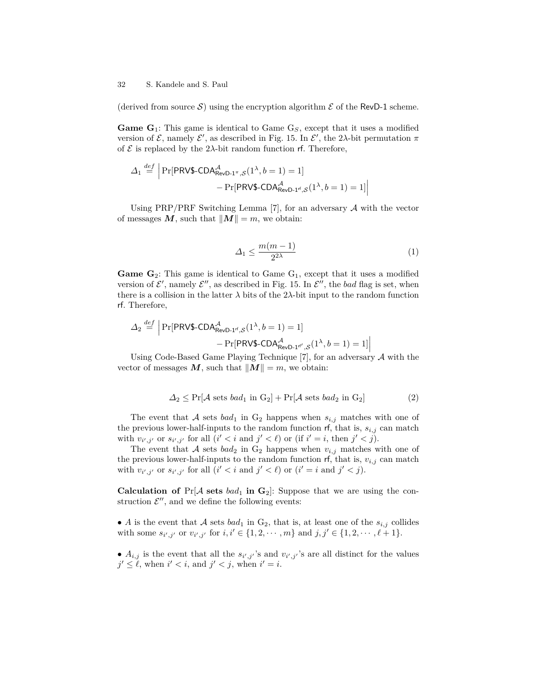(derived from source S) using the encryption algorithm  $\mathcal E$  of the RevD-1 scheme.

**Game G**1: This game is identical to Game G*S*, except that it uses a modified version of  $\mathcal{E}$ , namely  $\mathcal{E}'$ , as described in Fig. 15. In  $\mathcal{E}'$ , the 2 $\lambda$ -bit permutation  $\pi$ of  $\mathcal E$  is replaced by the 2 $\lambda$ -bit random function rf. Therefore,

$$
\Delta_1 \stackrel{def}{=} \left| \Pr[\text{PRV$-CDA}_{\text{RevD-1}^\pi, S}^{\mathcal{A}}(1^\lambda, b=1) = 1] - \Pr[\text{PRV$-CDA}_{\text{RevD-1}^\pi, S}(1^\lambda, b=1) = 1] \right|
$$

Using PRP/PRF Switching Lemma [7], for an adversary  $A$  with the vector of messages  $M$ , such that  $||M|| = m$ , we obtain:

$$
\Delta_1 \le \frac{m(m-1)}{2^{2\lambda}}\tag{1}
$$

**Game**  $\mathbf{G}_2$ **: This game is identical to Game**  $G_1$ **, except that it uses a modified** version of  $\mathcal{E}'$ , namely  $\mathcal{E}''$ , as described in Fig. 15. In  $\mathcal{E}''$ , the *bad* flag is set, when there is a collision in the latter  $\lambda$  bits of the 2 $\lambda$ -bit input to the random function rf. Therefore,

$$
\Delta_2 \stackrel{def}{=} \left| \Pr[\text{PRV$-CDA}_{\text{RevD-1}^{\mathcal{A}}, \mathcal{S}}^{A}(1^{\lambda}, b=1) = 1] - \Pr[\text{PRV$-CDA}_{\text{RevD-1}^{\mathcal{A}}, \mathcal{S}}^{A}(1^{\lambda}, b=1) = 1] \right|
$$

Using Code-Based Game Playing Technique [7], for an adversary  $\mathcal A$  with the vector of messages  $M$ , such that  $||M|| = m$ , we obtain:

$$
\Delta_2 \le \Pr[\mathcal{A} \text{ sets } bad_1 \text{ in } G_2] + \Pr[\mathcal{A} \text{ sets } bad_2 \text{ in } G_2]
$$
 (2)

The event that A sets  $bad_1$  in  $G_2$  happens when  $s_{i,j}$  matches with one of the previous lower-half-inputs to the random function  $\mathsf{rf}$ , that is,  $s_{i,j}$  can match with  $v_{i',j'}$  or  $s_{i',j'}$  for all  $(i' < i$  and  $j' < \ell$  or (if  $i' = i$ , then  $j' < j$ ).

The event that A sets  $bad_2$  in  $G_2$  happens when  $v_{i,j}$  matches with one of the previous lower-half-inputs to the random function  $\mathsf{rf}$ , that is,  $v_{i,j}$  can match with  $v_{i',j'}$  or  $s_{i',j'}$  for all  $(i' < i$  and  $j' < \ell$  or  $(i' = i$  and  $j' < j$ .

**Calculation of**  $Pr[A \text{ sets } bad_1 \text{ in } G_2]$ : Suppose that we are using the construction  $\mathcal{E}''$ , and we define the following events:

• *A* is the event that A sets *bad*<sub>1</sub> in  $G_2$ , that is, at least one of the  $s_{i,j}$  collides with some  $s_{i',j'}$  or  $v_{i',j'}$  for  $i, i' \in \{1, 2, \dots, m\}$  and  $j, j' \in \{1, 2, \dots, \ell + 1\}.$ 

•  $A_{i,j}$  is the event that all the  $s_{i',j'}$ 's and  $v_{i',j'}$ 's are all distinct for the values  $j' \leq \ell$ , when  $i' < i$ , and  $j' < j$ , when  $i' = i$ .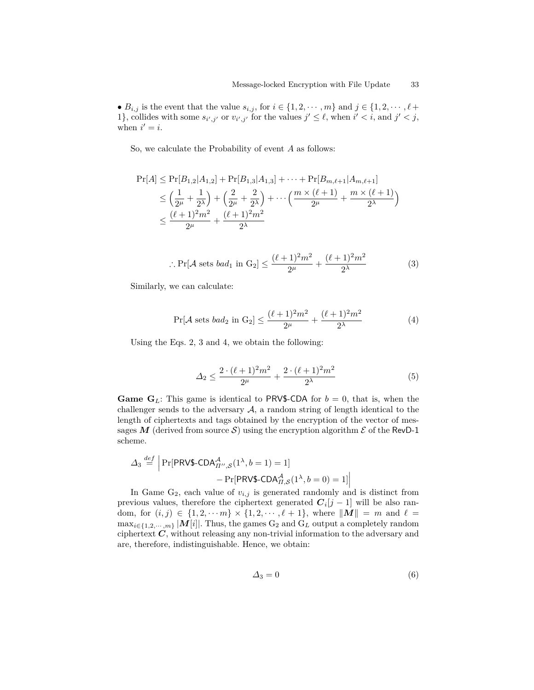•  $B_{i,j}$  is the event that the value  $s_{i,j}$ , for  $i \in \{1, 2, \dots, m\}$  and  $j \in \{1, 2, \dots, \ell + \ell\}$ 1}, collides with some  $s_{i',j'}$  or  $v_{i',j'}$  for the values  $j' \leq \ell$ , when  $i' < i$ , and  $j' < j$ , when  $i' = i$ .

So, we calculate the Probability of event *A* as follows:

$$
\Pr[A] \le \Pr[B_{1,2}|A_{1,2}] + \Pr[B_{1,3}|A_{1,3}] + \dots + \Pr[B_{m,\ell+1}|A_{m,\ell+1}]
$$
  
\n
$$
\le \left(\frac{1}{2^{\mu}} + \frac{1}{2^{\lambda}}\right) + \left(\frac{2}{2^{\mu}} + \frac{2}{2^{\lambda}}\right) + \dots + \left(\frac{m \times (\ell+1)}{2^{\mu}} + \frac{m \times (\ell+1)}{2^{\lambda}}\right)
$$
  
\n
$$
\le \frac{(\ell+1)^2 m^2}{2^{\mu}} + \frac{(\ell+1)^2 m^2}{2^{\lambda}}
$$

:. 
$$
\Pr[\mathcal{A} \text{ sets } bad_1 \text{ in } G_2] \le \frac{(\ell+1)^2 m^2}{2^{\mu}} + \frac{(\ell+1)^2 m^2}{2^{\lambda}}
$$
 (3)

Similarly, we can calculate:

$$
\Pr[\mathcal{A} \text{ sets } bad_2 \text{ in } G_2] \le \frac{(\ell+1)^2 m^2}{2^{\mu}} + \frac{(\ell+1)^2 m^2}{2^{\lambda}} \tag{4}
$$

Using the Eqs. 2, 3 and 4, we obtain the following:

$$
\Delta_2 \le \frac{2 \cdot (\ell+1)^2 m^2}{2^{\mu}} + \frac{2 \cdot (\ell+1)^2 m^2}{2^{\lambda}} \tag{5}
$$

**Game G**<sub>L</sub>: This game is identical to PRV\$-CDA for  $b = 0$ , that is, when the challenger sends to the adversary  $A$ , a random string of length identical to the length of ciphertexts and tags obtained by the encryption of the vector of messages M (derived from source S) using the encryption algorithm  $\mathcal E$  of the RevD-1 scheme.

$$
\Delta_3 \stackrel{def}{=} \left| \Pr[\text{PRV$-CDA}^{\mathcal{A}}_{\Pi'',S}(1^{\lambda}, b=1) = 1] - \Pr[\text{PRV$-CDA}^{\mathcal{A}}_{\Pi,S}(1^{\lambda}, b=0) = 1] \right|
$$

In Game G<sub>2</sub>, each value of  $v_{i,j}$  is generated randomly and is distinct from previous values, therefore the ciphertext generated  $C_i[j-1]$  will be also random, for  $(i, j) \in \{1, 2, \dots, m\} \times \{1, 2, \dots, \ell + 1\}$ , where  $||M|| = m$  and  $\ell =$  $\max_{i \in \{1, 2, \dots, m\}} |\mathbf{M}[i]|$ . Thus, the games  $G_2$  and  $G_L$  output a completely random ciphertext *C*, without releasing any non-trivial information to the adversary and are, therefore, indistinguishable. Hence, we obtain:

$$
\Delta_3 = 0 \tag{6}
$$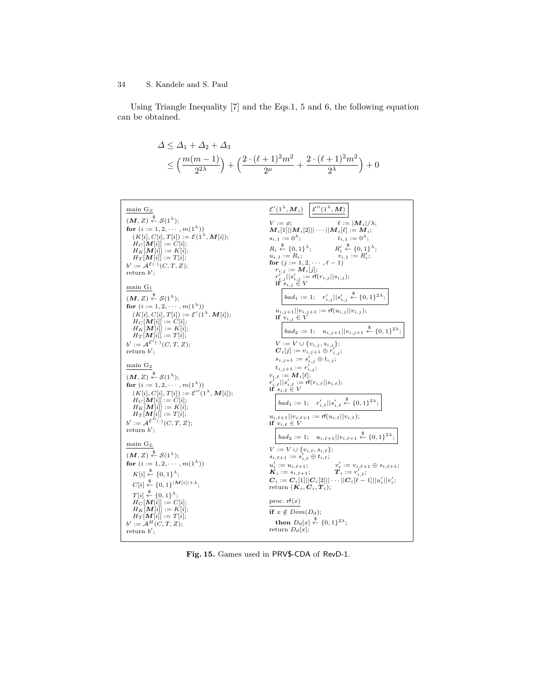Using Triangle Inequality [7] and the Eqs.1, 5 and 6, the following equation can be obtained.

$$
\Delta \leq \Delta_1 + \Delta_2 + \Delta_3
$$
  
\$\leq \left(\frac{m(m-1)}{2^{2\lambda}}\right) + \left(\frac{2 \cdot (\ell+1)^2 m^2}{2^{\mu}} + \frac{2 \cdot (\ell+1)^2 m^2}{2^{\lambda}}\right) + 0\$

| main $G_S$                                                                                      | $\mathcal{E}'(1^{\lambda}, \bm{M}_i) \mid \mathcal{E}''(1^{\lambda}, \bm{M})$                                                                                                                                                                                                                                                                |
|-------------------------------------------------------------------------------------------------|----------------------------------------------------------------------------------------------------------------------------------------------------------------------------------------------------------------------------------------------------------------------------------------------------------------------------------------------|
| $(M, Z) \stackrel{\$}{\leftarrow} S(1^{\lambda});$                                              | $\ell :=  M_i /\lambda;$<br>$V := \phi$ ;                                                                                                                                                                                                                                                                                                    |
| for $(i := 1, 2, \cdots, m(1^{\lambda}))$                                                       | $\bm{M}_i[1]    \bm{M}_i[2]    \cdots    \bm{M}_i[\ell] := \bm{M}_i;$                                                                                                                                                                                                                                                                        |
| $(K[i], C[i], T[i]) := \mathcal{E}(1^{\lambda}, \mathbf{M}[i]);$                                |                                                                                                                                                                                                                                                                                                                                              |
| $H_C[M[i]] := C[i];$<br>$H_K[M[i]] := K[i];$                                                    | $\begin{array}{lll} & \ldots & \ldots & \ldots & \ldots & \ldots \\ s_{i,1} := 0^{\lambda}; & & t_{i,1} := 0^{\lambda}; \\ & R_i \stackrel{\text{g}}{\leftarrow} \{0,1\}^{\lambda}; & R'_i \stackrel{\text{g}}{\leftarrow} \{0,1\}^{\lambda}; \\ & u_{i,1} := R_i; & v_{i,1} := R'_i; \\ & \text{for } (j := 1,2,\cdots,\ell-1) \end{array}$ |
| $H_T[M[i]] := T[i];$                                                                            |                                                                                                                                                                                                                                                                                                                                              |
| $b' := \mathcal{A}^{\mathcal{E}(\cdot)}(C, T, Z);$<br>return $b'$ ;                             | $r_{i,j} := M_i[j];$                                                                                                                                                                                                                                                                                                                         |
|                                                                                                 | $r'_{i,j}  s'_{i,j} := \text{rf}(r_{i,j}  s_{i,j});$                                                                                                                                                                                                                                                                                         |
| $main$ $G_1$                                                                                    | if $s_{i,j} \in V$                                                                                                                                                                                                                                                                                                                           |
| $(M, Z) \stackrel{\$}{\leftarrow} S(1^{\lambda});$                                              | $\label{eq:bad1} \begin{aligned} bad_1 := 1; \quad r'_{i,j}    s'_{i,j} \overset{\$}{\leftarrow} \{0,1\}^{2\lambda}; \end{aligned}$                                                                                                                                                                                                          |
| for $(i := 1, 2, \cdots, m(1^{\lambda}))$                                                       | $u_{i,j+1}  v_{i,j+1} := \text{rf}(u_{i,j}  v_{i,j});$                                                                                                                                                                                                                                                                                       |
| $(K[i], C[i], T[i]) := \mathcal{E}'(1^{\lambda}, \mathbf{M}[i]);$<br>$H_C[M[i]] := C[i];$       | if $v_{i,j} \in V$                                                                                                                                                                                                                                                                                                                           |
| $H_K[\mathbf{M}[i]] := K[i];$                                                                   | $bad_2 := 1; \quad u_{i,j+1}    v_{i,j+1} \stackrel{\$}{\leftarrow} \{0,1\}^{2\lambda};$                                                                                                                                                                                                                                                     |
| $H_T[M[i]] := T[i];$<br>$b' := \mathcal{A}^{\mathcal{E}'(\cdot)}(C, T, Z);$                     | $V := V \cup \{v_{i,j}, s_{i,j}\};$                                                                                                                                                                                                                                                                                                          |
| return $b'$ :                                                                                   | $C_i[j] := v_{i,j+1} \oplus r'_{i,j};$                                                                                                                                                                                                                                                                                                       |
|                                                                                                 | $s_{i,j+1} := s'_{i,j} \oplus t_{i,j};$                                                                                                                                                                                                                                                                                                      |
| $\min$ $G_2$                                                                                    | $t_{i,j+1} := r'_{i,j};$<br>$r_{i,\ell} := M_i[\ell];$                                                                                                                                                                                                                                                                                       |
| $(M, Z) \stackrel{\$}{\leftarrow} S(1^{\lambda});$<br>for $(i := 1, 2, \cdots, m(1^{\lambda}))$ | $\begin{array}{ll} r'_{i,\ell}  s'_{i,\ell}:=\mathrm{rf}(r_{i,\ell}  s_{i,\ell});\\ \mathrm{if}\ s_{i,\ell}\in V \end{array}$                                                                                                                                                                                                                |
| $(K[i], C[i], T[i]) := \mathcal{E}''(1^{\lambda}, \mathbf{M}[i]);$                              |                                                                                                                                                                                                                                                                                                                                              |
| $H_C[M[i]] := C[i];$                                                                            | $bad_1 := 1; \quad r'_{i,\ell}  s'_{i,\ell} \stackrel{\$}{\leftarrow} \{0,1\}^{2\lambda};$                                                                                                                                                                                                                                                   |
| $H_K[M[i]] := K[i];$<br>$H_T[M[i]] := T[i];$                                                    | $u_{i,\ell+1}  v_{i,\ell+1} := \text{rf}(u_{i,\ell}  v_{i,\ell});$                                                                                                                                                                                                                                                                           |
| $b' := \mathcal{A}^{\mathcal{E}''(\cdot)}(C,T,Z);$                                              | if $v_{i,\ell} \in V$                                                                                                                                                                                                                                                                                                                        |
| return $b'$ :                                                                                   | $\label{eq:bad2} \begin{aligned} bad_2 := 1; \quad u_{i,\ell+1}    v_{i,\ell+1} \overset{\$}{\leftarrow} \{0,1\}^{2\lambda}; \end{aligned}$                                                                                                                                                                                                  |
| main $G_L$                                                                                      |                                                                                                                                                                                                                                                                                                                                              |
| $(M, Z) \stackrel{\$}{\leftarrow} \mathcal{S}(1^{\lambda});$                                    | $V := V \cup \{v_{i,\ell}, s_{i,\ell}\};$<br>$s_{i,\ell+1} := s'_{i,\ell} \oplus t_{i,\ell};$                                                                                                                                                                                                                                                |
| for $(i := 1, 2, \cdots, m(1^{\lambda}))$                                                       | $\begin{array}{lll} u'_i:=u_{i,\ell+1}; & & v'_i:=v_{i,\ell+1}\oplus s_{i,\ell+1};\\ \boldsymbol{K}_i:=s_{i,\ell+1}; & & \boldsymbol{T}_i:=r'_{i,\ell}; \end{array}$                                                                                                                                                                         |
| $K[i] \stackrel{\$}{\leftarrow} \{0,1\}^{\lambda};$                                             |                                                                                                                                                                                                                                                                                                                                              |
| $C[i] \stackrel{\$}{\leftarrow} \{0,1\}^{ M[i]  + \lambda};$                                    | $C_i := C_i[1]   C_i[2]    \cdots   C_i[\ell-1]   u'_i  v'_i;$<br>return $(K_i, C_i, T_i);$                                                                                                                                                                                                                                                  |
| $T[i] \stackrel{\$}{\leftarrow} \{0,1\}^{\lambda};$                                             |                                                                                                                                                                                                                                                                                                                                              |
| $H_C[M[i]] := C[i];$<br>$H_K[M[i]] := K[i];$                                                    | proc. $rf(x)$                                                                                                                                                                                                                                                                                                                                |
| $H_T[M[i]] := T[i];$                                                                            | if $x \notin Dom(D_{\sf rf});$                                                                                                                                                                                                                                                                                                               |
| $b' := \mathcal{A}^H(C, T, Z);$<br>return $b'$ ;                                                | then $D_{\text{rf}}[x] \overset{\$}{\leftarrow} \{0,1\}^{2\lambda};$<br>return $D_{\rm rf}[x];$                                                                                                                                                                                                                                              |
|                                                                                                 |                                                                                                                                                                                                                                                                                                                                              |

**Fig. 15.** Games used in PRV\$-CDA of RevD-1.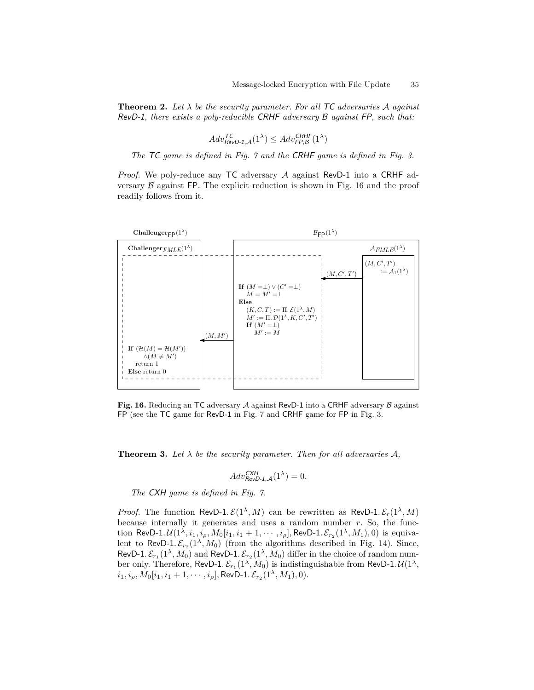**Theorem 2.** Let  $\lambda$  be the security parameter. For all TC adversaries A against RevD-1*, there exists a poly-reducible* CRHF *adversary* B *against* FP*, such that:*

$$
Adv_{\text{RevD-1},\mathcal{A}}^{\text{TC}}(1^{\lambda}) \leq Adv_{\text{FP},\mathcal{B}}^{\text{CRHF}}(1^{\lambda})
$$

*The* TC *game is defined in Fig. 7 and the* CRHF *game is defined in Fig. 3.*

*Proof.* We poly-reduce any TC adversary A against RevD-1 into a CRHF adversary  $\beta$  against FP. The explicit reduction is shown in Fig. 16 and the proof readily follows from it.



Fig. 16. Reducing an TC adversary A against RevD-1 into a CRHF adversary B against FP (see the TC game for RevD-1 in Fig. 7 and CRHF game for FP in Fig. 3.

**Theorem 3.** Let  $\lambda$  be the security parameter. Then for all adversaries  $\mathcal{A}$ ,

$$
Adv_{\text{RevD-1}, \mathcal{A}}^{\text{CXH}}(1^{\lambda}) = 0.
$$

*The* CXH *game is defined in Fig. 7.*

*Proof.* The function RevD-1.  $\mathcal{E}(1^{\lambda}, M)$  can be rewritten as RevD-1.  $\mathcal{E}_r(1^{\lambda}, M)$ because internally it generates and uses a random number  $r$ . So, the function RevD-1*.U*( $1^{\lambda}, i_1, i_\rho, M_0[i_1, i_1 + 1, \cdots, i_\rho]$ , RevD-1*.*  $\mathcal{E}_{r_2}(1^{\lambda}, M_1), 0)$  is equivalent to RevD-1.  $\mathcal{E}_{r_2}(1^{\lambda}, M_0)$  (from the algorithms described in Fig. 14). Since, RevD-1.  $\mathcal{E}_{r_1}(1^{\lambda}, M_0)$  and RevD-1.  $\mathcal{E}_{r_2}(1^{\lambda}, M_0)$  differ in the choice of random number only. Therefore, RevD-1.  $\mathcal{E}_{r_1}(1^{\lambda}, M_0)$  is indistinguishable from RevD-1.  $\mathcal{U}(1^{\lambda},$  $i_1, i_\rho, M_0[i_1, i_1 + 1, \cdots, i_\rho],$  RevD-1*.*  $\mathcal{E}_{r_2}(1^\lambda, M_1), 0)$ .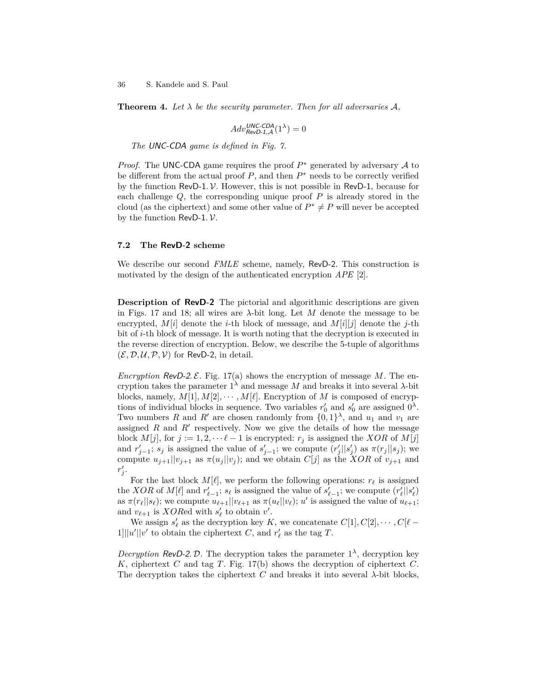**Theorem 4.** Let  $\lambda$  be the security parameter. Then for all adversaries  $\mathcal{A}$ ,

$$
Adv_{RevD-1,A}^{UNC-CDA}(1^{\lambda}) = 0
$$

*The* UNC-CDA *game is defined in Fig. 7.*

*Proof.* The UNC-CDA game requires the proof  $P^*$  generated by adversary  $\mathcal A$  to be different from the actual proof  $P$ , and then  $P^*$  needs to be correctly verified by the function RevD-1*.* V. However, this is not possible in RevD-1, because for each challenge *Q*, the corresponding unique proof *P* is already stored in the cloud (as the ciphertext) and some other value of  $P^* \neq P$  will never be accepted by the function RevD-1*.* V.

#### **7.2 The RevD-2 scheme**

We describe our second *FMLE* scheme, namely, RevD-2. This construction is motivated by the design of the authenticated encryption *APE* [2].

**Description of RevD-2** The pictorial and algorithmic descriptions are given in Figs. 17 and 18; all wires are  $\lambda$ -bit long. Let M denote the message to be encrypted,  $M[i]$  denote the *i*-th block of message, and  $M[i][j]$  denote the *j*-th bit of *i*-th block of message. It is worth noting that the decryption is executed in the reverse direction of encryption. Below, we describe the 5-tuple of algorithms  $(\mathcal{E}, \mathcal{D}, \mathcal{U}, \mathcal{P}, \mathcal{V})$  for RevD-2, in detail.

*Encryption* RevD-2. E. Fig. 17(a) shows the encryption of message M. The encryption takes the parameter  $1^{\lambda}$  and message *M* and breaks it into several  $\lambda$ -bit blocks, namely,  $M[1], M[2], \cdots, M[\ell]$ . Encryption of *M* is composed of encryptions of individual blocks in sequence. Two variables  $r'_0$  and  $s'_0$  are assigned  $0^{\lambda}$ . Two numbers *R* and *R'* are chosen randomly from  $\{0,1\}^{\lambda}$ , and  $u_1$  and  $v_1$  are assigned  $R$  and  $R'$  respectively. Now we give the details of how the message block  $M[j]$ , for  $j := 1, 2, \dots \ell - 1$  is encrypted:  $r_j$  is assigned the *XOR* of  $M[j]$ and  $r'_{j-1}$ ;  $s_j$  is assigned the value of  $s'_{j-1}$ ; we compute  $(r'_j||s'_j)$  as  $\pi(r_j||s_j)$ ; we compute  $u_{j+1}||v_{j+1}$  as  $\pi(u_j||v_j)$ ; and we obtain  $C[j]$  as the *XOR* of  $v_{j+1}$  and  $r'_{j}$ .

For the last block  $M[\ell]$ , we perform the following operations:  $r_\ell$  is assigned the *XOR* of  $M[\ell]$  and  $r'_{\ell-1}$ ;  $s_{\ell}$  is assigned the value of  $s'_{\ell-1}$ ; we compute  $(r'_{\ell}||s'_{\ell})$ as  $\pi(r_\ell||s_\ell)$ ; we compute  $u_{\ell+1}||v_{\ell+1}$  as  $\pi(u_\ell||v_\ell); u'$  is assigned the value of  $u_{\ell+1}$ ; and  $v_{\ell+1}$  is *XORed* with  $s'_{\ell}$  to obtain  $v'$ .

We assign  $s'_\ell$  as the decryption key  $K$ , we concatenate  $C[1], C[2], \cdots, C[*\ell* 1$ ]||*u'*||*v'* to obtain the ciphertext *C*, and  $r'_{\ell}$  as the tag *T*.

*Decryption* RevD-2. D. The decryption takes the parameter  $1^{\lambda}$ , decryption key *K*, ciphertext *C* and tag *T*. Fig. 17(b) shows the decryption of ciphertext *C*. The decryption takes the ciphertext *C* and breaks it into several  $\lambda$ -bit blocks,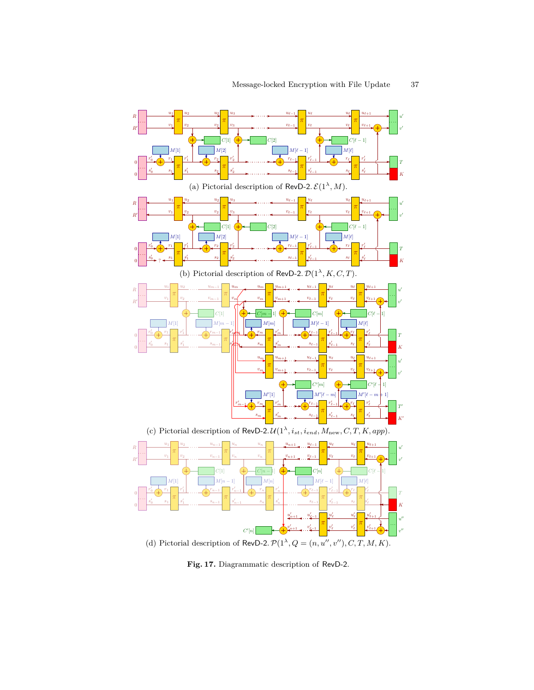

**Fig. 17.** Diagrammatic description of RevD-2.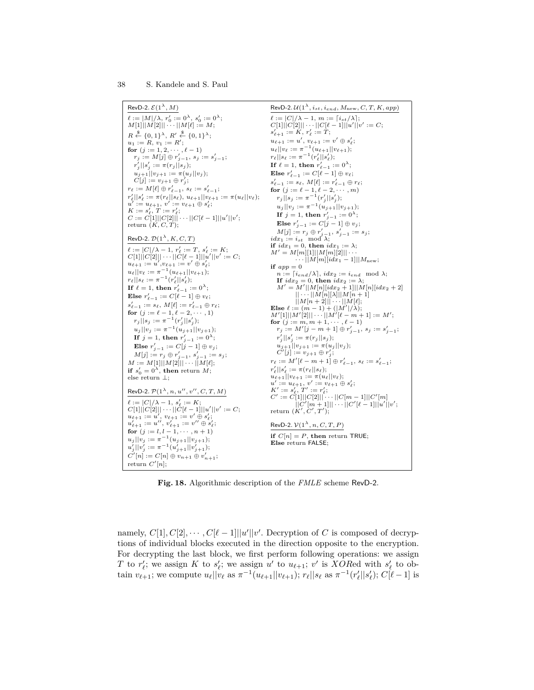

**Fig. 18.** Algorithmic description of the *FMLE* scheme RevD-2.

namely,  $C[1], C[2], \cdots, C[ $\ell - 1$ ]] | $u'||v'$ . Decryption of *C* is composed of decryp$ tions of individual blocks executed in the direction opposite to the encryption. For decrypting the last block, we first perform following operations: we assign *T* to *r*<sub> $\ell$ </sub>; we assign *K* to *s*<sub> $\ell$ </sub>; we assign *u*<sup>*'*</sup> to *u*<sub> $\ell$ +1</sub>; *v*<sup>*'*</sup> is *XORed* with *s*<sup> $\ell$ </sup><sub> $\ell$ </sub> to ob- $\begin{aligned} \n\mathcal{L} & \text{for } \mathcal{L}_{\ell}, \text{ we assign } \mathcal{L} \text{ to } \mathcal{S}_{\ell}, \text{ we assign } \mathcal{U} \text{ to } \mathcal{U}_{\ell+1}, \text{ } v \text{ is a O-1} \n\end{aligned}$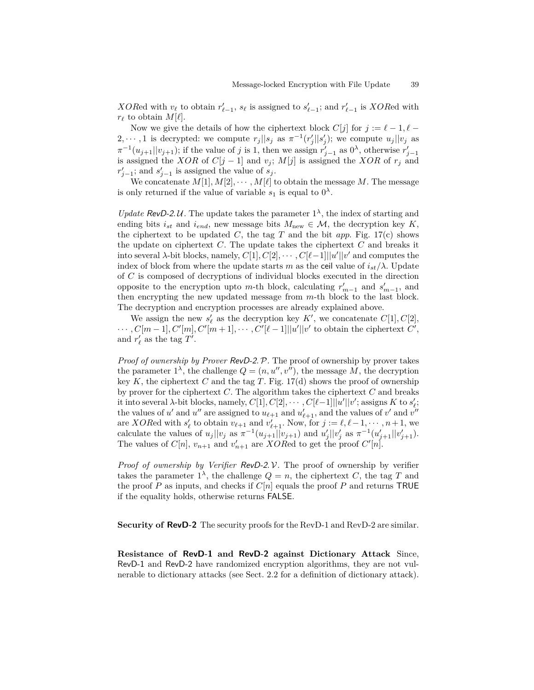*XORed* with  $v_{\ell}$  to obtain  $r'_{\ell-1}$ ,  $s_{\ell}$  is assigned to  $s'_{\ell-1}$ ; and  $r'_{\ell-1}$  is *XORed* with  $r_{\ell}$  to obtain  $M[\ell].$ 

Now we give the details of how the ciphertext block  $C[j]$  for  $j := \ell - 1, \ell - 1$ 2,  $\dots$ , 1 is decrypted: we compute  $r_j||s_j$  as  $\pi^{-1}(r'_j||s'_j)$ ; we compute  $u_j||v_j$  as  $\pi^{-1}(u_{j+1}||v_{j+1})$ ; if the value of *j* is 1, then we assign  $r'_{j-1}$  as  $0^{\lambda}$ , otherwise  $r'_{j-1}$ is assigned the *XOR* of  $C[j-1]$  and  $v_j$ ;  $M[j]$  is assigned the *XOR* of  $r_j$  and  $r'_{j-1}$ ; and  $s'_{j-1}$  is assigned the value of *s<sub>j</sub>*.

We concatenate  $M[1], M[2], \cdots, M[\ell]$  to obtain the message M. The message is only returned if the value of variable  $s_1$  is equal to  $0^{\lambda}$ .

*Update* RevD-2.U. The update takes the parameter  $1^{\lambda}$ , the index of starting and ending bits  $i_{st}$  and  $i_{end}$ , new message bits  $M_{new} \in \mathcal{M}$ , the decryption key  $K$ , the ciphertext to be updated  $C$ , the tag  $T$  and the bit *app*. Fig. 17(c) shows the update on ciphertext *C*. The update takes the ciphertext *C* and breaks it into several *λ*-bit blocks, namely,  $C[1], C[2], \cdots, C[\ell-1] \mid |u'||v'$  and computes the index of block from where the update starts *m* as the ceil value of  $i_{st}/\lambda$ . Update of *C* is composed of decryptions of individual blocks executed in the direction opposite to the encryption upto *m*-th block, calculating  $r'_{m-1}$  and  $s'_{m-1}$ , and then encrypting the new updated message from *m*-th block to the last block. The decryption and encryption processes are already explained above.

We assign the new  $s'_{\ell}$  as the decryption key  $K'$ , we concatenate  $C[1], C[2]$ ,  $\cdots$ ,  $C[m-1], C'[m], C'[m+1], \cdots, C'[\ell-1]]|u'||v'$  to obtain the ciphertext  $C'$ , and  $r'_{\ell}$  as the tag  $T'$ .

*Proof of ownership by Prover RevD-2. P.* The proof of ownership by prover takes the parameter  $1^{\lambda}$ , the challenge  $Q = (n, u'', v'')$ , the message M, the decryption key  $K$ , the ciphertext  $C$  and the tag  $T$ . Fig. 17(d) shows the proof of ownership by prover for the ciphertext *C*. The algorithm takes the ciphertext *C* and breaks it into several *λ*-bit blocks, namely,  $C[1], C[2], \cdots, C[\ell-1] \mid |u'||v'$ ; assigns  $K$  to  $s'_{\ell}$ ; the values of *u*' and *u*'' are assigned to  $u_{\ell+1}$  and  $u'_{\ell+1}$ , and the values of *v*' and  $v''$ are *XOR*ed with  $s'_\ell$  to obtain  $v_{\ell+1}$  and  $v'_{\ell+1}$ . Now, for  $j := \ell, \ell-1, \dots, n+1$ , we calculate the values of  $u_j || v_j$  as  $\pi^{-1}(u_{j+1} || v_{j+1})$  and  $u'_j || v'_j$  as  $\pi^{-1}(u'_{j+1} || v'_{j+1})$ . The values of  $C[n]$ ,  $v_{n+1}$  and  $v'_{n+1}$  are *XOR*ed to get the proof  $C'[n]$ .

*Proof of ownership by Verifier* RevD-2*.* V*.* The proof of ownership by verifier takes the parameter  $1^{\lambda}$ , the challenge  $Q = n$ , the ciphertext *C*, the tag *T* and the proof *P* as inputs, and checks if  $C[n]$  equals the proof *P* and returns TRUE if the equality holds, otherwise returns FALSE.

**Security of RevD-2** The security proofs for the RevD-1 and RevD-2 are similar.

**Resistance of RevD-1 and RevD-2 against Dictionary Attack** Since, RevD-1 and RevD-2 have randomized encryption algorithms, they are not vulnerable to dictionary attacks (see Sect. 2.2 for a definition of dictionary attack).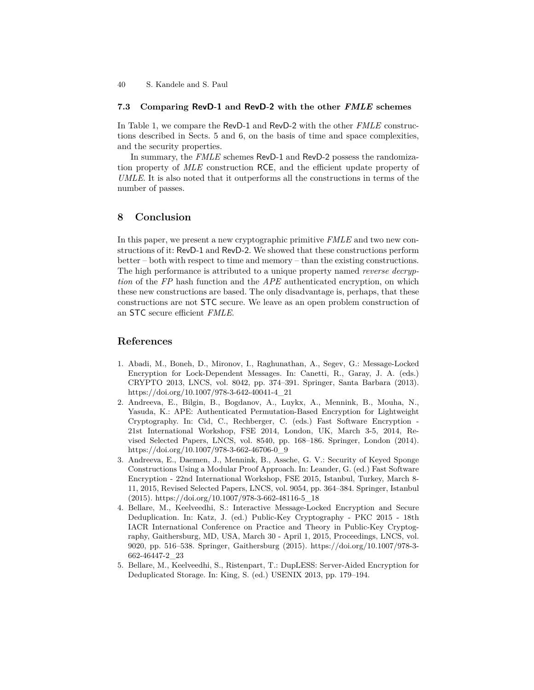## **7.3 Comparing RevD-1 and RevD-2 with the other** *FMLE* **schemes**

In Table 1, we compare the RevD-1 and RevD-2 with the other *FMLE* constructions described in Sects. 5 and 6, on the basis of time and space complexities, and the security properties.

In summary, the *FMLE* schemes RevD-1 and RevD-2 possess the randomization property of *MLE* construction RCE, and the efficient update property of *UMLE*. It is also noted that it outperforms all the constructions in terms of the number of passes.

# **8 Conclusion**

In this paper, we present a new cryptographic primitive *FMLE* and two new constructions of it: RevD-1 and RevD-2. We showed that these constructions perform better – both with respect to time and memory – than the existing constructions. The high performance is attributed to a unique property named *reverse decryption* of the *FP* hash function and the *APE* authenticated encryption, on which these new constructions are based. The only disadvantage is, perhaps, that these constructions are not STC secure. We leave as an open problem construction of an STC secure efficient *FMLE*.

# **References**

- 1. Abadi, M., Boneh, D., Mironov, I., Raghunathan, A., Segev, G.: Message-Locked Encryption for Lock-Dependent Messages. In: Canetti, R., Garay, J. A. (eds.) CRYPTO 2013, LNCS, vol. 8042, pp. 374–391. Springer, Santa Barbara (2013). https://doi.org/10.1007/978-3-642-40041-4\_21
- 2. Andreeva, E., Bilgin, B., Bogdanov, A., Luykx, A., Mennink, B., Mouha, N., Yasuda, K.: APE: Authenticated Permutation-Based Encryption for Lightweight Cryptography. In: Cid, C., Rechberger, C. (eds.) Fast Software Encryption - 21st International Workshop, FSE 2014, London, UK, March 3-5, 2014, Revised Selected Papers, LNCS, vol. 8540, pp. 168–186. Springer, London (2014). https://doi.org/10.1007/978-3-662-46706-0\_9
- 3. Andreeva, E., Daemen, J., Mennink, B., Assche, G. V.: Security of Keyed Sponge Constructions Using a Modular Proof Approach. In: Leander, G. (ed.) Fast Software Encryption - 22nd International Workshop, FSE 2015, Istanbul, Turkey, March 8- 11, 2015, Revised Selected Papers, LNCS, vol. 9054, pp. 364–384. Springer, Istanbul (2015). https://doi.org/10.1007/978-3-662-48116-5\_18
- 4. Bellare, M., Keelveedhi, S.: Interactive Message-Locked Encryption and Secure Deduplication. In: Katz, J. (ed.) Public-Key Cryptography - PKC 2015 - 18th IACR International Conference on Practice and Theory in Public-Key Cryptography, Gaithersburg, MD, USA, March 30 - April 1, 2015, Proceedings, LNCS, vol. 9020, pp. 516–538. Springer, Gaithersburg (2015). https://doi.org/10.1007/978-3- 662-46447-2\_23
- 5. Bellare, M., Keelveedhi, S., Ristenpart, T.: DupLESS: Server-Aided Encryption for Deduplicated Storage. In: King, S. (ed.) USENIX 2013, pp. 179–194.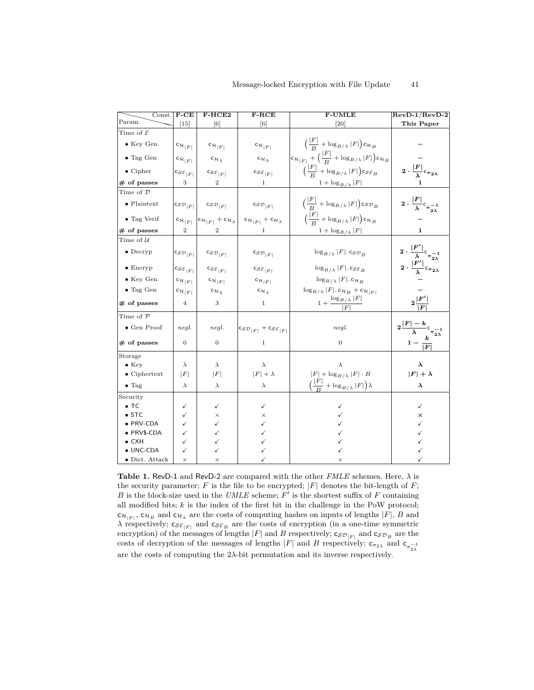| Const.                 | $F-CE$                        | F-HCE2                                               | $F-RCE$                                                                         | <b>F-UMLE</b>                                                                            | $RevD-1/RevD-2$                                                         |
|------------------------|-------------------------------|------------------------------------------------------|---------------------------------------------------------------------------------|------------------------------------------------------------------------------------------|-------------------------------------------------------------------------|
| Param.                 | $\left\lceil 15 \right\rceil$ | [6]                                                  | [6]                                                                             | $\left[20\right]$                                                                        | This Paper                                                              |
| Time of ${\cal E}$     |                               |                                                      |                                                                                 |                                                                                          |                                                                         |
| $\bullet$ Key Gen      | $c_{\mathcal{H}_{ F }}$       | $c_{\mathcal{H}_{ F }}$                              | $c_{\mathcal{H}_{ F }}$                                                         | $\left(\frac{ F }{R} + \log_{B/\lambda}  F \right)$ c $\mathcal{H}_B$                    |                                                                         |
| $\bullet$ Tag Gen      | $c_{\mathcal{H}_{ F }}$       | $\mathsf{c}_{\mathcal{H}_\lambda}$                   | $c_{\mathcal{H}}$                                                               | $c_{\mathcal{H}_{ F }} + \Big(\frac{ F }{B} + \log_{B/\lambda} F \Big)c_{\mathcal{H}_B}$ |                                                                         |
| $\bullet$ Cipher       | $\cos \varepsilon_{ F }$      | $\cos \varepsilon_{ F }$                             | $\cos \varepsilon_{ F }$                                                        | $\left(\frac{ F }{D} + \log_{B/\lambda}  F \right)$ cs $\varepsilon_B$                   | $2\cdot\frac{ F }{\lambda} \mathsf{c}_{\pi_{2\lambda}}$                 |
| $#$ of passes          | 3                             | $\overline{2}$                                       | 1                                                                               | $1 + \log_{B/\lambda}  F $                                                               |                                                                         |
| Time of $\mathcal D$   |                               |                                                      |                                                                                 |                                                                                          |                                                                         |
| $\bullet$ Plaintext    | $\cos \mathcal{D}_{ F }$      | $\mathsf{c}_{\mathcal{S}\mathcal{D}_{ F }}$          | $\mathsf{c}_{\mathcal{SD}_{\, F }}$                                             | $\left(\frac{ F }{R} + \log_{B/\lambda}  F \right)$ cs $\mathcal{D}_B$                   | $2 \cdot \frac{ F }{\lambda} c_{\pi_{2\lambda}^{-1}}$                   |
| $\bullet$ Tag Verif    | $c_{\mathcal{H}_{ F }}$       | $ c_{\mathcal{H}_{ F }} + c_{\mathcal{H}_{\lambda}}$ | $c_{\mathcal{H}_{ F }} + c_{\mathcal{H}_{\lambda}}$                             | $\left(\frac{ F }{D} + \log_{B/\lambda}  F \right)$ c $\mathcal{H}_B$                    |                                                                         |
| $#$ of passes          | $\overline{2}$                | $\overline{2}$                                       |                                                                                 | $1 + \log_{B/\lambda}  F $                                                               | 1.                                                                      |
| Time of $\mathcal U$   |                               |                                                      |                                                                                 |                                                                                          |                                                                         |
| $\bullet$ Decryp       | $c_{\mathcal{SD}_{ F }}$      | $c_{\mathcal{SD}_{ F }}$                             | $c_{\mathcal{SD}_{ F }}$                                                        | $\log_{B/\lambda}  F $ . $\log_{B_R}$                                                    | $2 \cdot \frac{ F' }{\lambda} c_{\pi_{2\lambda}^{-1}}$                  |
| $\bullet$ Encryp       | $\cos \varepsilon_{ F }$      | $\cos \varepsilon_{ F }$                             | $\textsf{c}_{\mathcal{SE}_{\lvert F \rvert}}$                                   | $\log_{B/\lambda}  F $ . cs $\varepsilon_B$                                              | $2\cdot\frac{ F' }{\lambda}c_{\pi_{2\lambda}}$                          |
| $\bullet$ Key Gen      | $c_{\mathcal{H}_{ F }}$       | $c_{\mathcal{H}_{ F }}$                              | $c_{\mathcal{H}_{ F }}$                                                         | $\log_{B/\lambda}  F $ . C $\mathcal{H}_B$                                               |                                                                         |
| $\bullet$ Tag Gen      | $c_{\mathcal{H}_{ F }}$       | $c_{\mathcal{H}_\lambda}$                            | $c_{\mathcal{H}}$                                                               | $\log_{B/\lambda}  F $ . c $\mathcal{H}_B$ + c $\mathcal{H}_{ F }$                       |                                                                         |
| $#$ of passes          | $\overline{4}$                | 3                                                    | 1                                                                               | $1+\frac{\log_{B/\lambda} F }{ F }$                                                      | $2\frac{ F' }{ F }$                                                     |
| Time of P              |                               |                                                      |                                                                                 |                                                                                          |                                                                         |
| $\bullet$ Gen Proof    | negl.                         | negl.                                                | $\left  \mathsf{c}_{\mathcal{SD}_{ F }}+\mathsf{c}_{\mathcal{SE}_{ F }}\right $ | negl.                                                                                    | $2\frac{ F -k}{\lambda}c_{\pi\frac{-1}{2\lambda}}$<br>$1-\frac{k}{ F }$ |
| $#$ of passes          | $\overline{0}$                | $\mathbf{0}$                                         | $\mathbf{1}$                                                                    | $\theta$                                                                                 |                                                                         |
| Storage                |                               |                                                      |                                                                                 |                                                                                          |                                                                         |
| $\bullet$ Key          | $\lambda$                     | $\lambda$                                            | $\lambda$                                                                       | $\lambda$                                                                                | λ                                                                       |
| $\bullet$ Ciphertext   | F                             | F                                                    | $ F  + \lambda$                                                                 | $ F  + \log_{B/\lambda}  F  \cdot B$                                                     | $ F  + \lambda$                                                         |
| $\bullet$ Tag          | $\lambda$                     | $\lambda$                                            | $\lambda$                                                                       | $\Big(\frac{ F }{D} + \log_{B/\lambda} F \Big)\lambda$                                   | $\lambda$                                                               |
| Security               |                               |                                                      |                                                                                 |                                                                                          |                                                                         |
| $\bullet$ TC           | ✓                             | ✓                                                    | ✓                                                                               | ✓                                                                                        | ✓                                                                       |
| $\bullet$ STC          | ✓                             | $\times$                                             | ×                                                                               |                                                                                          | ×                                                                       |
| · PRV-CDA              | ✓                             | ✓                                                    |                                                                                 |                                                                                          | ✓                                                                       |
| · PRV\$-CDA            | ✓                             | ✓                                                    |                                                                                 |                                                                                          |                                                                         |
| $\bullet$ CXH          | ✓                             | ✓                                                    |                                                                                 |                                                                                          |                                                                         |
| $\bullet$ UNC-CDA      | ✓                             | ✓                                                    |                                                                                 |                                                                                          |                                                                         |
| $\bullet$ Dict. Attack | $\times$                      | $\times$                                             |                                                                                 | ×                                                                                        |                                                                         |

**Table 1.** RevD-1 and RevD-2 are compared with the other *FMLE* schemes. Here, *λ* is the security parameter;  $F$  is the file to be encrypted;  $|F|$  denotes the bit-length of  $F$ ;  $B$  is the block-size used in the *UMLE* scheme;  $F'$  is the shortest suffix of  $F$  containing all modified bits; *k* is the index of the first bit in the challenge in the PoW protocol;  $c_{\mathcal{H}_{|F|}}$ ,  $c_{\mathcal{H}_{B}}$  and  $c_{\mathcal{H}_{\lambda}}$  are the costs of computing hashes on inputs of lengths  $|F|$ , *B* and *λ* respectively;  $c_{S\mathcal{E}_{|F|}}$  and  $c_{S\mathcal{E}_B}$  are the costs of encryption (in a one-time symmetric encryption) of the messages of lengths  $|F|$  and *B* respectively;  $\mathsf{c}_{\mathcal{SD}_{|F|}}$  and  $\mathsf{c}_{\mathcal{SD}_B}$  are the costs of decryption of the messages of lengths  $|F|$  and *B* respectively;  $\mathsf{c}_{\pi_{2\lambda}}$  and  $\mathsf{c}_{\pi_{2\lambda}^{-1}}$ are the costs of computing the 2*λ*-bit permutation and its inverse respectively.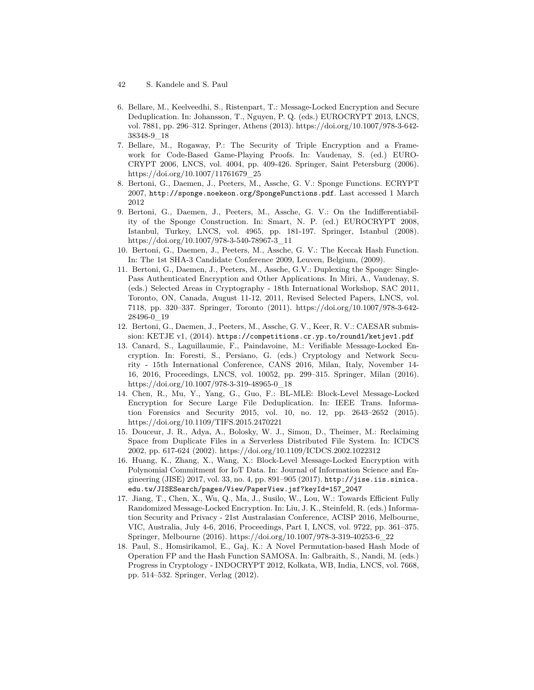- 42 S. Kandele and S. Paul
- 6. Bellare, M., Keelveedhi, S., Ristenpart, T.: Message-Locked Encryption and Secure Deduplication. In: Johansson, T., Nguyen, P. Q. (eds.) EUROCRYPT 2013, LNCS, vol. 7881, pp. 296–312. Springer, Athens (2013). https://doi.org/10.1007/978-3-642- 38348-9\_18
- 7. Bellare, M., Rogaway, P.: The Security of Triple Encryption and a Framework for Code-Based Game-Playing Proofs. In: Vaudenay, S. (ed.) EURO-CRYPT 2006, LNCS, vol. 4004, pp. 409-426. Springer, Saint Petersburg (2006). https://doi.org/10.1007/11761679\_25
- 8. Bertoni, G., Daemen, J., Peeters, M., Assche, G. V.: Sponge Functions. ECRYPT 2007, http://sponge.noekeon.org/SpongeFunctions.pdf. Last accessed 1 March 2012
- 9. Bertoni, G., Daemen, J., Peeters, M., Assche, G. V.: On the Indifferentiability of the Sponge Construction. In: Smart, N. P. (ed.) EUROCRYPT 2008, Istanbul, Turkey, LNCS, vol. 4965, pp. 181-197. Springer, Istanbul (2008). https://doi.org/10.1007/978-3-540-78967-3\_11
- 10. Bertoni, G., Daemen, J., Peeters, M., Assche, G. V.: The Keccak Hash Function. In: The 1st SHA-3 Candidate Conference 2009, Leuven, Belgium, (2009).
- 11. Bertoni, G., Daemen, J., Peeters, M., Assche, G.V.: Duplexing the Sponge: Single-Pass Authenticated Encryption and Other Applications. In Miri, A., Vaudenay, S. (eds.) Selected Areas in Cryptography - 18th International Workshop, SAC 2011, Toronto, ON, Canada, August 11-12, 2011, Revised Selected Papers, LNCS, vol. 7118, pp. 320–337. Springer, Toronto (2011). https://doi.org/10.1007/978-3-642- 28496-0\_19
- 12. Bertoni, G., Daemen, J., Peeters, M., Assche, G. V., Keer, R. V.: CAESAR submission: KETJE v1, (2014). https://competitions.cr.yp.to/round1/ketjev1.pdf
- 13. Canard, S., Laguillaumie, F., Paindavoine, M.: Verifiable Message-Locked Encryption. In: Foresti, S., Persiano, G. (eds.) Cryptology and Network Security - 15th International Conference, CANS 2016, Milan, Italy, November 14- 16, 2016, Proceedings, LNCS, vol. 10052, pp. 299–315. Springer, Milan (2016). https://doi.org/10.1007/978-3-319-48965-0\_18
- 14. Chen, R., Mu, Y., Yang, G., Guo, F.: BL-MLE: Block-Level Message-Locked Encryption for Secure Large File Deduplication. In: IEEE Trans. Information Forensics and Security 2015, vol. 10, no. 12, pp. 2643–2652 (2015). https://doi.org/10.1109/TIFS.2015.2470221
- 15. Douceur, J. R., Adya, A., Bolosky, W. J., Simon, D., Theimer, M.: Reclaiming Space from Duplicate Files in a Serverless Distributed File System. In: ICDCS 2002, pp. 617-624 (2002). https://doi.org/10.1109/ICDCS.2002.1022312
- 16. Huang, K., Zhang, X., Wang, X.: Block-Level Message-Locked Encryption with Polynomial Commitment for IoT Data. In: Journal of Information Science and Engineering (JISE) 2017, vol. 33, no. 4, pp. 891–905 (2017). http://jise.iis.sinica. edu.tw/JISESearch/pages/View/PaperView.jsf?keyId=157\_2047
- 17. Jiang, T., Chen, X., Wu, Q., Ma, J., Susilo, W., Lou, W.: Towards Efficient Fully Randomized Message-Locked Encryption. In: Liu, J. K., Steinfeld, R. (eds.) Information Security and Privacy - 21st Australasian Conference, ACISP 2016, Melbourne, VIC, Australia, July 4-6, 2016, Proceedings, Part I, LNCS, vol. 9722, pp. 361–375. Springer, Melbourne (2016). https://doi.org/10.1007/978-3-319-40253-6\_22
- 18. Paul, S., Homsirikamol, E., Gaj, K.: A Novel Permutation-based Hash Mode of Operation FP and the Hash Function SAMOSA. In: Galbraith, S., Nandi, M. (eds.) Progress in Cryptology - INDOCRYPT 2012, Kolkata, WB, India, LNCS, vol. 7668, pp. 514–532. Springer, Verlag (2012).